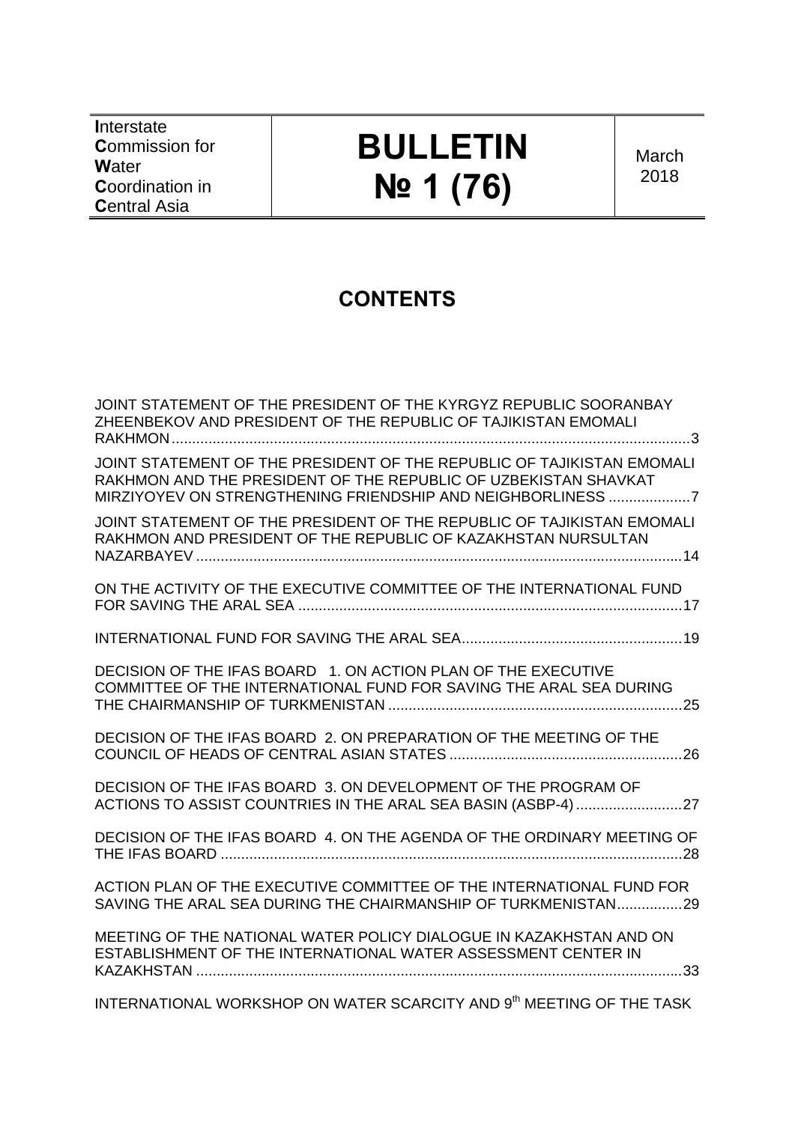**I**nterstate **C**ommission for **W**ater **C**oordination in **C**entral Asia

# **BULLETIN № 1 (76)**

**March** 2018

# **CONTENTS**

| JOINT STATEMENT OF THE PRESIDENT OF THE KYRGYZ REPUBLIC SOORANBAY<br>ZHEENBEKOV AND PRESIDENT OF THE REPUBLIC OF TAJIKISTAN EMOMALI                                                                      |
|----------------------------------------------------------------------------------------------------------------------------------------------------------------------------------------------------------|
| JOINT STATEMENT OF THE PRESIDENT OF THE REPUBLIC OF TAJIKISTAN EMOMALI<br>RAKHMON AND THE PRESIDENT OF THE REPUBLIC OF UZBEKISTAN SHAVKAT<br>MIRZIYOYEV ON STRENGTHENING FRIENDSHIP AND NEIGHBORLINESS 7 |
| JOINT STATEMENT OF THE PRESIDENT OF THE REPUBLIC OF TAJIKISTAN EMOMALI<br>RAKHMON AND PRESIDENT OF THE REPUBLIC OF KAZAKHSTAN NURSULTAN                                                                  |
| ON THE ACTIVITY OF THE EXECUTIVE COMMITTEE OF THE INTERNATIONAL FUND                                                                                                                                     |
|                                                                                                                                                                                                          |
| DECISION OF THE IFAS BOARD 1, ON ACTION PLAN OF THE EXECUTIVE<br>COMMITTEE OF THE INTERNATIONAL FUND FOR SAVING THE ARAL SEA DURING                                                                      |
| DECISION OF THE IFAS BOARD 2. ON PREPARATION OF THE MEETING OF THE                                                                                                                                       |
| DECISION OF THE IFAS BOARD 3. ON DEVELOPMENT OF THE PROGRAM OF                                                                                                                                           |
| DECISION OF THE IFAS BOARD 4. ON THE AGENDA OF THE ORDINARY MEETING OF                                                                                                                                   |
| ACTION PLAN OF THE EXECUTIVE COMMITTEE OF THE INTERNATIONAL FUND FOR<br>SAVING THE ARAL SEA DURING THE CHAIRMANSHIP OF TURKMENISTAN29                                                                    |
| MEETING OF THE NATIONAL WATER POLICY DIALOGUE IN KAZAKHSTAN AND ON<br>ESTABLISHMENT OF THE INTERNATIONAL WATER ASSESSMENT CENTER IN                                                                      |
| INTERNATIONAL WORKSHOP ON WATER SCARCITY AND 9th MEETING OF THE TASK                                                                                                                                     |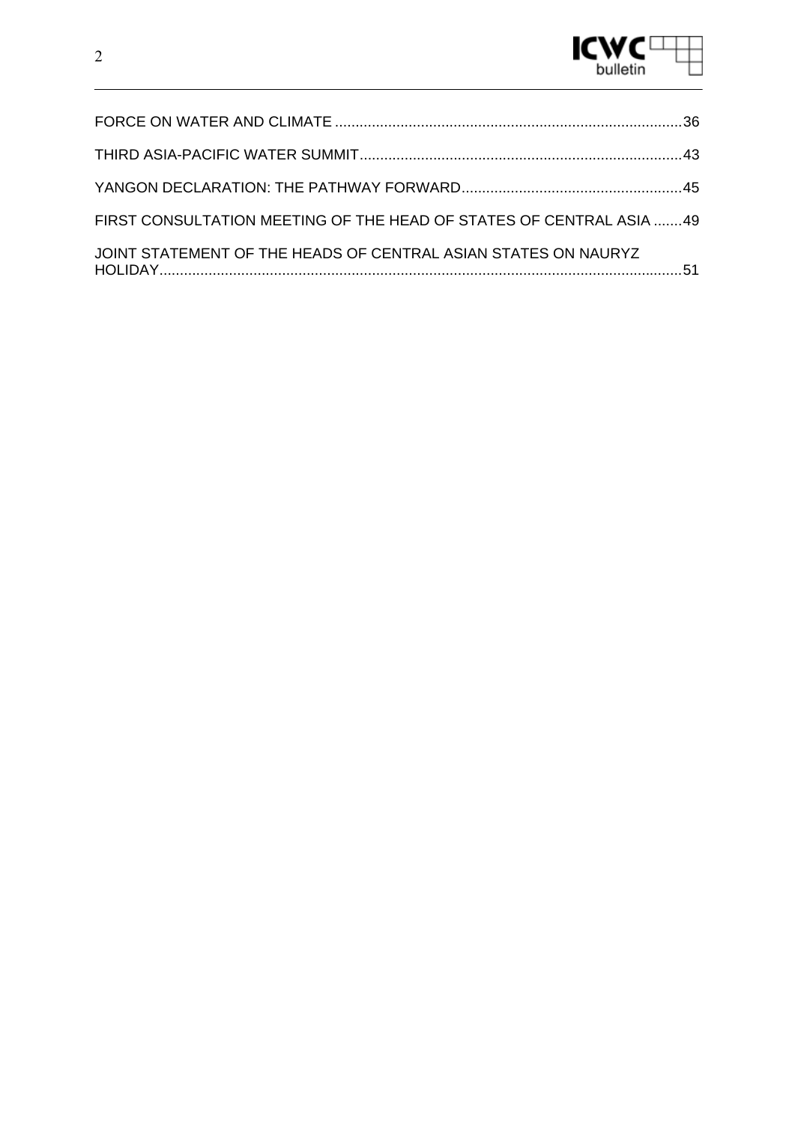

| FIRST CONSULTATION MEETING OF THE HEAD OF STATES OF CENTRAL ASIA 49 |  |
|---------------------------------------------------------------------|--|
| JOINT STATEMENT OF THE HEADS OF CENTRAL ASIAN STATES ON NAURYZ      |  |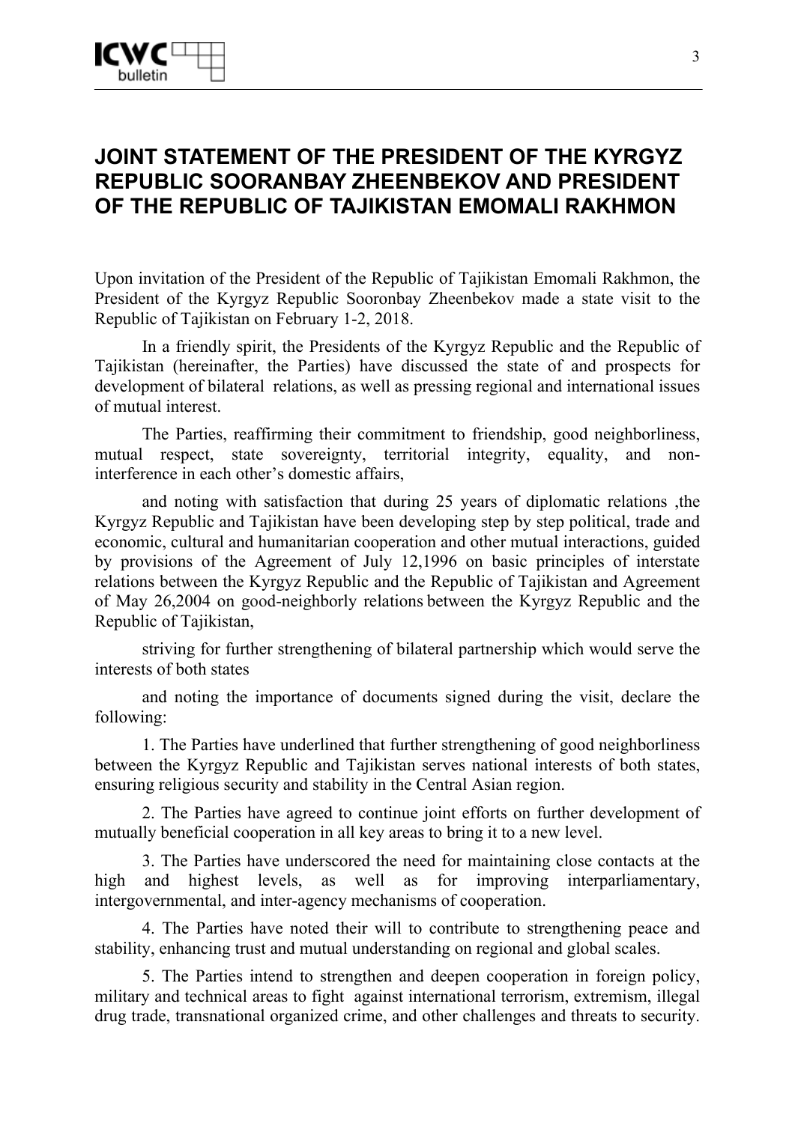### **JOINT STATEMENT OF THE PRESIDENT OF THE KYRGYZ REPUBLIC SOORANBAY ZHEENBEKOV AND PRESIDENT OF THE REPUBLIC OF TAJIKISTAN EMOMALI RAKHMON**

Upon invitation of the President of the Republic of Tajikistan Emomali Rakhmon, the President of the Kyrgyz Republic Sooronbay Zheenbekov made a state visit to the Republic of Tajikistan on February 1-2, 2018.

In a friendly spirit, the Presidents of the Kyrgyz Republic and the Republic of Tajikistan (hereinafter, the Parties) have discussed the state of and prospects for development of bilateral relations, as well as pressing regional and international issues of mutual interest.

The Parties, reaffirming their commitment to friendship, good neighborliness, mutual respect, state sovereignty, territorial integrity, equality, and noninterference in each other's domestic affairs,

and noting with satisfaction that during 25 years of diplomatic relations ,the Kyrgyz Republic and Tajikistan have been developing step by step political, trade and economic, cultural and humanitarian cooperation and other mutual interactions, guided by provisions of the Agreement of July 12,1996 on basic principles of interstate relations between the Kyrgyz Republic and the Republic of Tajikistan and Agreement of May 26,2004 on good-neighborly relations between the Kyrgyz Republic and the Republic of Tajikistan,

striving for further strengthening of bilateral partnership which would serve the interests of both states

and noting the importance of documents signed during the visit, declare the following:

1. The Parties have underlined that further strengthening of good neighborliness between the Kyrgyz Republic and Tajikistan serves national interests of both states, ensuring religious security and stability in the Central Asian region.

2. The Parties have agreed to continue joint efforts on further development of mutually beneficial cooperation in all key areas to bring it to a new level.

3. The Parties have underscored the need for maintaining close contacts at the high and highest levels, as well as for improving interparliamentary, intergovernmental, and inter-agency mechanisms of cooperation.

4. The Parties have noted their will to contribute to strengthening peace and stability, enhancing trust and mutual understanding on regional and global scales.

5. The Parties intend to strengthen and deepen cooperation in foreign policy, military and technical areas to fight against international terrorism, extremism, illegal drug trade, transnational organized crime, and other challenges and threats to security.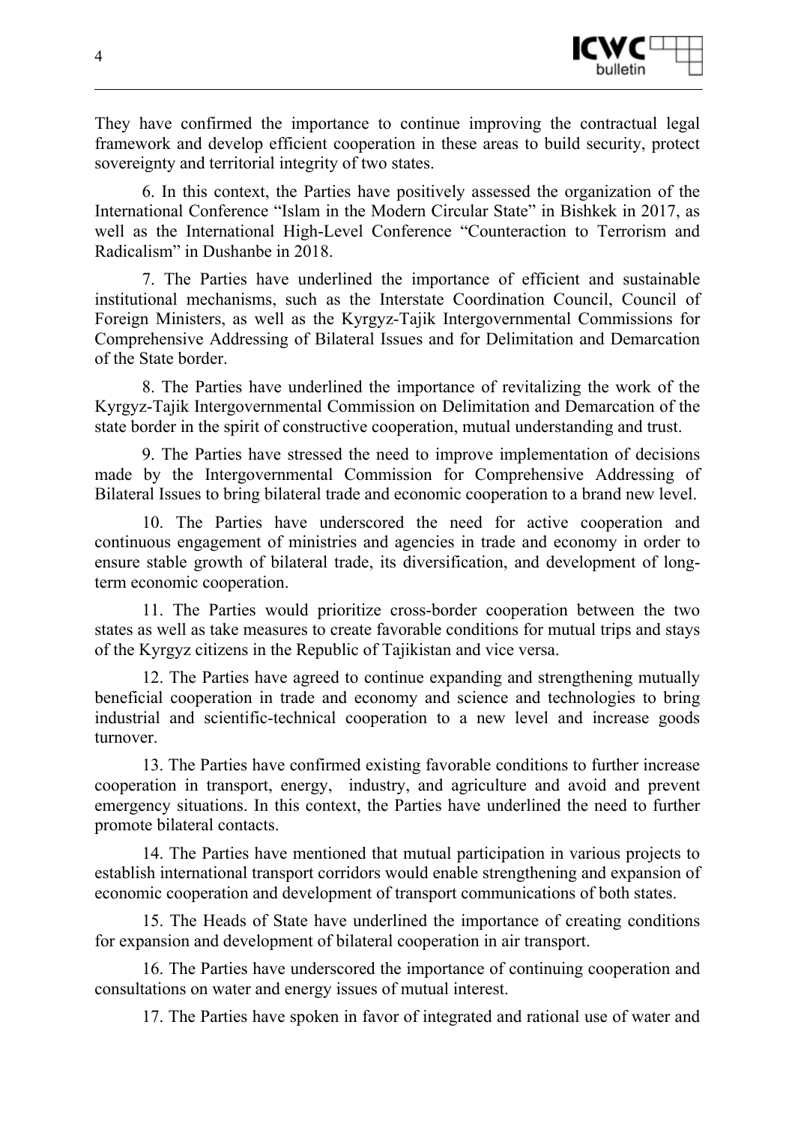

They have confirmed the importance to continue improving the contractual legal framework and develop efficient cooperation in these areas to build security, protect sovereignty and territorial integrity of two states.

6. In this context, the Parties have positively assessed the organization of the International Conference "Islam in the Modern Circular State" in Bishkek in 2017, as well as the International High-Level Conference "Counteraction to Terrorism and Radicalism" in Dushanbe in 2018.

7. The Parties have underlined the importance of efficient and sustainable institutional mechanisms, such as the Interstate Coordination Council, Council of Foreign Ministers, as well as the Kyrgyz-Tajik Intergovernmental Commissions for Comprehensive Addressing of Bilateral Issues and for Delimitation and Demarcation of the State border.

8. The Parties have underlined the importance of revitalizing the work of the Kyrgyz-Tajik Intergovernmental Commission on Delimitation and Demarcation of the state border in the spirit of constructive cooperation, mutual understanding and trust.

9. The Parties have stressed the need to improve implementation of decisions made by the Intergovernmental Commission for Comprehensive Addressing of Bilateral Issues to bring bilateral trade and economic cooperation to a brand new level.

10. The Parties have underscored the need for active cooperation and continuous engagement of ministries and agencies in trade and economy in order to ensure stable growth of bilateral trade, its diversification, and development of longterm economic cooperation.

11. The Parties would prioritize cross-border cooperation between the two states as well as take measures to create favorable conditions for mutual trips and stays of the Kyrgyz citizens in the Republic of Tajikistan and vice versa.

12. The Parties have agreed to continue expanding and strengthening mutually beneficial cooperation in trade and economy and science and technologies to bring industrial and scientific-technical cooperation to a new level and increase goods turnover.

13. The Parties have confirmed existing favorable conditions to further increase cooperation in transport, energy, industry, and agriculture and avoid and prevent emergency situations. In this context, the Parties have underlined the need to further promote bilateral contacts.

14. The Parties have mentioned that mutual participation in various projects to establish international transport corridors would enable strengthening and expansion of economic cooperation and development of transport communications of both states.

15. The Heads of State have underlined the importance of creating conditions for expansion and development of bilateral cooperation in air transport.

16. The Parties have underscored the importance of continuing cooperation and consultations on water and energy issues of mutual interest.

17. The Parties have spoken in favor of integrated and rational use of water and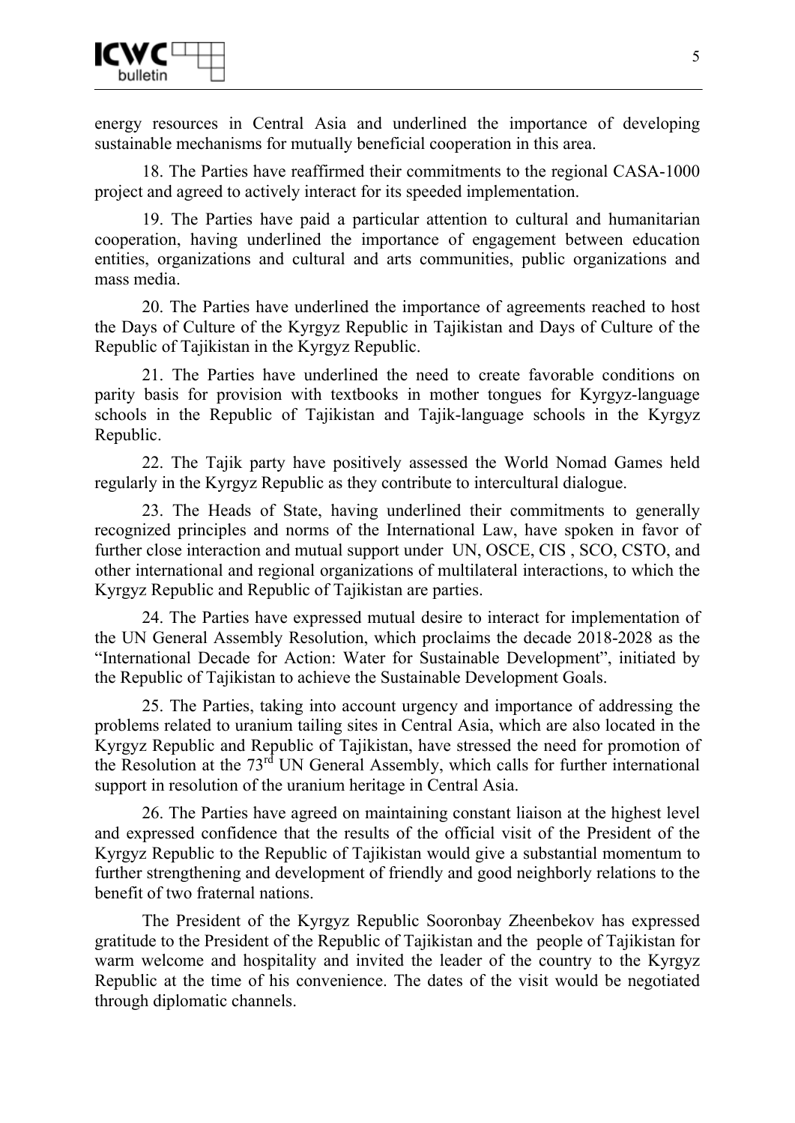

energy resources in Central Asia and underlined the importance of developing sustainable mechanisms for mutually beneficial cooperation in this area.

18. The Parties have reaffirmed their commitments to the regional CASA-1000 project and agreed to actively interact for its speeded implementation.

19. The Parties have paid a particular attention to cultural and humanitarian cooperation, having underlined the importance of engagement between education entities, organizations and cultural and arts communities, public organizations and mass media.

20. The Parties have underlined the importance of agreements reached to host the Days of Culture of the Kyrgyz Republic in Tajikistan and Days of Culture of the Republic of Tajikistan in the Kyrgyz Republic.

21. The Parties have underlined the need to create favorable conditions on parity basis for provision with textbooks in mother tongues for Kyrgyz-language schools in the Republic of Tajikistan and Tajik-language schools in the Kyrgyz Republic.

22. The Tajik party have positively assessed the World Nomad Games held regularly in the Kyrgyz Republic as they contribute to intercultural dialogue.

23. The Heads of State, having underlined their commitments to generally recognized principles and norms of the International Law, have spoken in favor of further close interaction and mutual support under UN, OSCE, CIS , SCO, CSTO, and other international and regional organizations of multilateral interactions, to which the Kyrgyz Republic and Republic of Tajikistan are parties.

24. The Parties have expressed mutual desire to interact for implementation of the UN General Assembly Resolution, which proclaims the decade 2018-2028 as the "International Decade for Action: Water for Sustainable Development", initiated by the Republic of Tajikistan to achieve the Sustainable Development Goals.

25. The Parties, taking into account urgency and importance of addressing the problems related to uranium tailing sites in Central Asia, which are also located in the Kyrgyz Republic and Republic of Tajikistan, have stressed the need for promotion of the Resolution at the 73rd UN General Assembly, which calls for further international support in resolution of the uranium heritage in Central Asia.

26. The Parties have agreed on maintaining constant liaison at the highest level and expressed confidence that the results of the official visit of the President of the Kyrgyz Republic to the Republic of Tajikistan would give a substantial momentum to further strengthening and development of friendly and good neighborly relations to the benefit of two fraternal nations.

The President of the Kyrgyz Republic Sooronbay Zheenbekov has expressed gratitude to the President of the Republic of Tajikistan and the people of Tajikistan for warm welcome and hospitality and invited the leader of the country to the Kyrgyz Republic at the time of his convenience. The dates of the visit would be negotiated through diplomatic channels.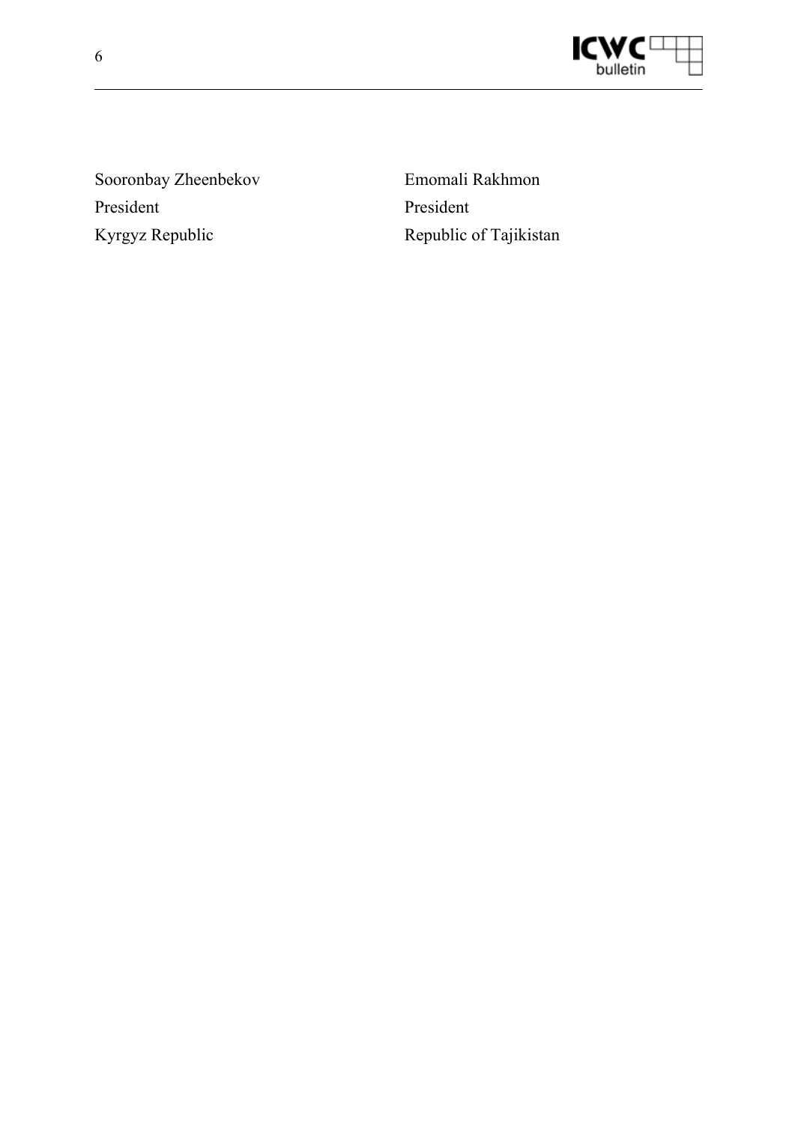

Sooronbay Zheenbekov President Kyrgyz Republic

Emomali Rakhmon President Republic of Tajikistan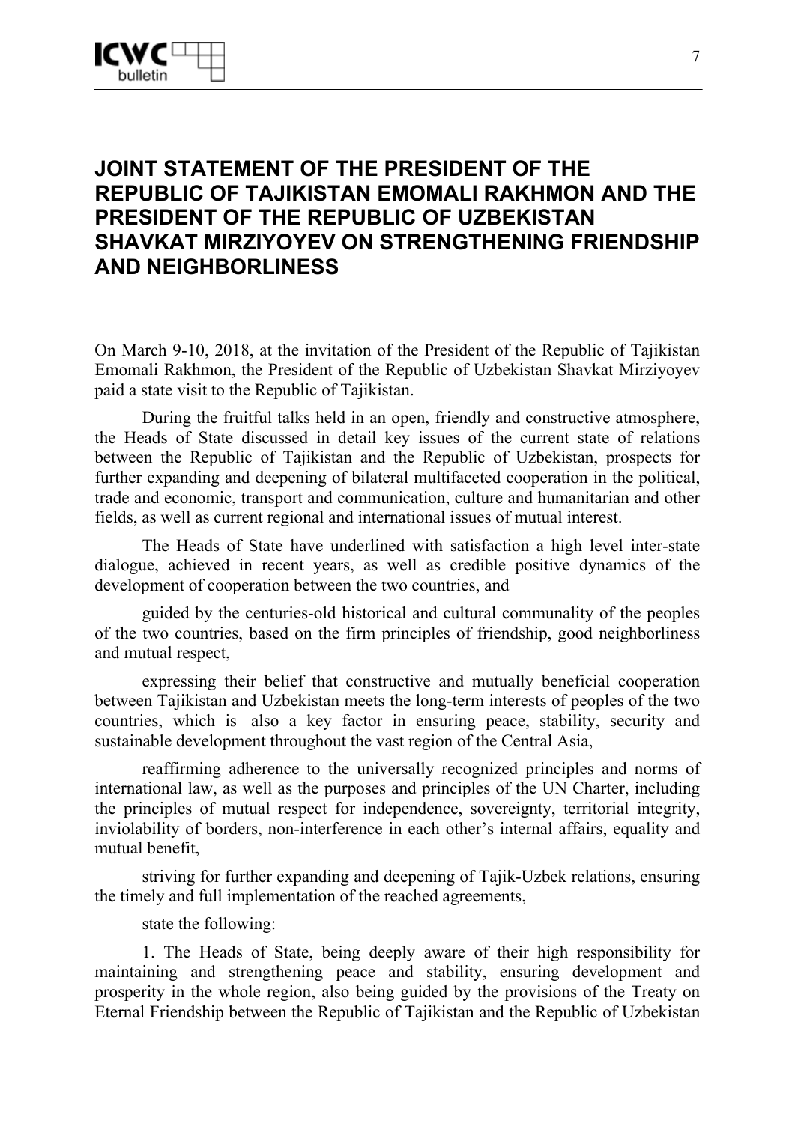### **JOINT STATEMENT OF THE PRESIDENT OF THE REPUBLIC OF TAJIKISTAN EMOMALI RAKHMON AND THE PRESIDENT OF THE REPUBLIC OF UZBEKISTAN SHAVKAT MIRZIYOYEV ON STRENGTHENING FRIENDSHIP AND NEIGHBORLINESS**

On March 9-10, 2018, at the invitation of the President of the Republic of Tajikistan Emomali Rakhmon, the President of the Republic of Uzbekistan Shavkat Mirziyoyev paid a state visit to the Republic of Tajikistan.

During the fruitful talks held in an open, friendly and constructive atmosphere, the Heads of State discussed in detail key issues of the current state of relations between the Republic of Tajikistan and the Republic of Uzbekistan, prospects for further expanding and deepening of bilateral multifaceted cooperation in the political, trade and economic, transport and communication, culture and humanitarian and other fields, as well as current regional and international issues of mutual interest.

The Heads of State have underlined with satisfaction a high level inter-state dialogue, achieved in recent years, as well as credible positive dynamics of the development of cooperation between the two countries, and

guided by the centuries-old historical and cultural communality of the peoples of the two countries, based on the firm principles of friendship, good neighborliness and mutual respect,

expressing their belief that constructive and mutually beneficial cooperation between Tajikistan and Uzbekistan meets the long-term interests of peoples of the two countries, which is also a key factor in ensuring peace, stability, security and sustainable development throughout the vast region of the Central Asia,

reaffirming adherence to the universally recognized principles and norms of international law, as well as the purposes and principles of the UN Charter, including the principles of mutual respect for independence, sovereignty, territorial integrity, inviolability of borders, non-interference in each other's internal affairs, equality and mutual benefit,

striving for further expanding and deepening of Tajik-Uzbek relations, ensuring the timely and full implementation of the reached agreements,

state the following:

1. The Heads of State, being deeply aware of their high responsibility for maintaining and strengthening peace and stability, ensuring development and prosperity in the whole region, also being guided by the provisions of the Treaty on Eternal Friendship between the Republic of Tajikistan and the Republic of Uzbekistan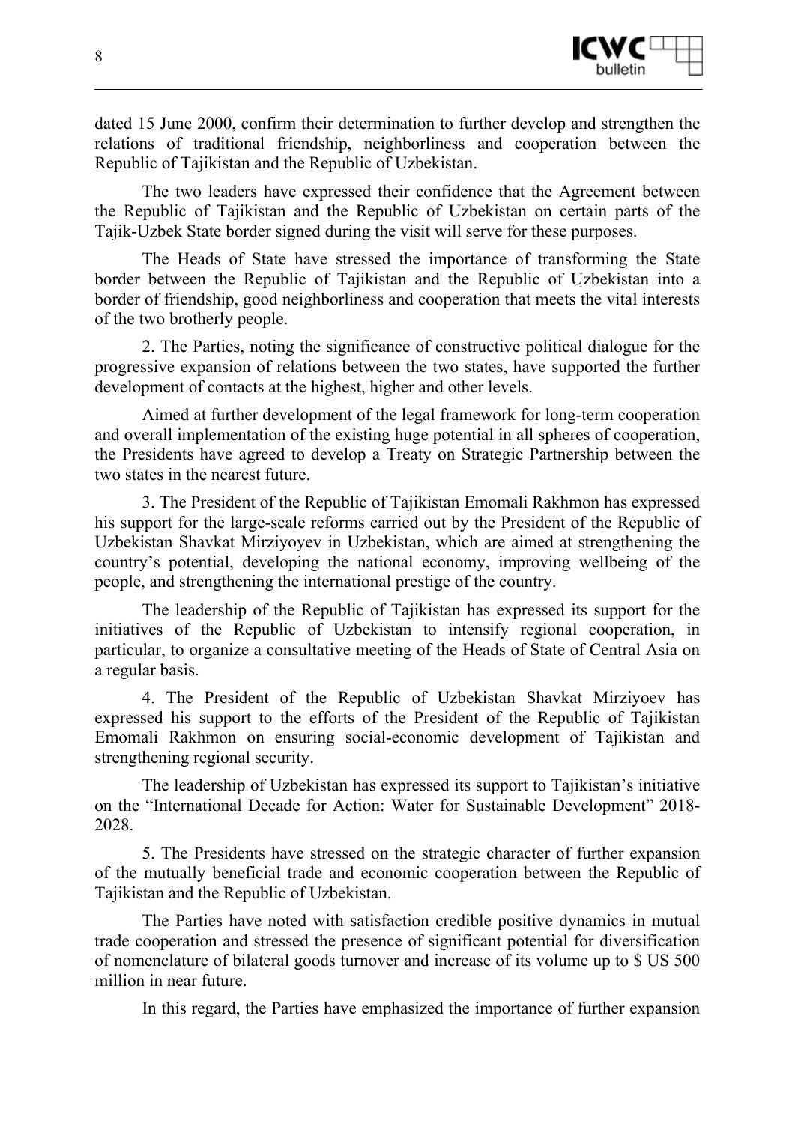

dated 15 June 2000, confirm their determination to further develop and strengthen the relations of traditional friendship, neighborliness and cooperation between the Republic of Tajikistan and the Republic of Uzbekistan.

The two leaders have expressed their confidence that the Agreement between the Republic of Tajikistan and the Republic of Uzbekistan on certain parts of the Tajik-Uzbek State border signed during the visit will serve for these purposes.

The Heads of State have stressed the importance of transforming the State border between the Republic of Tajikistan and the Republic of Uzbekistan into a border of friendship, good neighborliness and cooperation that meets the vital interests of the two brotherly people.

2. The Parties, noting the significance of constructive political dialogue for the progressive expansion of relations between the two states, have supported the further development of contacts at the highest, higher and other levels.

Aimed at further development of the legal framework for long-term cooperation and overall implementation of the existing huge potential in all spheres of cooperation, the Presidents have agreed to develop a Treaty on Strategic Partnership between the two states in the nearest future.

3. The President of the Republic of Tajikistan Emomali Rakhmon has expressed his support for the large-scale reforms carried out by the President of the Republic of Uzbekistan Shavkat Mirziyoyev in Uzbekistan, which are aimed at strengthening the country's potential, developing the national economy, improving wellbeing of the people, and strengthening the international prestige of the country.

The leadership of the Republic of Tajikistan has expressed its support for the initiatives of the Republic of Uzbekistan to intensify regional cooperation, in particular, to organize a consultative meeting of the Heads of State of Central Asia on a regular basis.

4. The President of the Republic of Uzbekistan Shavkat Mirziyoev has expressed his support to the efforts of the President of the Republic of Tajikistan Emomali Rakhmon on ensuring social-economic development of Tajikistan and strengthening regional security.

The leadership of Uzbekistan has expressed its support to Tajikistan's initiative on the "International Decade for Action: Water for Sustainable Development" 2018- 2028.

5. The Presidents have stressed on the strategic character of further expansion of the mutually beneficial trade and economic cooperation between the Republic of Tajikistan and the Republic of Uzbekistan.

The Parties have noted with satisfaction credible positive dynamics in mutual trade cooperation and stressed the presence of significant potential for diversification of nomenclature of bilateral goods turnover and increase of its volume up to \$ US 500 million in near future.

In this regard, the Parties have emphasized the importance of further expansion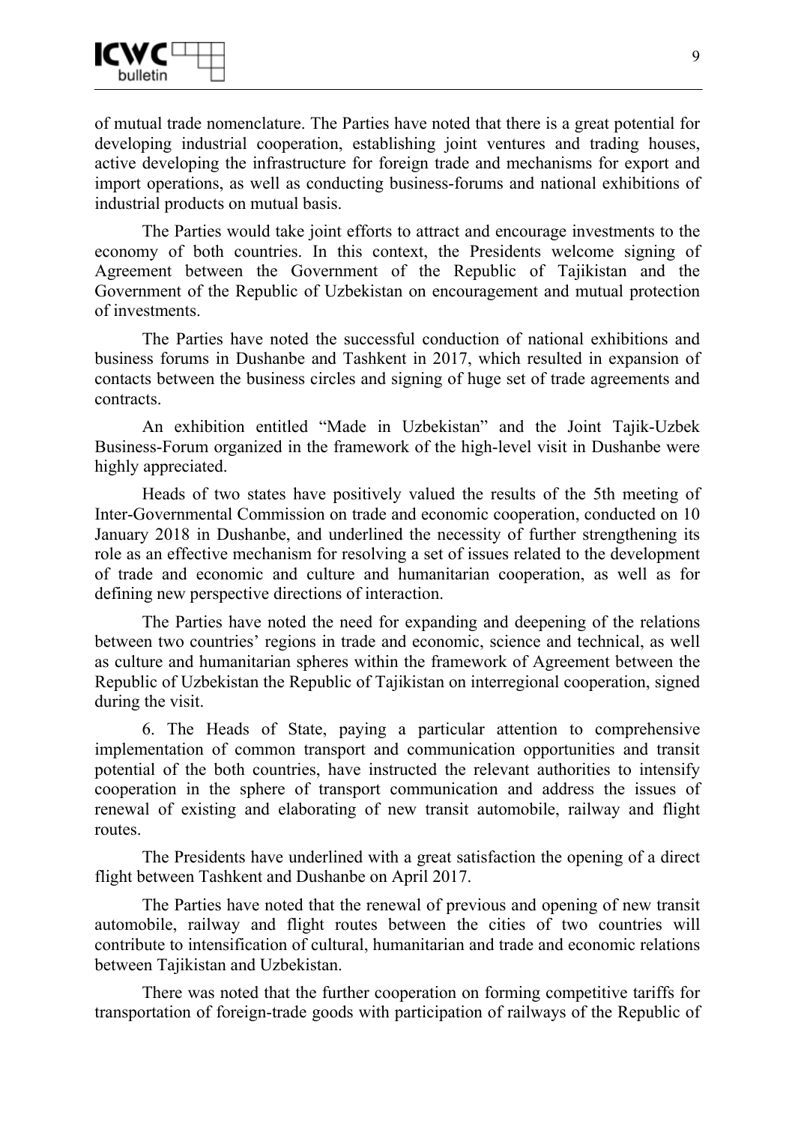of mutual trade nomenclature. The Parties have noted that there is a great potential for developing industrial cooperation, establishing joint ventures and trading houses, active developing the infrastructure for foreign trade and mechanisms for export and import operations, as well as conducting business-forums and national exhibitions of industrial products on mutual basis.

The Parties would take joint efforts to attract and encourage investments to the economy of both countries. In this context, the Presidents welcome signing of Agreement between the Government of the Republic of Tajikistan and the Government of the Republic of Uzbekistan on encouragement and mutual protection of investments.

The Parties have noted the successful conduction of national exhibitions and business forums in Dushanbe and Tashkent in 2017, which resulted in expansion of contacts between the business circles and signing of huge set of trade agreements and contracts.

An exhibition entitled "Made in Uzbekistan" and the Joint Tajik-Uzbek Business-Forum organized in the framework of the high-level visit in Dushanbe were highly appreciated.

Heads of two states have positively valued the results of the 5th meeting of Inter-Governmental Commission on trade and economic cooperation, conducted on 10 January 2018 in Dushanbe, and underlined the necessity of further strengthening its role as an effective mechanism for resolving a set of issues related to the development of trade and economic and culture and humanitarian cooperation, as well as for defining new perspective directions of interaction.

The Parties have noted the need for expanding and deepening of the relations between two countries' regions in trade and economic, science and technical, as well as culture and humanitarian spheres within the framework of Agreement between the Republic of Uzbekistan the Republic of Tajikistan on interregional cooperation, signed during the visit.

6. The Heads of State, paying a particular attention to comprehensive implementation of common transport and communication opportunities and transit potential of the both countries, have instructed the relevant authorities to intensify cooperation in the sphere of transport communication and address the issues of renewal of existing and elaborating of new transit automobile, railway and flight routes.

The Presidents have underlined with a great satisfaction the opening of a direct flight between Tashkent and Dushanbe on April 2017.

The Parties have noted that the renewal of previous and opening of new transit automobile, railway and flight routes between the cities of two countries will contribute to intensification of cultural, humanitarian and trade and economic relations between Tajikistan and Uzbekistan.

There was noted that the further cooperation on forming competitive tariffs for transportation of foreign-trade goods with participation of railways of the Republic of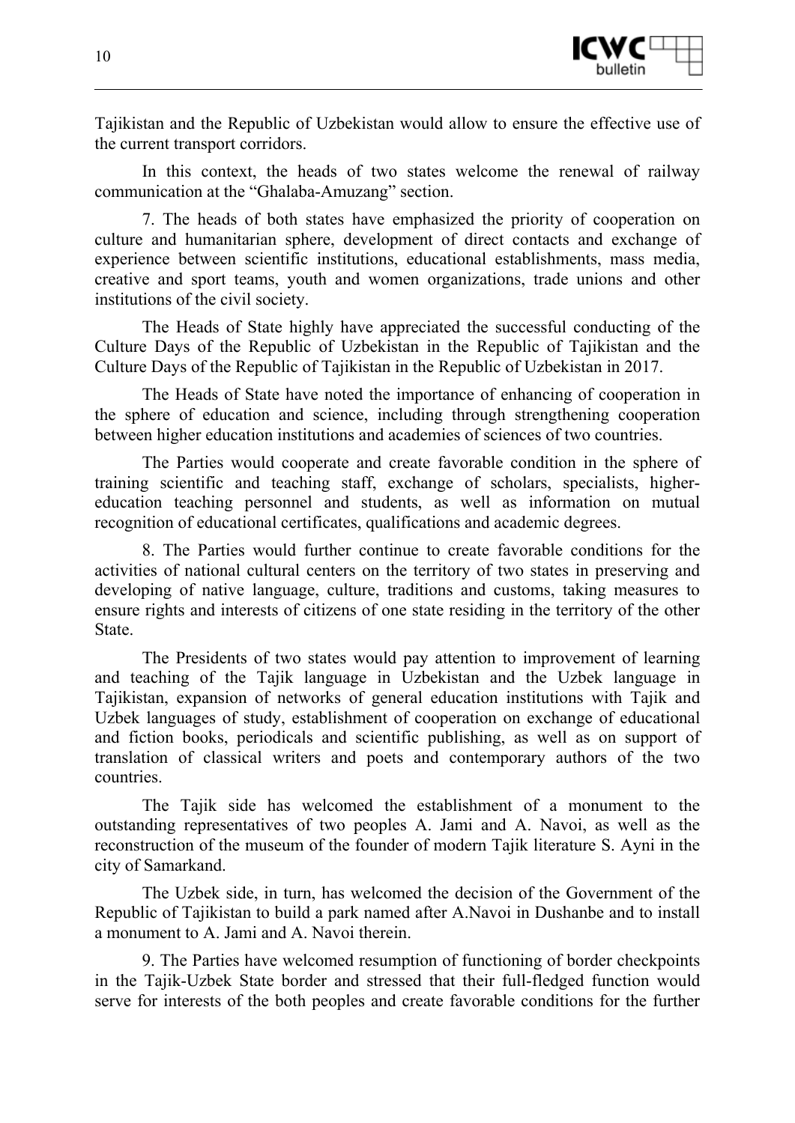

Tajikistan and the Republic of Uzbekistan would allow to ensure the effective use of the current transport corridors.

In this context, the heads of two states welcome the renewal of railway communication at the "Ghalaba-Amuzang" section.

7. The heads of both states have emphasized the priority of cooperation on culture and humanitarian sphere, development of direct contacts and exchange of experience between scientific institutions, educational establishments, mass media, creative and sport teams, youth and women organizations, trade unions and other institutions of the civil society.

The Heads of State highly have appreciated the successful conducting of the Culture Days of the Republic of Uzbekistan in the Republic of Tajikistan and the Culture Days of the Republic of Tajikistan in the Republic of Uzbekistan in 2017.

The Heads of State have noted the importance of enhancing of cooperation in the sphere of education and science, including through strengthening cooperation between higher education institutions and academies of sciences of two countries.

The Parties would cooperate and create favorable condition in the sphere of training scientific and teaching staff, exchange of scholars, specialists, highereducation teaching personnel and students, as well as information on mutual recognition of educational certificates, qualifications and academic degrees.

8. The Parties would further continue to create favorable conditions for the activities of national cultural centers on the territory of two states in preserving and developing of native language, culture, traditions and customs, taking measures to ensure rights and interests of citizens of one state residing in the territory of the other State.

The Presidents of two states would pay attention to improvement of learning and teaching of the Tajik language in Uzbekistan and the Uzbek language in Tajikistan, expansion of networks of general education institutions with Tajik and Uzbek languages of study, establishment of cooperation on exchange of educational and fiction books, periodicals and scientific publishing, as well as on support of translation of classical writers and poets and contemporary authors of the two countries.

The Tajik side has welcomed the establishment of a monument to the outstanding representatives of two peoples A. Jami and A. Navoi, as well as the reconstruction of the museum of the founder of modern Tajik literature S. Ayni in the city of Samarkand.

The Uzbek side, in turn, has welcomed the decision of the Government of the Republic of Tajikistan to build a park named after A.Navoi in Dushanbe and to install a monument to A. Jami and A. Navoi therein.

9. The Parties have welcomed resumption of functioning of border checkpoints in the Tajik-Uzbek State border and stressed that their full-fledged function would serve for interests of the both peoples and create favorable conditions for the further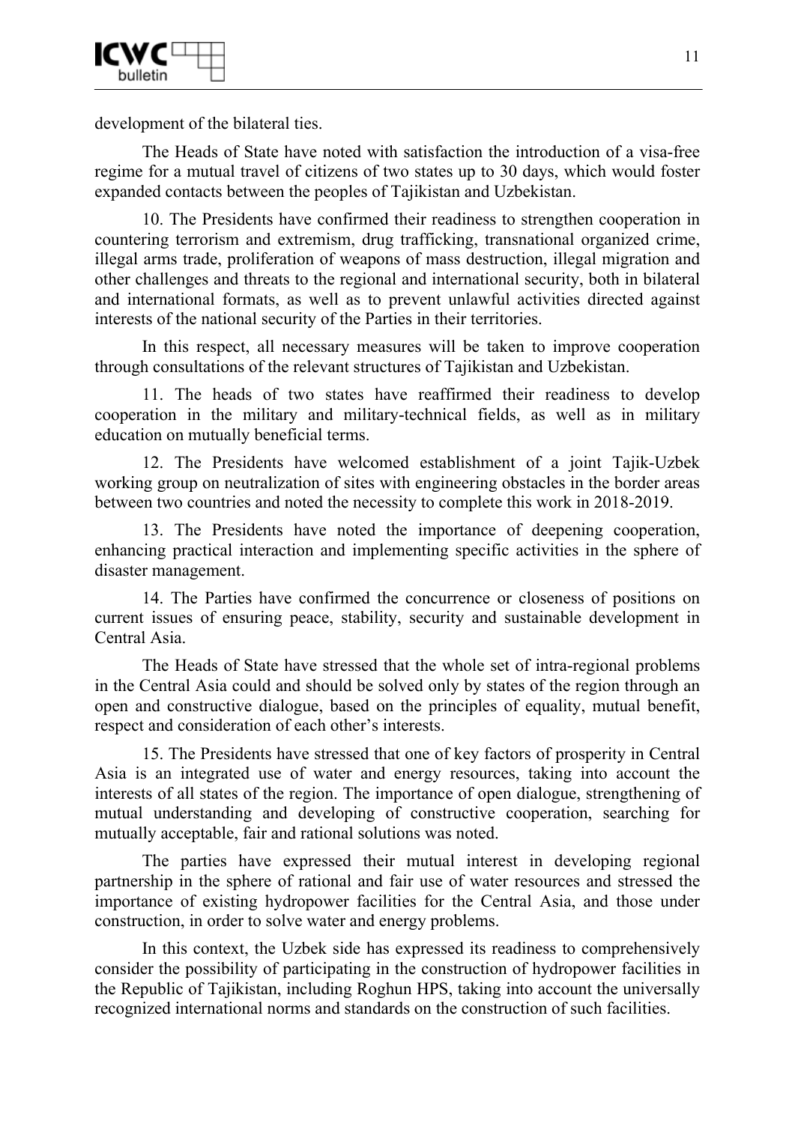development of the bilateral ties.

The Heads of State have noted with satisfaction the introduction of a visa-free regime for a mutual travel of citizens of two states up to 30 days, which would foster expanded contacts between the peoples of Tajikistan and Uzbekistan.

10. The Presidents have confirmed their readiness to strengthen cooperation in countering terrorism and extremism, drug trafficking, transnational organized crime, illegal arms trade, proliferation of weapons of mass destruction, illegal migration and other challenges and threats to the regional and international security, both in bilateral and international formats, as well as to prevent unlawful activities directed against interests of the national security of the Parties in their territories.

In this respect, all necessary measures will be taken to improve cooperation through consultations of the relevant structures of Tajikistan and Uzbekistan.

11. The heads of two states have reaffirmed their readiness to develop cooperation in the military and military-technical fields, as well as in military education on mutually beneficial terms.

12. The Presidents have welcomed establishment of a joint Tajik-Uzbek working group on neutralization of sites with engineering obstacles in the border areas between two countries and noted the necessity to complete this work in 2018-2019.

13. The Presidents have noted the importance of deepening cooperation, enhancing practical interaction and implementing specific activities in the sphere of disaster management.

14. The Parties have confirmed the concurrence or closeness of positions on current issues of ensuring peace, stability, security and sustainable development in Central Asia.

The Heads of State have stressed that the whole set of intra-regional problems in the Central Asia could and should be solved only by states of the region through an open and constructive dialogue, based on the principles of equality, mutual benefit, respect and consideration of each other's interests.

15. The Presidents have stressed that one of key factors of prosperity in Central Asia is an integrated use of water and energy resources, taking into account the interests of all states of the region. The importance of open dialogue, strengthening of mutual understanding and developing of constructive cooperation, searching for mutually acceptable, fair and rational solutions was noted.

The parties have expressed their mutual interest in developing regional partnership in the sphere of rational and fair use of water resources and stressed the importance of existing hydropower facilities for the Central Asia, and those under construction, in order to solve water and energy problems.

In this context, the Uzbek side has expressed its readiness to comprehensively consider the possibility of participating in the construction of hydropower facilities in the Republic of Tajikistan, including Roghun HPS, taking into account the universally recognized international norms and standards on the construction of such facilities.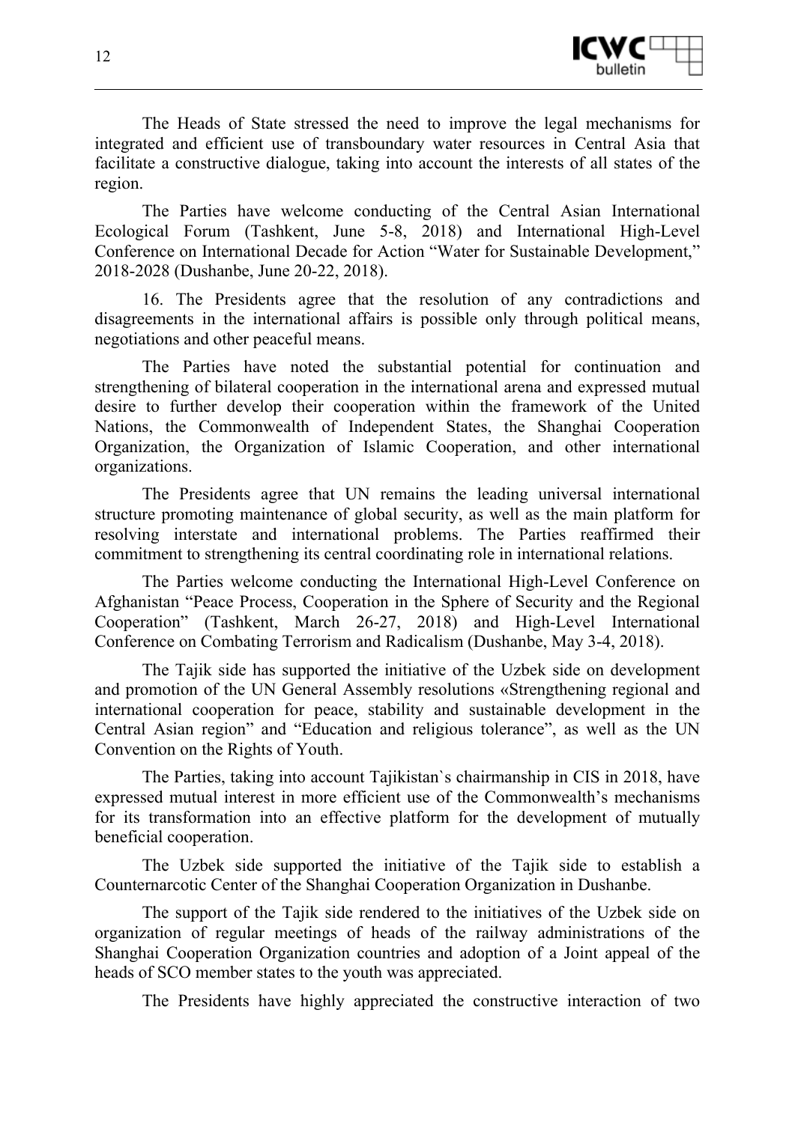

The Heads of State stressed the need to improve the legal mechanisms for integrated and efficient use of transboundary water resources in Central Asia that facilitate a constructive dialogue, taking into account the interests of all states of the region.

The Parties have welcome conducting of the Central Asian International Ecological Forum (Tashkent, June 5-8, 2018) and International High-Level Conference on International Decade for Action "Water for Sustainable Development," 2018-2028 (Dushanbe, June 20-22, 2018).

16. The Presidents agree that the resolution of any contradictions and disagreements in the international affairs is possible only through political means, negotiations and other peaceful means.

The Parties have noted the substantial potential for continuation and strengthening of bilateral cooperation in the international arena and expressed mutual desire to further develop their cooperation within the framework of the United Nations, the Commonwealth of Independent States, the Shanghai Cooperation Organization, the Organization of Islamic Cooperation, and other international organizations.

The Presidents agree that UN remains the leading universal international structure promoting maintenance of global security, as well as the main platform for resolving interstate and international problems. The Parties reaffirmed their commitment to strengthening its central coordinating role in international relations.

The Parties welcome conducting the International High-Level Conference on Afghanistan "Peace Process, Cooperation in the Sphere of Security and the Regional Cooperation" (Tashkent, March 26-27, 2018) and High-Level International Conference on Combating Terrorism and Radicalism (Dushanbe, May 3-4, 2018).

The Tajik side has supported the initiative of the Uzbek side on development and promotion of the UN General Assembly resolutions «Strengthening regional and international cooperation for peace, stability and sustainable development in the Central Asian region" and "Education and religious tolerance", as well as the UN Convention on the Rights of Youth.

The Parties, taking into account Tajikistan`s chairmanship in CIS in 2018, have expressed mutual interest in more efficient use of the Commonwealth's mechanisms for its transformation into an effective platform for the development of mutually beneficial cooperation.

The Uzbek side supported the initiative of the Tajik side to establish a Counternarcotic Center of the Shanghai Cooperation Organization in Dushanbe.

The support of the Tajik side rendered to the initiatives of the Uzbek side on organization of regular meetings of heads of the railway administrations of the Shanghai Cooperation Organization countries and adoption of a Joint appeal of the heads of SCO member states to the youth was appreciated.

The Presidents have highly appreciated the constructive interaction of two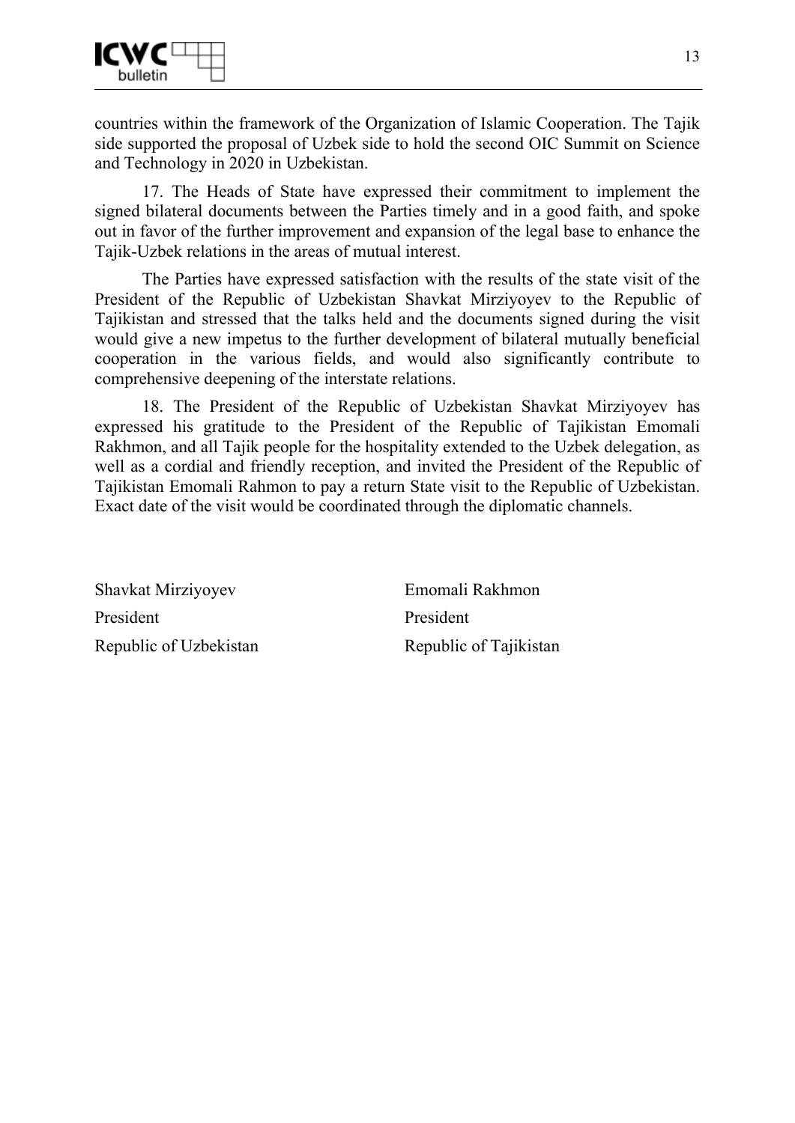

countries within the framework of the Organization of Islamic Cooperation. The Tajik side supported the proposal of Uzbek side to hold the second OIC Summit on Science and Technology in 2020 in Uzbekistan.

17. The Heads of State have expressed their commitment to implement the signed bilateral documents between the Parties timely and in a good faith, and spoke out in favor of the further improvement and expansion of the legal base to enhance the Tajik-Uzbek relations in the areas of mutual interest.

The Parties have expressed satisfaction with the results of the state visit of the President of the Republic of Uzbekistan Shavkat Mirziyoyev to the Republic of Tajikistan and stressed that the talks held and the documents signed during the visit would give a new impetus to the further development of bilateral mutually beneficial cooperation in the various fields, and would also significantly contribute to comprehensive deepening of the interstate relations.

18. The President of the Republic of Uzbekistan Shavkat Mirziyoyev has expressed his gratitude to the President of the Republic of Tajikistan Emomali Rakhmon, and all Tajik people for the hospitality extended to the Uzbek delegation, as well as a cordial and friendly reception, and invited the President of the Republic of Tajikistan Emomali Rahmon to pay a return State visit to the Republic of Uzbekistan. Exact date of the visit would be coordinated through the diplomatic channels.

Shavkat Mirziyoyev President Republic of Uzbekistan Emomali Rakhmon President Republic of Tajikistan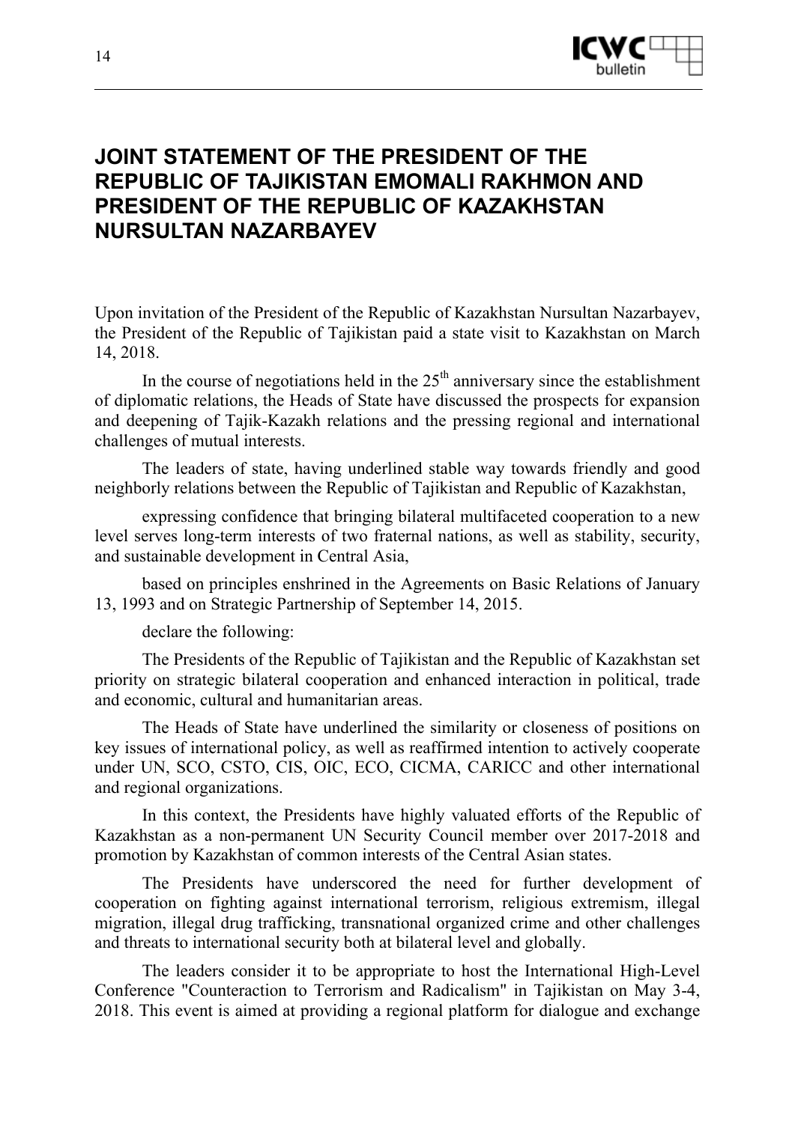

### **JOINT STATEMENT OF THE PRESIDENT OF THE REPUBLIC OF TAJIKISTAN EMOMALI RAKHMON AND PRESIDENT OF THE REPUBLIC OF KAZAKHSTAN NURSULTAN NAZARBAYEV**

Upon invitation of the President of the Republic of Kazakhstan Nursultan Nazarbayev, the President of the Republic of Tajikistan paid a state visit to Kazakhstan on March 14, 2018.

In the course of negotiations held in the  $25<sup>th</sup>$  anniversary since the establishment of diplomatic relations, the Heads of State have discussed the prospects for expansion and deepening of Tajik-Kazakh relations and the pressing regional and international challenges of mutual interests.

The leaders of state, having underlined stable way towards friendly and good neighborly relations between the Republic of Tajikistan and Republic of Kazakhstan,

expressing confidence that bringing bilateral multifaceted cooperation to a new level serves long-term interests of two fraternal nations, as well as stability, security, and sustainable development in Central Asia,

based on principles enshrined in the Agreements on Basic Relations of January 13, 1993 and on Strategic Partnership of September 14, 2015.

declare the following:

The Presidents of the Republic of Tajikistan and the Republic of Kazakhstan set priority on strategic bilateral cooperation and enhanced interaction in political, trade and economic, cultural and humanitarian areas.

The Heads of State have underlined the similarity or closeness of positions on key issues of international policy, as well as reaffirmed intention to actively cooperate under UN, SCO, CSTO, CIS, OIC, ECO, CICMA, CARICC and other international and regional organizations.

In this context, the Presidents have highly valuated efforts of the Republic of Kazakhstan as a non-permanent UN Security Council member over 2017-2018 and promotion by Kazakhstan of common interests of the Central Asian states.

The Presidents have underscored the need for further development of cooperation on fighting against international terrorism, religious extremism, illegal migration, illegal drug trafficking, transnational organized crime and other challenges and threats to international security both at bilateral level and globally.

The leaders consider it to be appropriate to host the International High-Level Conference "Counteraction to Terrorism and Radicalism" in Tajikistan on May 3-4, 2018. This event is aimed at providing a regional platform for dialogue and exchange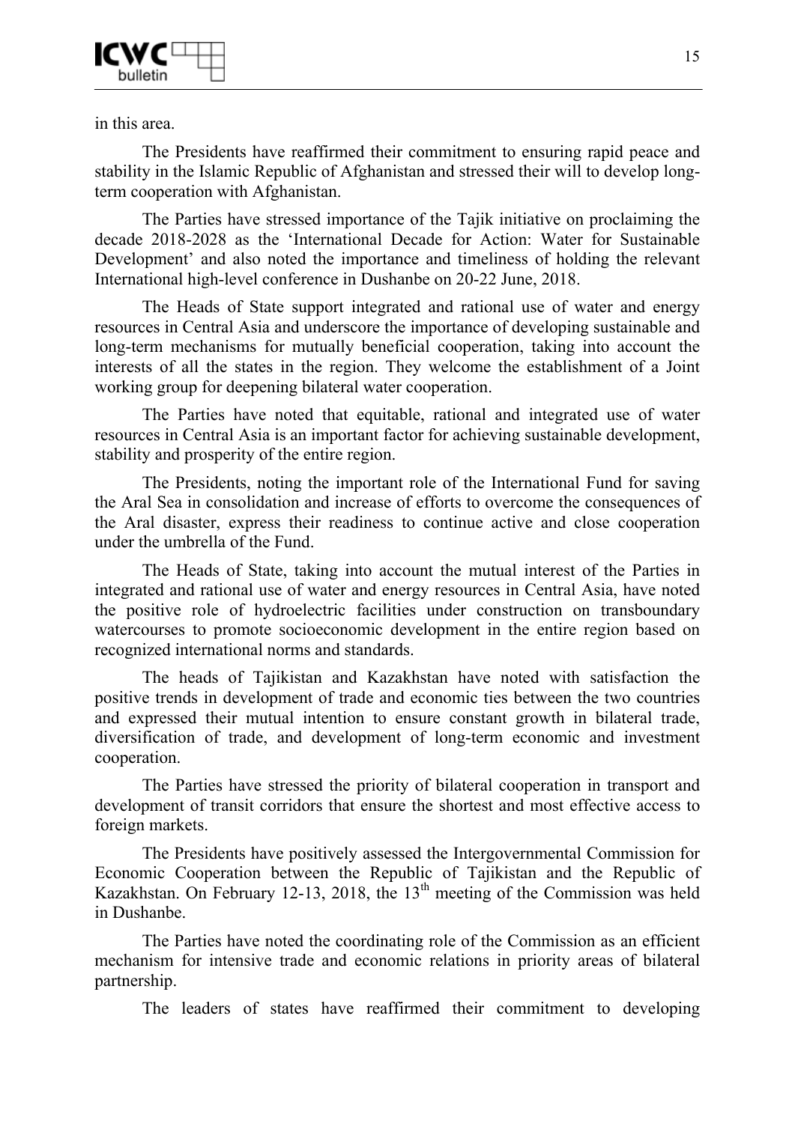in this area.

The Presidents have reaffirmed their commitment to ensuring rapid peace and stability in the Islamic Republic of Afghanistan and stressed their will to develop longterm cooperation with Afghanistan.

The Parties have stressed importance of the Tajik initiative on proclaiming the decade 2018-2028 as the 'International Decade for Action: Water for Sustainable Development' and also noted the importance and timeliness of holding the relevant International high-level conference in Dushanbe on 20-22 June, 2018.

The Heads of State support integrated and rational use of water and energy resources in Central Asia and underscore the importance of developing sustainable and long-term mechanisms for mutually beneficial cooperation, taking into account the interests of all the states in the region. They welcome the establishment of a Joint working group for deepening bilateral water cooperation.

The Parties have noted that equitable, rational and integrated use of water resources in Central Asia is an important factor for achieving sustainable development, stability and prosperity of the entire region.

The Presidents, noting the important role of the International Fund for saving the Aral Sea in consolidation and increase of efforts to overcome the consequences of the Aral disaster, express their readiness to continue active and close cooperation under the umbrella of the Fund.

The Heads of State, taking into account the mutual interest of the Parties in integrated and rational use of water and energy resources in Central Asia, have noted the positive role of hydroelectric facilities under construction on transboundary watercourses to promote socioeconomic development in the entire region based on recognized international norms and standards.

The heads of Tajikistan and Kazakhstan have noted with satisfaction the positive trends in development of trade and economic ties between the two countries and expressed their mutual intention to ensure constant growth in bilateral trade, diversification of trade, and development of long-term economic and investment cooperation.

The Parties have stressed the priority of bilateral cooperation in transport and development of transit corridors that ensure the shortest and most effective access to foreign markets.

The Presidents have positively assessed the Intergovernmental Commission for Economic Cooperation between the Republic of Tajikistan and the Republic of Kazakhstan. On February 12-13, 2018, the  $13<sup>th</sup>$  meeting of the Commission was held in Dushanbe.

The Parties have noted the coordinating role of the Commission as an efficient mechanism for intensive trade and economic relations in priority areas of bilateral partnership.

The leaders of states have reaffirmed their commitment to developing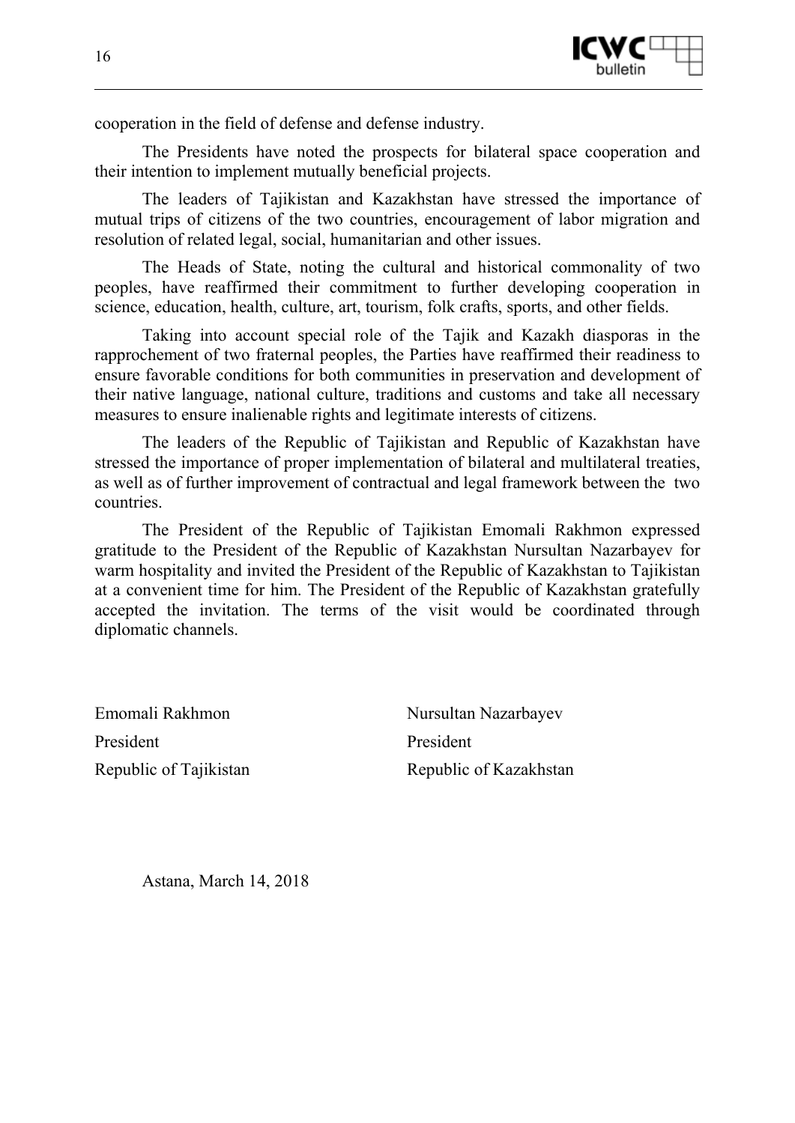

cooperation in the field of defense and defense industry.

The Presidents have noted the prospects for bilateral space cooperation and their intention to implement mutually beneficial projects.

The leaders of Tajikistan and Kazakhstan have stressed the importance of mutual trips of citizens of the two countries, encouragement of labor migration and resolution of related legal, social, humanitarian and other issues.

The Heads of State, noting the cultural and historical commonality of two peoples, have reaffirmed their commitment to further developing cooperation in science, education, health, culture, art, tourism, folk crafts, sports, and other fields.

Taking into account special role of the Tajik and Kazakh diasporas in the rapprochement of two fraternal peoples, the Parties have reaffirmed their readiness to ensure favorable conditions for both communities in preservation and development of their native language, national culture, traditions and customs and take all necessary measures to ensure inalienable rights and legitimate interests of citizens.

The leaders of the Republic of Tajikistan and Republic of Kazakhstan have stressed the importance of proper implementation of bilateral and multilateral treaties, as well as of further improvement of contractual and legal framework between the two countries.

The President of the Republic of Tajikistan Emomali Rakhmon expressed gratitude to the President of the Republic of Kazakhstan Nursultan Nazarbayev for warm hospitality and invited the President of the Republic of Kazakhstan to Tajikistan at a convenient time for him. The President of the Republic of Kazakhstan gratefully accepted the invitation. The terms of the visit would be coordinated through diplomatic channels.

Emomali Rakhmon President Republic of Tajikistan Nursultan Nazarbayev President Republic of Kazakhstan

Astana, March 14, 2018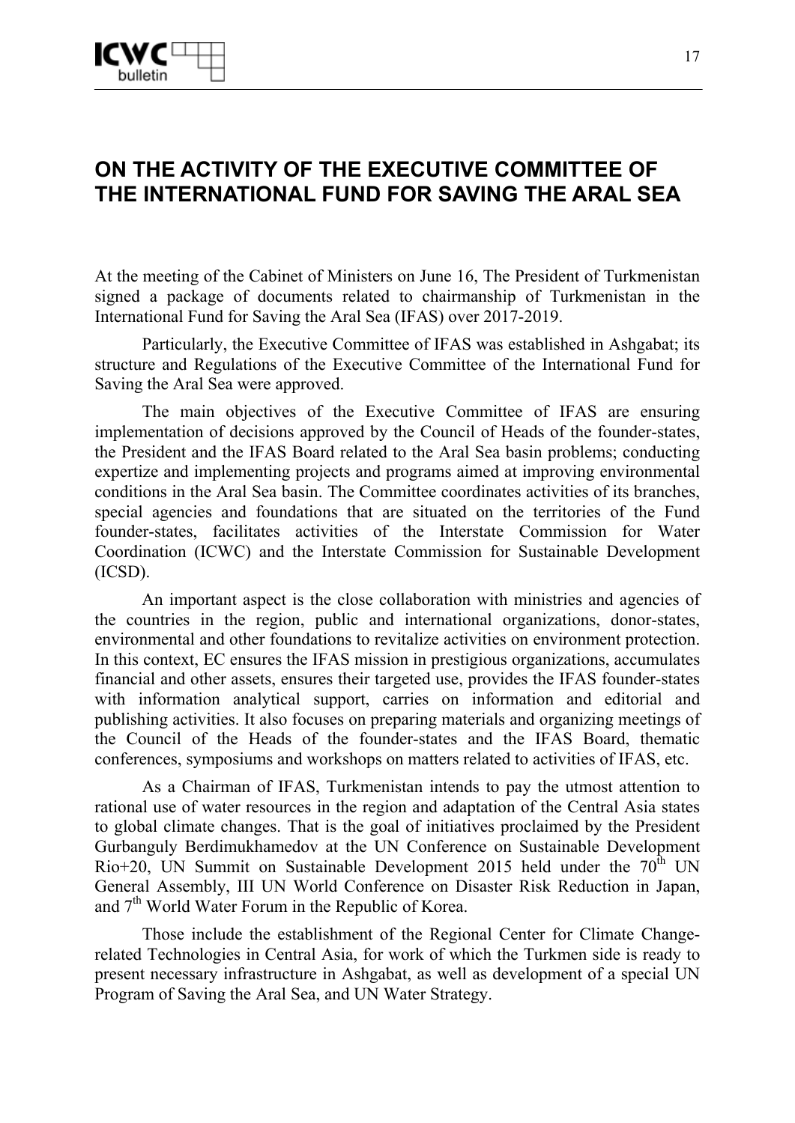# **ON THE ACTIVITY OF THE EXECUTIVE COMMITTEE OF THE INTERNATIONAL FUND FOR SAVING THE ARAL SEA**

At the meeting of the Cabinet of Ministers on June 16, The President of Turkmenistan signed a package of documents related to chairmanship of Turkmenistan in the International Fund for Saving the Aral Sea (IFAS) over 2017-2019.

Particularly, the Executive Committee of IFAS was established in Ashgabat; its structure and Regulations of the Executive Committee of the International Fund for Saving the Aral Sea were approved.

The main objectives of the Executive Committee of IFAS are ensuring implementation of decisions approved by the Council of Heads of the founder-states, the President and the IFAS Board related to the Aral Sea basin problems; conducting expertize and implementing projects and programs aimed at improving environmental conditions in the Aral Sea basin. The Committee coordinates activities of its branches, special agencies and foundations that are situated on the territories of the Fund founder-states, facilitates activities of the Interstate Commission for Water Coordination (ICWC) and the Interstate Commission for Sustainable Development (ICSD).

An important aspect is the close collaboration with ministries and agencies of the countries in the region, public and international organizations, donor-states, environmental and other foundations to revitalize activities on environment protection. In this context, EC ensures the IFAS mission in prestigious organizations, accumulates financial and other assets, ensures their targeted use, provides the IFAS founder-states with information analytical support, carries on information and editorial and publishing activities. It also focuses on preparing materials and organizing meetings of the Council of the Heads of the founder-states and the IFAS Board, thematic conferences, symposiums and workshops on matters related to activities of IFAS, etc.

As a Chairman of IFAS, Turkmenistan intends to pay the utmost attention to rational use of water resources in the region and adaptation of the Central Asia states to global climate changes. That is the goal of initiatives proclaimed by the President Gurbanguly Berdimukhamedov at the UN Conference on Sustainable Development Rio+20, UN Summit on Sustainable Development 2015 held under the  $70<sup>th</sup>$  UN General Assembly, III UN World Conference on Disaster Risk Reduction in Japan, and 7<sup>th</sup> World Water Forum in the Republic of Korea.

Those include the establishment of the Regional Center for Climate Changerelated Technologies in Central Asia, for work of which the Turkmen side is ready to present necessary infrastructure in Ashgabat, as well as development of a special UN Program of Saving the Aral Sea, and UN Water Strategy.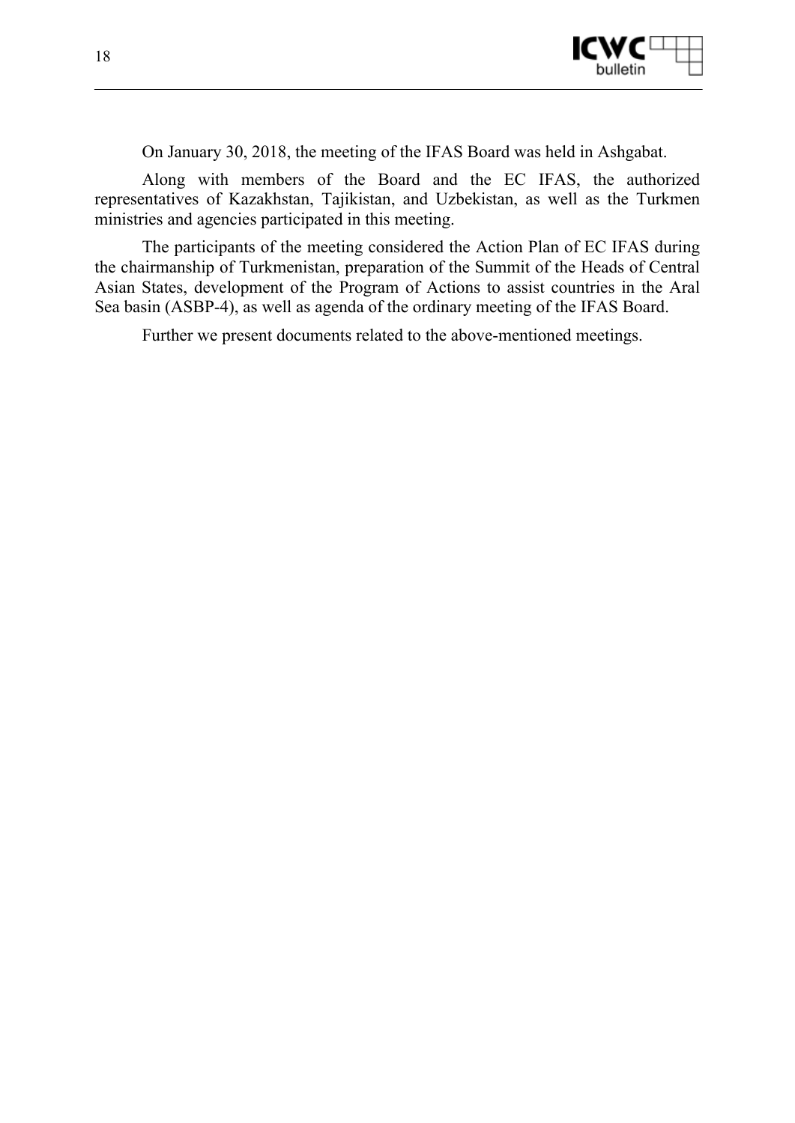

On January 30, 2018, the meeting of the IFAS Board was held in Ashgabat.

Along with members of the Board and the EC IFAS, the authorized representatives of Kazakhstan, Tajikistan, and Uzbekistan, as well as the Turkmen ministries and agencies participated in this meeting.

The participants of the meeting considered the Action Plan of EC IFAS during the chairmanship of Turkmenistan, preparation of the Summit of the Heads of Central Asian States, development of the Program of Actions to assist countries in the Aral Sea basin (ASBP-4), as well as agenda of the ordinary meeting of the IFAS Board.

Further we present documents related to the above-mentioned meetings.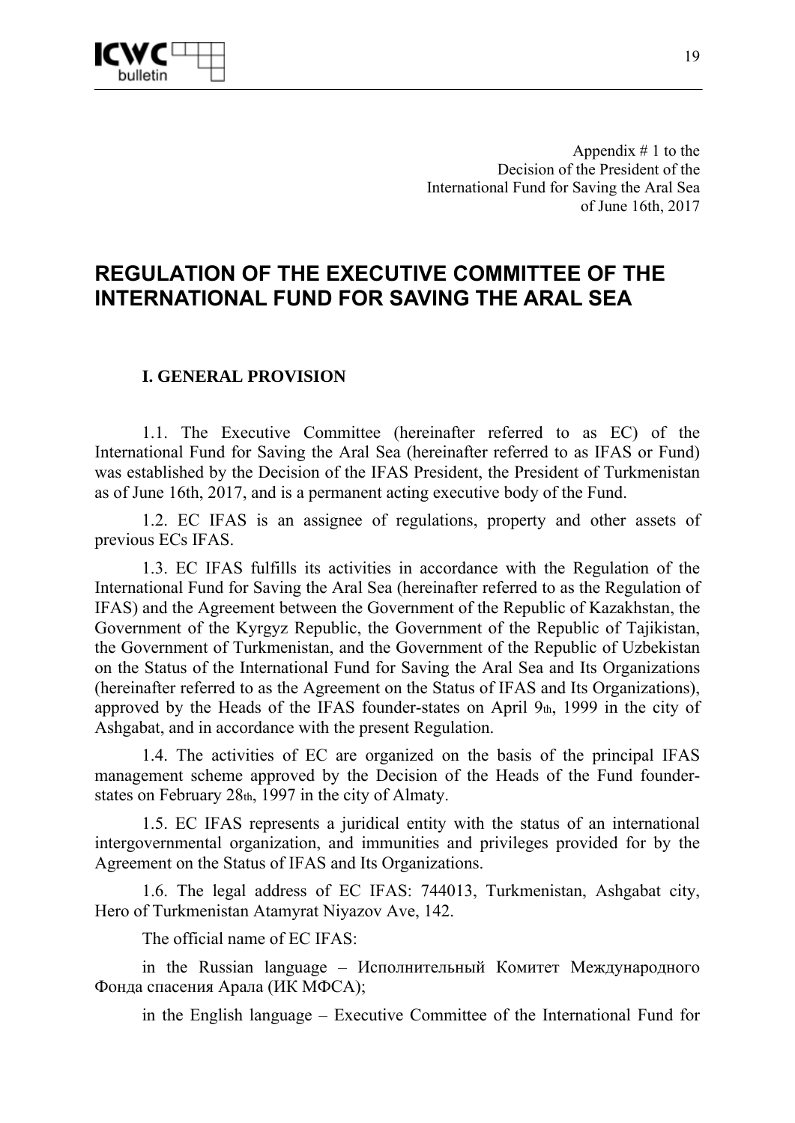

Appendix  $# 1$  to the Decision of the President of the International Fund for Saving the Aral Sea of June 16th, 2017

#### **REGULATION OF THE EXECUTIVE COMMITTEE OF THE INTERNATIONAL FUND FOR SAVING THE ARAL SEA**

#### **I. GENERAL PROVISION**

1.1. The Executive Committee (hereinafter referred to as EC) of the International Fund for Saving the Aral Sea (hereinafter referred to as IFAS or Fund) was established by the Decision of the IFAS President, the President of Turkmenistan as of June 16th, 2017, and is a permanent acting executive body of the Fund.

1.2. EC IFAS is an assignee of regulations, property and other assets of previous ECs IFAS.

1.3. EC IFAS fulfills its activities in accordance with the Regulation of the International Fund for Saving the Aral Sea (hereinafter referred to as the Regulation of IFAS) and the Agreement between the Government of the Republic of Kazakhstan, the Government of the Kyrgyz Republic, the Government of the Republic of Tajikistan, the Government of Turkmenistan, and the Government of the Republic of Uzbekistan on the Status of the International Fund for Saving the Aral Sea and Its Organizations (hereinafter referred to as the Agreement on the Status of IFAS and Its Organizations), approved by the Heads of the IFAS founder-states on April 9th, 1999 in the city of Ashgabat, and in accordance with the present Regulation.

1.4. The activities of EC are organized on the basis of the principal IFAS management scheme approved by the Decision of the Heads of the Fund founderstates on February 28th, 1997 in the city of Almaty.

1.5. EC IFAS represents a juridical entity with the status of an international intergovernmental organization, and immunities and privileges provided for by the Agreement on the Status of IFAS and Its Organizations.

1.6. The legal address of EC IFAS: 744013, Turkmenistan, Ashgabat city, Hero of Turkmenistan Atamyrat Niyazov Ave, 142.

The official name of EC IFAS:

in the Russian language – Исполнительный Комитет Международного Фонда спасения Арала (ИК МФСА);

in the English language – Executive Committee of the International Fund for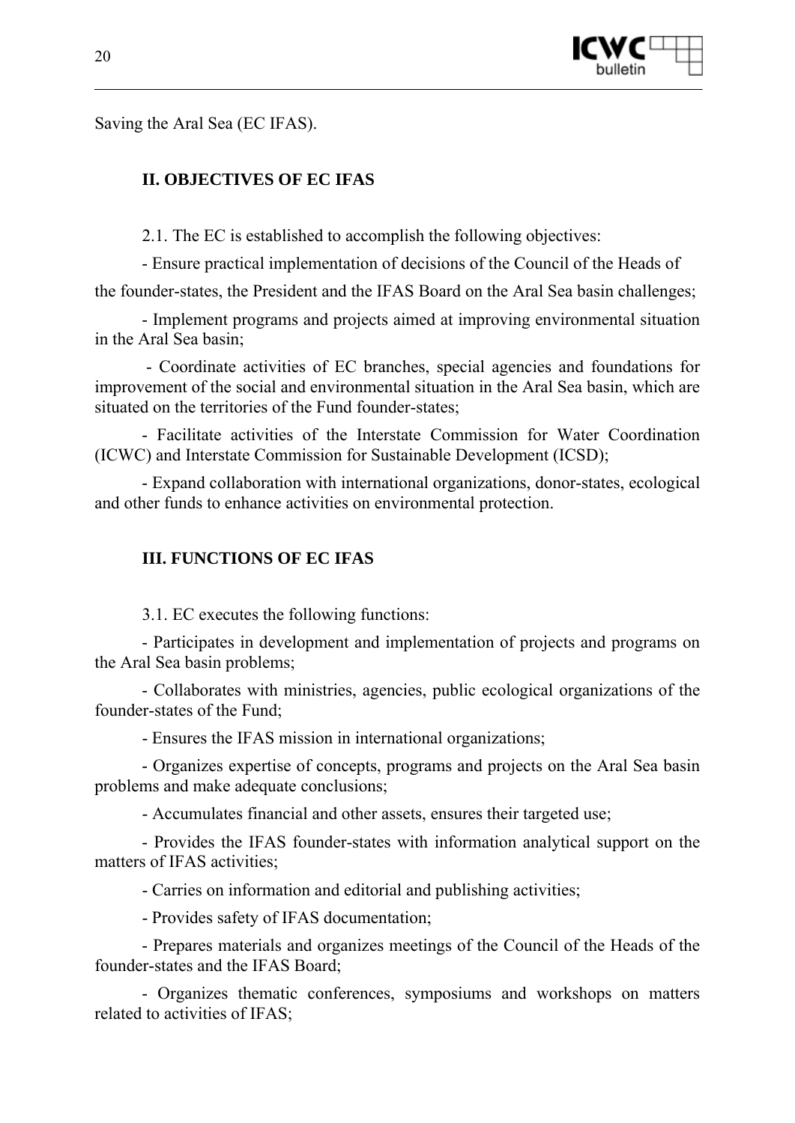

Saving the Aral Sea (EC IFAS).

#### **II. OBJECTIVES OF EC IFAS**

2.1. The EC is established to accomplish the following objectives:

- Ensure practical implementation of decisions of the Council of the Heads of

the founder-states, the President and the IFAS Board on the Aral Sea basin challenges;

- Implement programs and projects aimed at improving environmental situation in the Aral Sea basin;

 - Coordinate activities of EC branches, special agencies and foundations for improvement of the social and environmental situation in the Aral Sea basin, which are situated on the territories of the Fund founder-states;

- Facilitate activities of the Interstate Commission for Water Coordination (ICWC) and Interstate Commission for Sustainable Development (ICSD);

- Expand collaboration with international organizations, donor-states, ecological and other funds to enhance activities on environmental protection.

#### **III. FUNCTIONS OF EC IFAS**

3.1. EC executes the following functions:

- Participates in development and implementation of projects and programs on the Aral Sea basin problems;

- Collaborates with ministries, agencies, public ecological organizations of the founder-states of the Fund;

- Ensures the IFAS mission in international organizations;

- Organizes expertise of concepts, programs and projects on the Aral Sea basin problems and make adequate conclusions;

- Accumulates financial and other assets, ensures their targeted use;

- Provides the IFAS founder-states with information analytical support on the matters of IFAS activities;

- Carries on information and editorial and publishing activities;

- Provides safety of IFAS documentation;

- Prepares materials and organizes meetings of the Council of the Heads of the founder-states and the IFAS Board;

- Organizes thematic conferences, symposiums and workshops on matters related to activities of IFAS;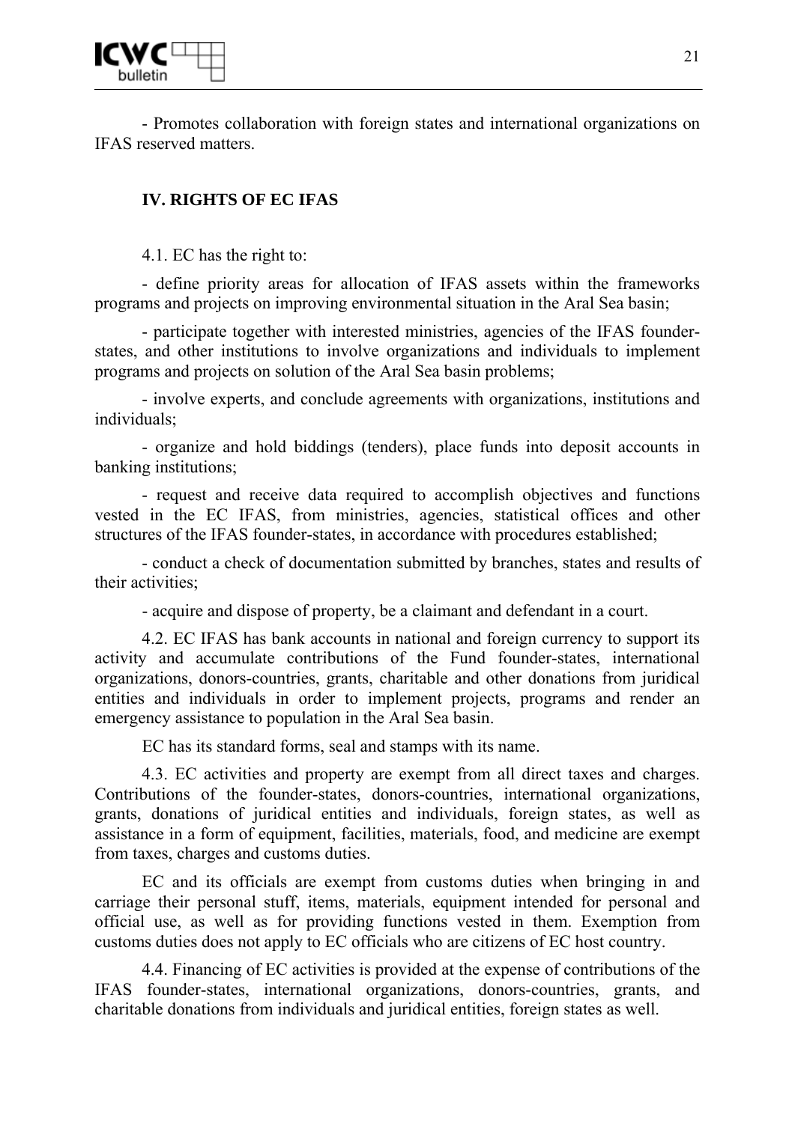

- Promotes collaboration with foreign states and international organizations on IFAS reserved matters.

#### **IV. RIGHTS OF EC IFAS**

4.1. EC has the right to:

- define priority areas for allocation of IFAS assets within the frameworks programs and projects on improving environmental situation in the Aral Sea basin;

- participate together with interested ministries, agencies of the IFAS founderstates, and other institutions to involve organizations and individuals to implement programs and projects on solution of the Aral Sea basin problems;

- involve experts, and conclude agreements with organizations, institutions and individuals;

- organize and hold biddings (tenders), place funds into deposit accounts in banking institutions;

- request and receive data required to accomplish objectives and functions vested in the EC IFAS, from ministries, agencies, statistical offices and other structures of the IFAS founder-states, in accordance with procedures established;

- conduct a check of documentation submitted by branches, states and results of their activities;

- acquire and dispose of property, be a claimant and defendant in a court.

4.2. EC IFAS has bank accounts in national and foreign currency to support its activity and accumulate contributions of the Fund founder-states, international organizations, donors-countries, grants, charitable and other donations from juridical entities and individuals in order to implement projects, programs and render an emergency assistance to population in the Aral Sea basin.

EC has its standard forms, seal and stamps with its name.

4.3. EC activities and property are exempt from all direct taxes and charges. Contributions of the founder-states, donors-countries, international organizations, grants, donations of juridical entities and individuals, foreign states, as well as assistance in a form of equipment, facilities, materials, food, and medicine are exempt from taxes, charges and customs duties.

EC and its officials are exempt from customs duties when bringing in and carriage their personal stuff, items, materials, equipment intended for personal and official use, as well as for providing functions vested in them. Exemption from customs duties does not apply to EC officials who are citizens of EC host country.

4.4. Financing of EC activities is provided at the expense of contributions of the IFAS founder-states, international organizations, donors-countries, grants, and charitable donations from individuals and juridical entities, foreign states as well.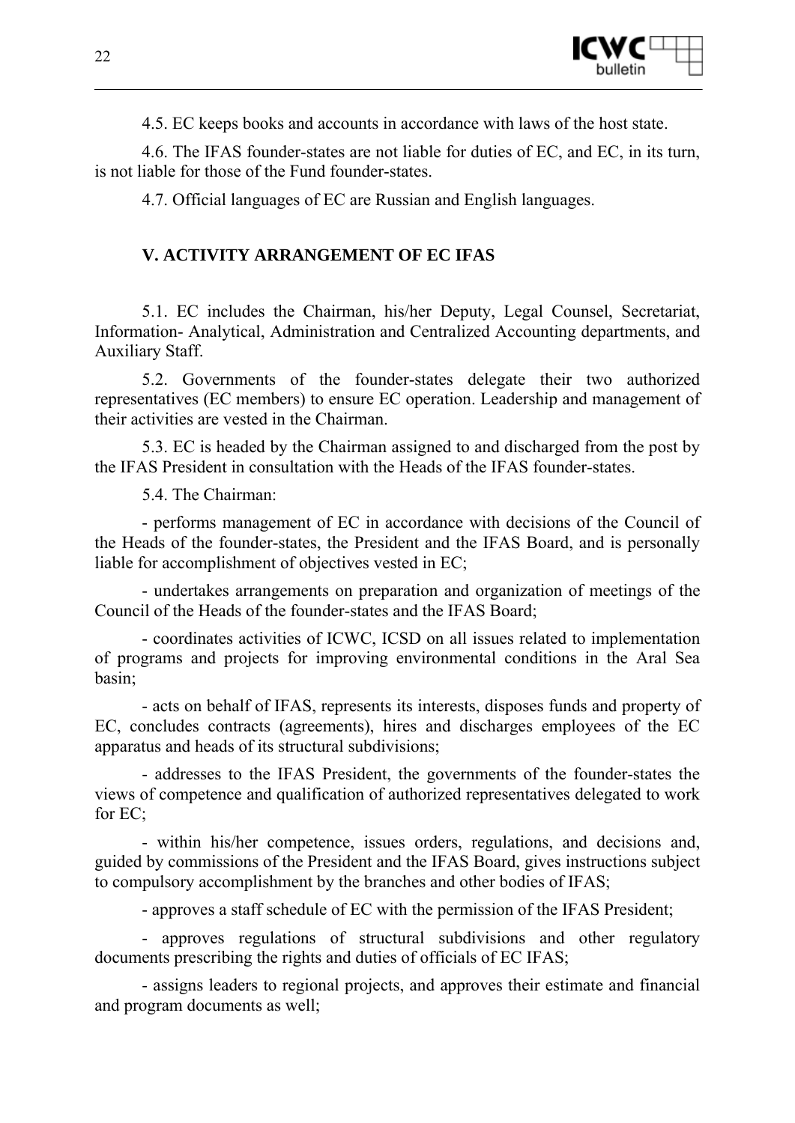

4.5. EC keeps books and accounts in accordance with laws of the host state.

4.6. The IFAS founder-states are not liable for duties of EC, and EC, in its turn, is not liable for those of the Fund founder-states.

4.7. Official languages of EC are Russian and English languages.

#### **V. ACTIVITY ARRANGEMENT OF EC IFAS**

5.1. EC includes the Chairman, his/her Deputy, Legal Counsel, Secretariat, Information- Analytical, Administration and Centralized Accounting departments, and Auxiliary Staff.

5.2. Governments of the founder-states delegate their two authorized representatives (EC members) to ensure EC operation. Leadership and management of their activities are vested in the Chairman.

5.3. EC is headed by the Chairman assigned to and discharged from the post by the IFAS President in consultation with the Heads of the IFAS founder-states.

5.4. The Chairman:

- performs management of EC in accordance with decisions of the Council of the Heads of the founder-states, the President and the IFAS Board, and is personally liable for accomplishment of objectives vested in EC;

- undertakes arrangements on preparation and organization of meetings of the Council of the Heads of the founder-states and the IFAS Board;

- coordinates activities of ICWC, ICSD on all issues related to implementation of programs and projects for improving environmental conditions in the Aral Sea basin;

- acts on behalf of IFAS, represents its interests, disposes funds and property of EC, concludes contracts (agreements), hires and discharges employees of the EC apparatus and heads of its structural subdivisions;

- addresses to the IFAS President, the governments of the founder-states the views of competence and qualification of authorized representatives delegated to work for EC;

- within his/her competence, issues orders, regulations, and decisions and, guided by commissions of the President and the IFAS Board, gives instructions subject to compulsory accomplishment by the branches and other bodies of IFAS;

- approves a staff schedule of EC with the permission of the IFAS President;

- approves regulations of structural subdivisions and other regulatory documents prescribing the rights and duties of officials of EC IFAS;

- assigns leaders to regional projects, and approves their estimate and financial and program documents as well;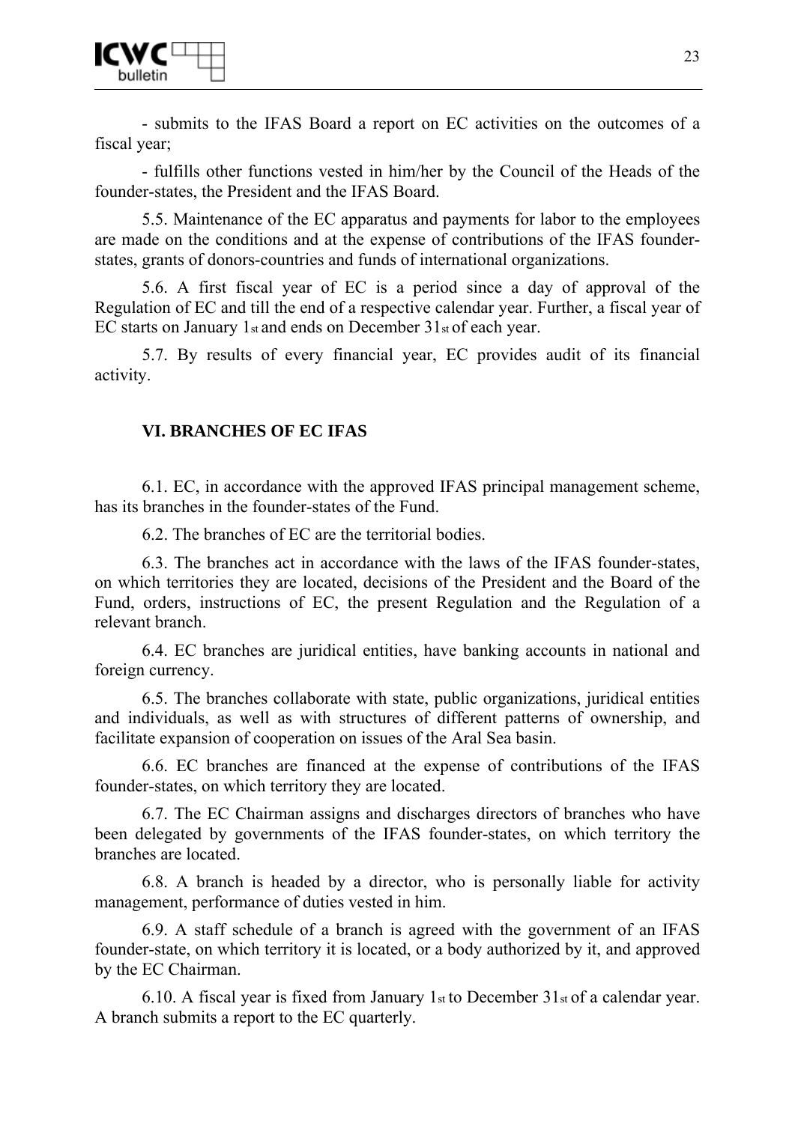

- submits to the IFAS Board a report on EC activities on the outcomes of a fiscal year;

- fulfills other functions vested in him/her by the Council of the Heads of the founder-states, the President and the IFAS Board.

5.5. Maintenance of the EC apparatus and payments for labor to the employees are made on the conditions and at the expense of contributions of the IFAS founderstates, grants of donors-countries and funds of international organizations.

5.6. A first fiscal year of EC is a period since a day of approval of the Regulation of EC and till the end of a respective calendar year. Further, a fiscal year of EC starts on January 1st and ends on December 31st of each year.

5.7. By results of every financial year, EC provides audit of its financial activity.

#### **VI. BRANCHES OF EC IFAS**

6.1. EC, in accordance with the approved IFAS principal management scheme, has its branches in the founder-states of the Fund.

6.2. The branches of EC are the territorial bodies.

6.3. The branches act in accordance with the laws of the IFAS founder-states, on which territories they are located, decisions of the President and the Board of the Fund, orders, instructions of EC, the present Regulation and the Regulation of a relevant branch.

6.4. EC branches are juridical entities, have banking accounts in national and foreign currency.

6.5. The branches collaborate with state, public organizations, juridical entities and individuals, as well as with structures of different patterns of ownership, and facilitate expansion of cooperation on issues of the Aral Sea basin.

6.6. EC branches are financed at the expense of contributions of the IFAS founder-states, on which territory they are located.

6.7. The EC Chairman assigns and discharges directors of branches who have been delegated by governments of the IFAS founder-states, on which territory the branches are located.

6.8. A branch is headed by a director, who is personally liable for activity management, performance of duties vested in him.

6.9. A staff schedule of a branch is agreed with the government of an IFAS founder-state, on which territory it is located, or a body authorized by it, and approved by the EC Chairman.

6.10. A fiscal year is fixed from January 1st to December 31st of a calendar year. A branch submits a report to the EC quarterly.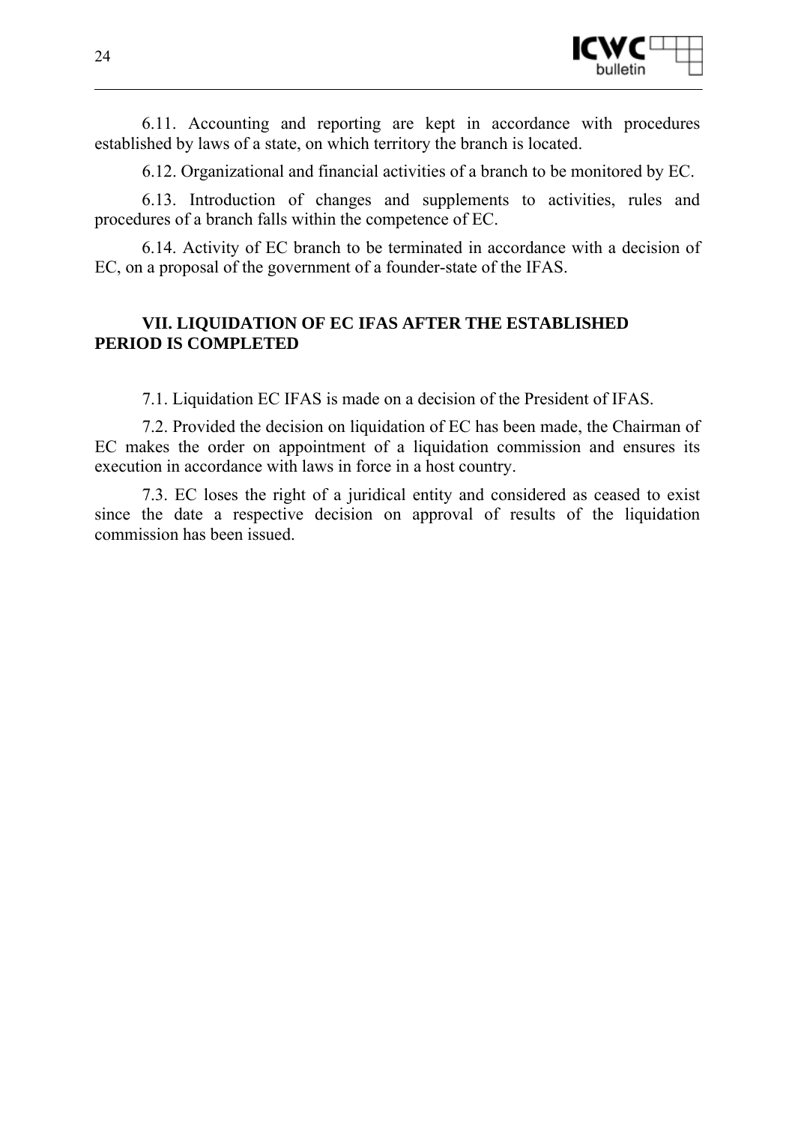

6.11. Accounting and reporting are kept in accordance with procedures established by laws of a state, on which territory the branch is located.

6.12. Organizational and financial activities of a branch to be monitored by EC.

6.13. Introduction of changes and supplements to activities, rules and procedures of a branch falls within the competence of EC.

6.14. Activity of EC branch to be terminated in accordance with a decision of EC, on a proposal of the government of a founder-state of the IFAS.

#### **VII. LIQUIDATION OF EC IFAS AFTER THE ESTABLISHED PERIOD IS COMPLETED**

7.1. Liquidation EC IFAS is made on a decision of the President of IFAS.

7.2. Provided the decision on liquidation of EC has been made, the Chairman of EC makes the order on appointment of a liquidation commission and ensures its execution in accordance with laws in force in a host country.

7.3. EC loses the right of a juridical entity and considered as ceased to exist since the date a respective decision on approval of results of the liquidation commission has been issued.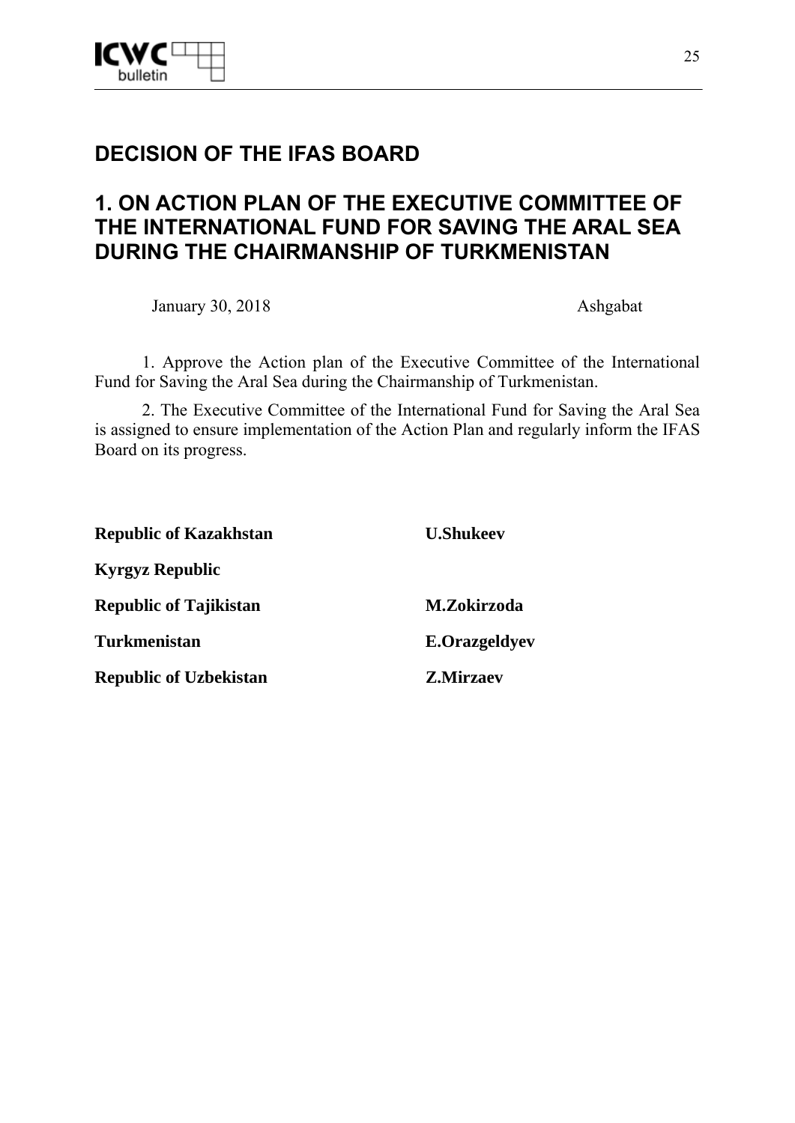

### **1. ON ACTION PLAN OF THE EXECUTIVE COMMITTEE OF THE INTERNATIONAL FUND FOR SAVING THE ARAL SEA DURING THE CHAIRMANSHIP OF TURKMENISTAN**

January 30, 2018 Ashgabat

1. Approve the Action plan of the Executive Committee of the International Fund for Saving the Aral Sea during the Chairmanship of Turkmenistan.

2. The Executive Committee of the International Fund for Saving the Aral Sea is assigned to ensure implementation of the Action Plan and regularly inform the IFAS Board on its progress.

| <b>Republic of Kazakhstan</b> | <b>U.Shukeev</b>     |  |  |
|-------------------------------|----------------------|--|--|
| <b>Kyrgyz Republic</b>        |                      |  |  |
| <b>Republic of Tajikistan</b> | M.Zokirzoda          |  |  |
| <b>Turkmenistan</b>           | <b>E.Orazgeldyev</b> |  |  |
| <b>Republic of Uzbekistan</b> | <b>Z.Mirzaev</b>     |  |  |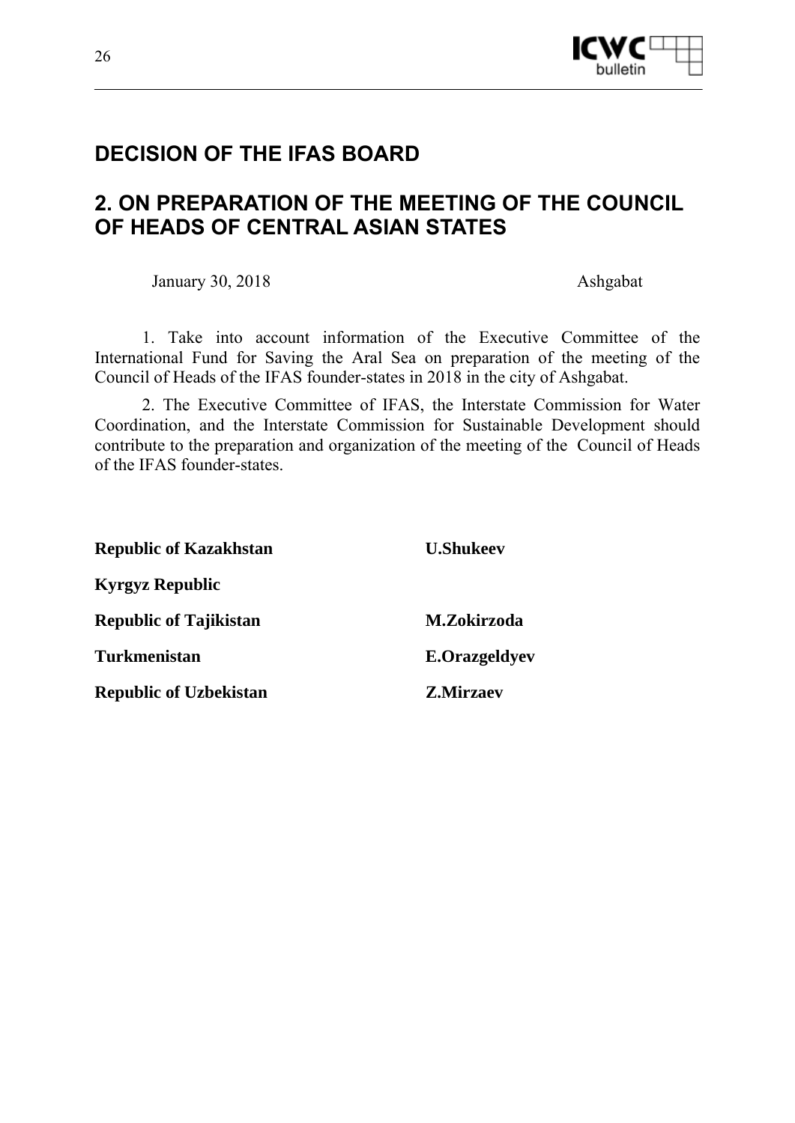

# **2. ON PREPARATION OF THE MEETING OF THE COUNCIL OF HEADS OF CENTRAL ASIAN STATES**

January 30, 2018 Ashgabat

1. Take into account information of the Executive Committee of the International Fund for Saving the Aral Sea on preparation of the meeting of the Council of Heads of the IFAS founder-states in 2018 in the city of Ashgabat.

2. The Executive Committee of IFAS, the Interstate Commission for Water Coordination, and the Interstate Commission for Sustainable Development should contribute to the preparation and organization of the meeting of the Council of Heads of the IFAS founder-states.

| <b>Republic of Kazakhstan</b> | <b>U.Shukeev</b>     |  |  |
|-------------------------------|----------------------|--|--|
| <b>Kyrgyz Republic</b>        |                      |  |  |
| <b>Republic of Tajikistan</b> | M.Zokirzoda          |  |  |
| <b>Turkmenistan</b>           | <b>E.Orazgeldvev</b> |  |  |
| <b>Republic of Uzbekistan</b> | <b>Z.Mirzaev</b>     |  |  |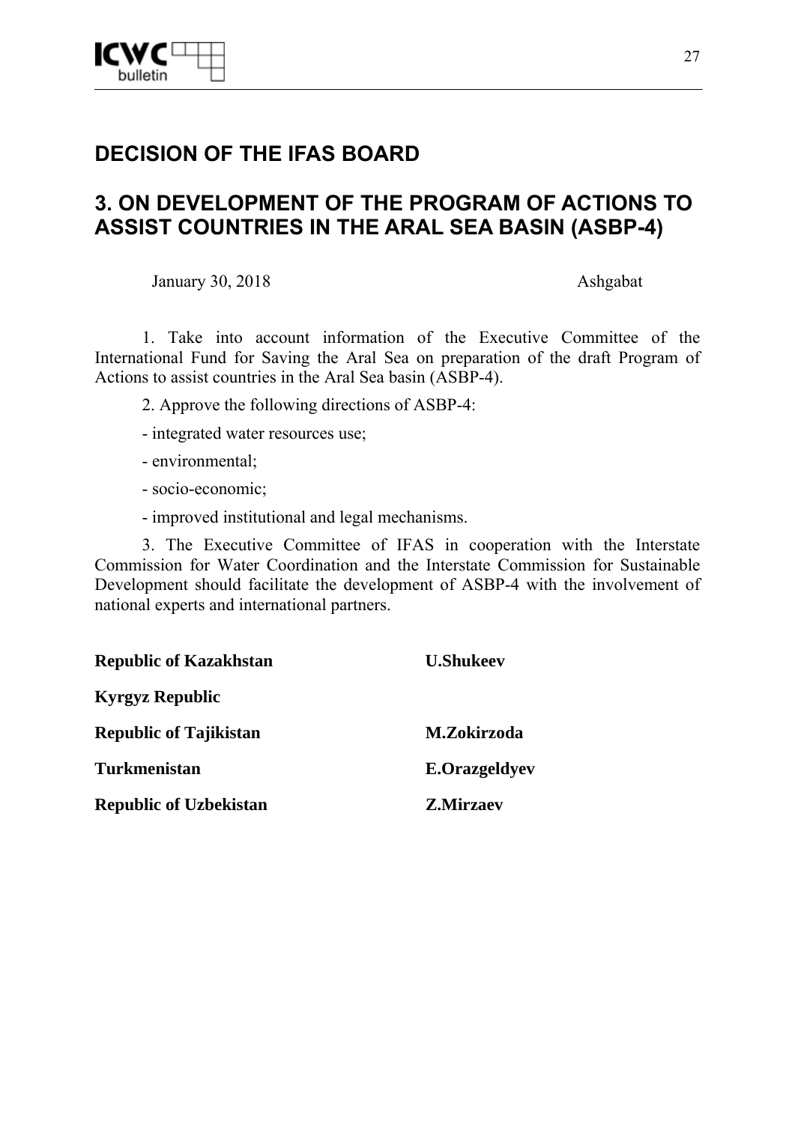

# **3. ON DEVELOPMENT OF THE PROGRAM OF ACTIONS TO ASSIST COUNTRIES IN THE ARAL SEA BASIN (ASBP-4)**

January 30, 2018 Ashgabat

1. Take into account information of the Executive Committee of the International Fund for Saving the Aral Sea on preparation of the draft Program of Actions to assist countries in the Aral Sea basin (ASBP-4).

- 2. Approve the following directions of ASBP-4:
- integrated water resources use;
- environmental;
- socio-economic;
- improved institutional and legal mechanisms.

3. The Executive Committee of IFAS in cooperation with the Interstate Commission for Water Coordination and the Interstate Commission for Sustainable Development should facilitate the development of ASBP-4 with the involvement of national experts and international partners.

| <b>Republic of Kazakhstan</b> | <b>U.Shukeev</b>     |
|-------------------------------|----------------------|
| <b>Kyrgyz Republic</b>        |                      |
| <b>Republic of Tajikistan</b> | M.Zokirzoda          |
| <b>Turkmenistan</b>           | <b>E.Orazgeldyev</b> |
| <b>Republic of Uzbekistan</b> | <b>Z.Mirzaev</b>     |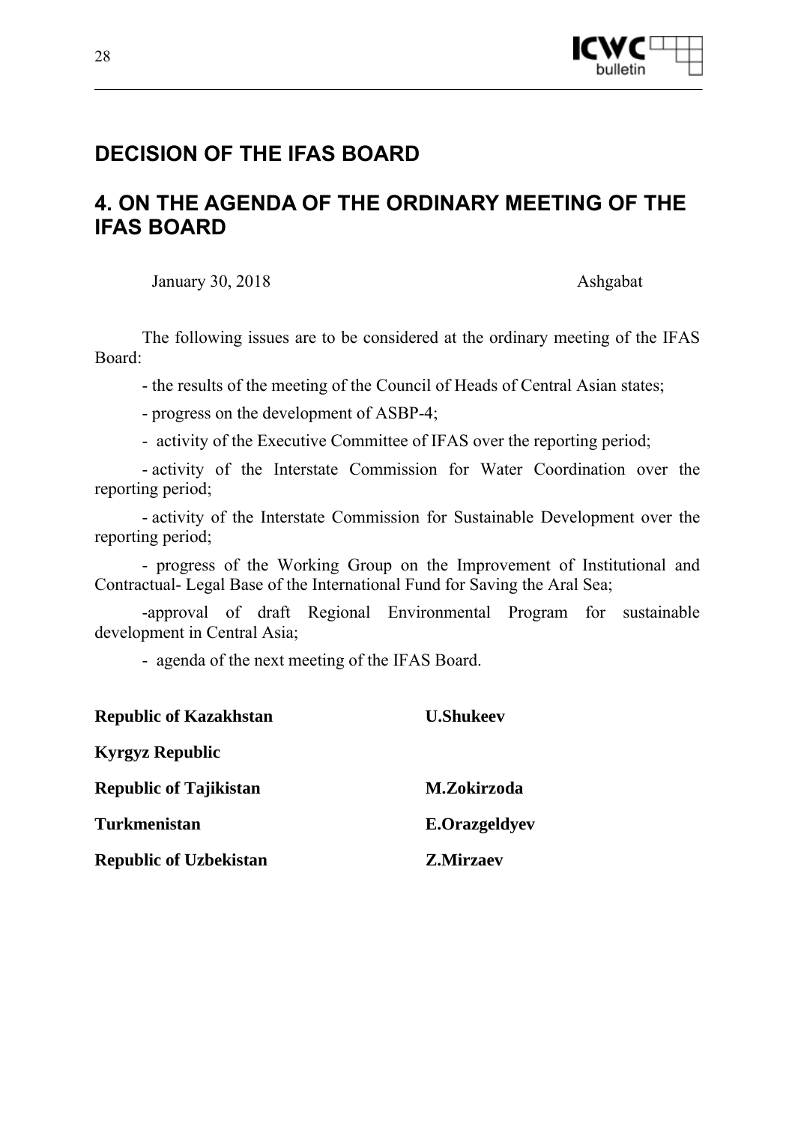

### **4. ON THE AGENDA OF THE ORDINARY MEETING OF THE IFAS BOARD**

January 30, 2018 Ashgabat

The following issues are to be considered at the ordinary meeting of the IFAS Board:

- the results of the meeting of the Council of Heads of Central Asian states;

- progress on the development of ASBP-4;

- activity of the Executive Committee of IFAS over the reporting period;

- activity of the Interstate Commission for Water Coordination over the reporting period;

- activity of the Interstate Commission for Sustainable Development over the reporting period;

- progress of the Working Group on the Improvement of Institutional and Contractual- Legal Base of the International Fund for Saving the Aral Sea;

-approval of draft Regional Environmental Program for sustainable development in Central Asia;

- agenda of the next meeting of the IFAS Board.

| <b>Republic of Kazakhstan</b> | <b>U.Shukeev</b>     |  |  |
|-------------------------------|----------------------|--|--|
| <b>Kyrgyz Republic</b>        |                      |  |  |
| <b>Republic of Tajikistan</b> | M.Zokirzoda          |  |  |
| <b>Turkmenistan</b>           | <b>E.Orazgeldvev</b> |  |  |
| <b>Republic of Uzbekistan</b> | <b>Z.Mirzaev</b>     |  |  |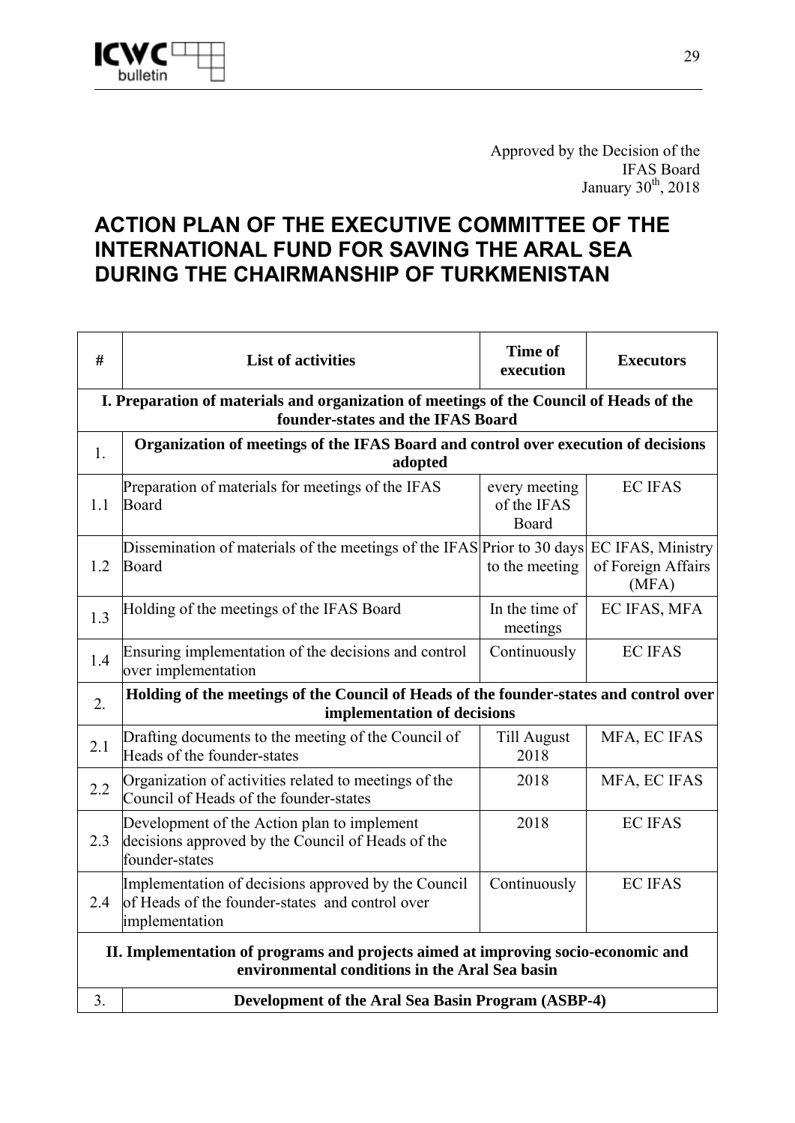

Approved by the Decision of the IFAS Board January  $30<sup>th</sup>$ , 2018

# **ACTION PLAN OF THE EXECUTIVE COMMITTEE OF THE INTERNATIONAL FUND FOR SAVING THE ARAL SEA DURING THE CHAIRMANSHIP OF TURKMENISTAN**

| #                                                                                                                                   | <b>List of activities</b>                                                                                                | <b>Time of</b><br>execution           | <b>Executors</b>                                 |
|-------------------------------------------------------------------------------------------------------------------------------------|--------------------------------------------------------------------------------------------------------------------------|---------------------------------------|--------------------------------------------------|
| I. Preparation of materials and organization of meetings of the Council of Heads of the<br>founder-states and the IFAS Board        |                                                                                                                          |                                       |                                                  |
| 1.                                                                                                                                  | Organization of meetings of the IFAS Board and control over execution of decisions<br>adopted                            |                                       |                                                  |
| 1.1                                                                                                                                 | Preparation of materials for meetings of the IFAS<br>Board                                                               | every meeting<br>of the IFAS<br>Board | <b>EC IFAS</b>                                   |
| 1.2                                                                                                                                 | Dissemination of materials of the meetings of the IFAS Prior to 30 days<br>Board                                         | to the meeting                        | EC IFAS, Ministry<br>of Foreign Affairs<br>(MFA) |
| 1.3                                                                                                                                 | Holding of the meetings of the IFAS Board                                                                                | In the time of<br>meetings            | EC IFAS, MFA                                     |
| 1.4                                                                                                                                 | Ensuring implementation of the decisions and control<br>over implementation                                              | Continuously                          | <b>EC IFAS</b>                                   |
| $\overline{2}$ .                                                                                                                    | Holding of the meetings of the Council of Heads of the founder-states and control over<br>implementation of decisions    |                                       |                                                  |
| 2.1                                                                                                                                 | Drafting documents to the meeting of the Council of<br>Heads of the founder-states                                       | <b>Till August</b><br>2018            | MFA, EC IFAS                                     |
| 2.2                                                                                                                                 | Organization of activities related to meetings of the<br>Council of Heads of the founder-states                          | 2018                                  | MFA, EC IFAS                                     |
| 2.3                                                                                                                                 | Development of the Action plan to implement<br>decisions approved by the Council of Heads of the<br>founder-states       | 2018                                  | <b>EC IFAS</b>                                   |
| 2.4                                                                                                                                 | Implementation of decisions approved by the Council<br>of Heads of the founder-states and control over<br>implementation | Continuously                          | <b>EC IFAS</b>                                   |
| II. Implementation of programs and projects aimed at improving socio-economic and<br>environmental conditions in the Aral Sea basin |                                                                                                                          |                                       |                                                  |
| 3.                                                                                                                                  | Development of the Aral Sea Basin Program (ASBP-4)                                                                       |                                       |                                                  |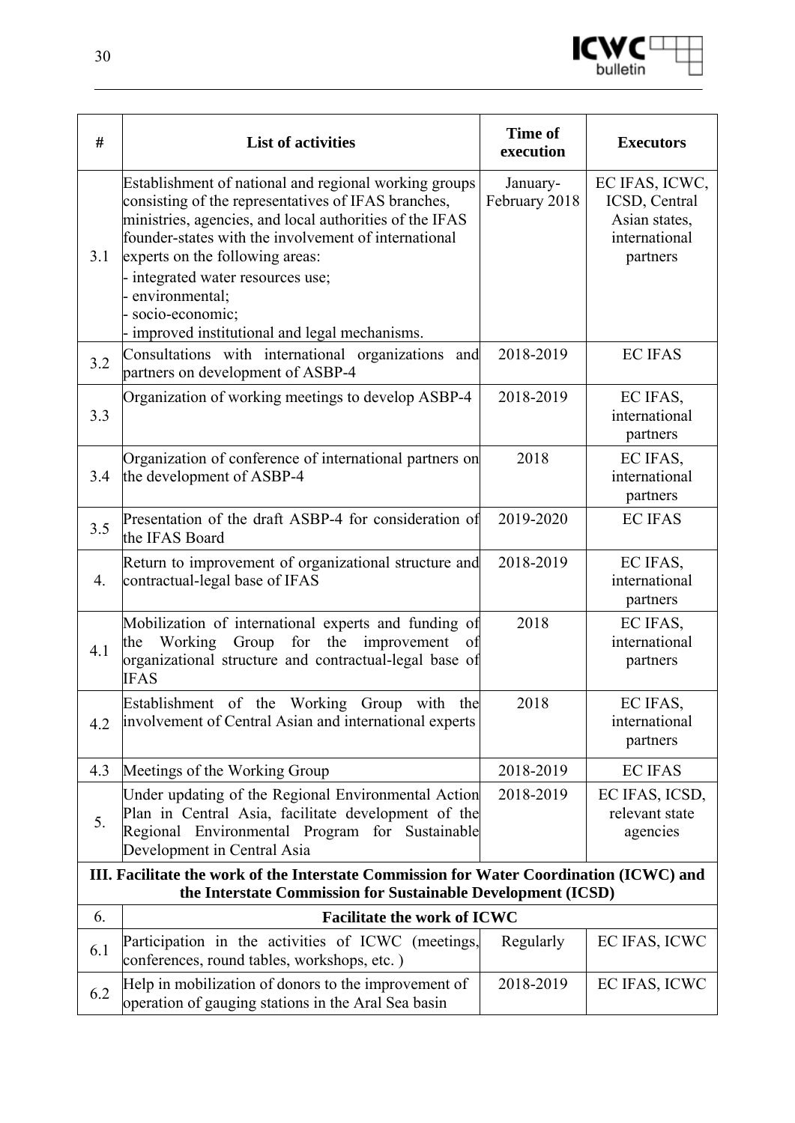

| #                                                                                                                                                       | <b>List of activities</b>                                                                                                                                                                                                                                                                                                                                                                    | <b>Time of</b><br>execution | <b>Executors</b>                                                              |
|---------------------------------------------------------------------------------------------------------------------------------------------------------|----------------------------------------------------------------------------------------------------------------------------------------------------------------------------------------------------------------------------------------------------------------------------------------------------------------------------------------------------------------------------------------------|-----------------------------|-------------------------------------------------------------------------------|
| 3.1                                                                                                                                                     | Establishment of national and regional working groups<br>consisting of the representatives of IFAS branches,<br>ministries, agencies, and local authorities of the IFAS<br>founder-states with the involvement of international<br>experts on the following areas:<br>- integrated water resources use;<br>environmental;<br>socio-economic;<br>improved institutional and legal mechanisms. | January-<br>February 2018   | EC IFAS, ICWC,<br>ICSD, Central<br>Asian states,<br>international<br>partners |
| 3.2                                                                                                                                                     | Consultations with international organizations<br>and<br>partners on development of ASBP-4                                                                                                                                                                                                                                                                                                   | 2018-2019                   | <b>EC IFAS</b>                                                                |
| 3.3                                                                                                                                                     | Organization of working meetings to develop ASBP-4                                                                                                                                                                                                                                                                                                                                           | 2018-2019                   | EC IFAS,<br>international<br>partners                                         |
| 3.4                                                                                                                                                     | Organization of conference of international partners on<br>the development of ASBP-4                                                                                                                                                                                                                                                                                                         | 2018                        | EC IFAS,<br>international<br>partners                                         |
| 3.5                                                                                                                                                     | Presentation of the draft ASBP-4 for consideration of<br>the IFAS Board                                                                                                                                                                                                                                                                                                                      | 2019-2020                   | <b>EC IFAS</b>                                                                |
| 4.                                                                                                                                                      | Return to improvement of organizational structure and<br>contractual-legal base of IFAS                                                                                                                                                                                                                                                                                                      | 2018-2019                   | EC IFAS,<br>international<br>partners                                         |
| 4.1                                                                                                                                                     | Mobilization of international experts and funding of<br>Working Group for the<br>improvement<br>the<br>of<br>organizational structure and contractual-legal base of<br><b>IFAS</b>                                                                                                                                                                                                           | 2018                        | EC IFAS,<br>international<br>partners                                         |
| 4.2                                                                                                                                                     | Establishment of the Working Group with the<br>involvement of Central Asian and international experts                                                                                                                                                                                                                                                                                        | 2018                        | EC IFAS,<br>international<br>partners                                         |
| 4.3                                                                                                                                                     | Meetings of the Working Group                                                                                                                                                                                                                                                                                                                                                                | 2018-2019                   | <b>EC IFAS</b>                                                                |
| 5.                                                                                                                                                      | Under updating of the Regional Environmental Action<br>Plan in Central Asia, facilitate development of the<br>Regional Environmental Program for Sustainable<br>Development in Central Asia                                                                                                                                                                                                  | 2018-2019                   | EC IFAS, ICSD,<br>relevant state<br>agencies                                  |
| III. Facilitate the work of the Interstate Commission for Water Coordination (ICWC) and<br>the Interstate Commission for Sustainable Development (ICSD) |                                                                                                                                                                                                                                                                                                                                                                                              |                             |                                                                               |
| 6.                                                                                                                                                      | <b>Facilitate the work of ICWC</b>                                                                                                                                                                                                                                                                                                                                                           |                             |                                                                               |
| 6.1                                                                                                                                                     | Participation in the activities of ICWC (meetings,<br>conferences, round tables, workshops, etc.)                                                                                                                                                                                                                                                                                            | Regularly                   | EC IFAS, ICWC                                                                 |
| 6.2                                                                                                                                                     | Help in mobilization of donors to the improvement of<br>operation of gauging stations in the Aral Sea basin                                                                                                                                                                                                                                                                                  | 2018-2019                   | EC IFAS, ICWC                                                                 |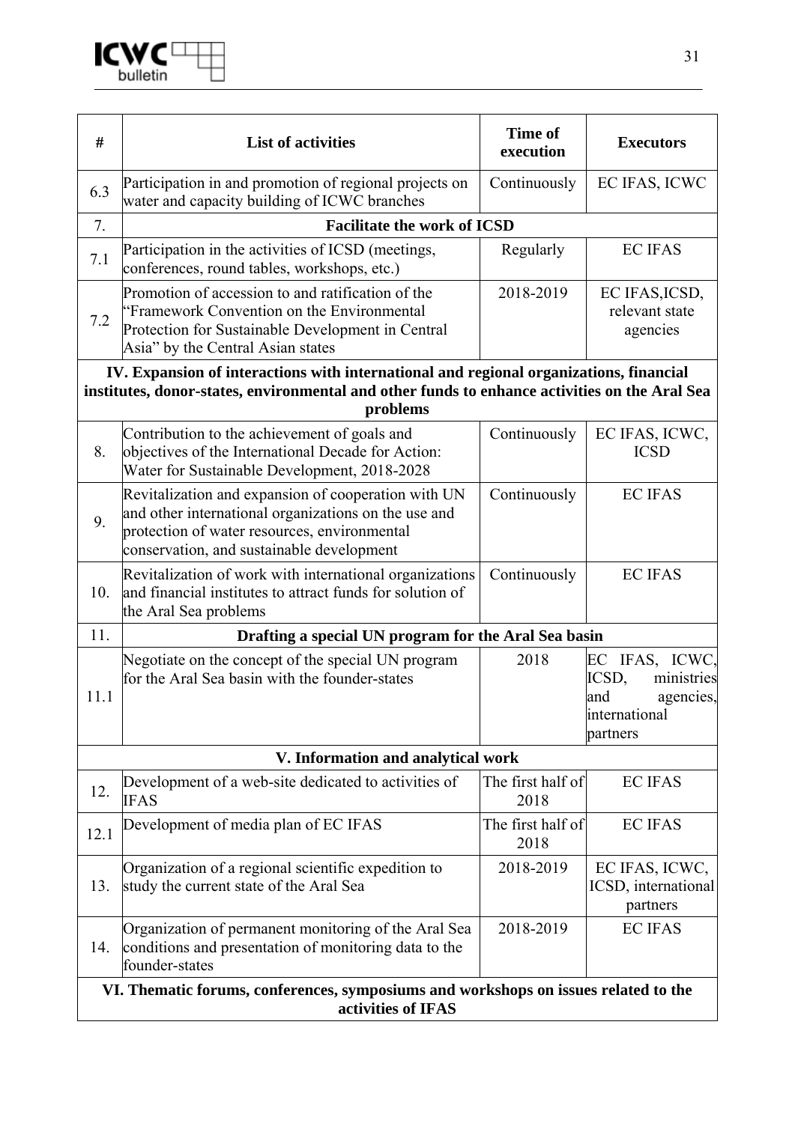

| #                                                                                                         | <b>List of activities</b>                                                                                                                                                                                | Time of<br>execution      | <b>Executors</b>                                                                       |
|-----------------------------------------------------------------------------------------------------------|----------------------------------------------------------------------------------------------------------------------------------------------------------------------------------------------------------|---------------------------|----------------------------------------------------------------------------------------|
| 6.3                                                                                                       | Participation in and promotion of regional projects on<br>water and capacity building of ICWC branches                                                                                                   | Continuously              | EC IFAS, ICWC                                                                          |
| 7.                                                                                                        | <b>Facilitate the work of ICSD</b>                                                                                                                                                                       |                           |                                                                                        |
| 7.1                                                                                                       | Participation in the activities of ICSD (meetings,<br>conferences, round tables, workshops, etc.)                                                                                                        | Regularly                 | <b>EC IFAS</b>                                                                         |
| 7.2                                                                                                       | Promotion of accession to and ratification of the<br>'Framework Convention on the Environmental<br>Protection for Sustainable Development in Central<br>Asia" by the Central Asian states                | 2018-2019                 | EC IFAS, ICSD,<br>relevant state<br>agencies                                           |
|                                                                                                           | IV. Expansion of interactions with international and regional organizations, financial                                                                                                                   |                           |                                                                                        |
|                                                                                                           | institutes, donor-states, environmental and other funds to enhance activities on the Aral Sea                                                                                                            |                           |                                                                                        |
|                                                                                                           | problems                                                                                                                                                                                                 |                           |                                                                                        |
| 8.                                                                                                        | Contribution to the achievement of goals and<br>objectives of the International Decade for Action:<br>Water for Sustainable Development, 2018-2028                                                       | Continuously              | EC IFAS, ICWC,<br><b>ICSD</b>                                                          |
| 9.                                                                                                        | Revitalization and expansion of cooperation with UN<br>and other international organizations on the use and<br>protection of water resources, environmental<br>conservation, and sustainable development | Continuously              | <b>EC IFAS</b>                                                                         |
| 10.                                                                                                       | Revitalization of work with international organizations<br>and financial institutes to attract funds for solution of<br>the Aral Sea problems                                                            | Continuously              | <b>EC IFAS</b>                                                                         |
| 11.                                                                                                       | Drafting a special UN program for the Aral Sea basin                                                                                                                                                     |                           |                                                                                        |
| 11.1                                                                                                      | Negotiate on the concept of the special UN program<br>for the Aral Sea basin with the founder-states                                                                                                     | 2018                      | EC IFAS, ICWC,<br>ICSD,<br>ministries<br>agencies,<br>and<br>international<br>partners |
|                                                                                                           | V. Information and analytical work                                                                                                                                                                       |                           |                                                                                        |
| 12.                                                                                                       | Development of a web-site dedicated to activities of<br><b>IFAS</b>                                                                                                                                      | The first half of<br>2018 | <b>EC IFAS</b>                                                                         |
| 12.1                                                                                                      | Development of media plan of EC IFAS                                                                                                                                                                     | The first half of<br>2018 | <b>EC IFAS</b>                                                                         |
| 13.                                                                                                       | Organization of a regional scientific expedition to<br>study the current state of the Aral Sea                                                                                                           | 2018-2019                 | EC IFAS, ICWC,<br>ICSD, international<br>partners                                      |
| 14.                                                                                                       | Organization of permanent monitoring of the Aral Sea<br>conditions and presentation of monitoring data to the<br>founder-states                                                                          | 2018-2019                 | <b>EC IFAS</b>                                                                         |
| VI. Thematic forums, conferences, symposiums and workshops on issues related to the<br>activities of IFAS |                                                                                                                                                                                                          |                           |                                                                                        |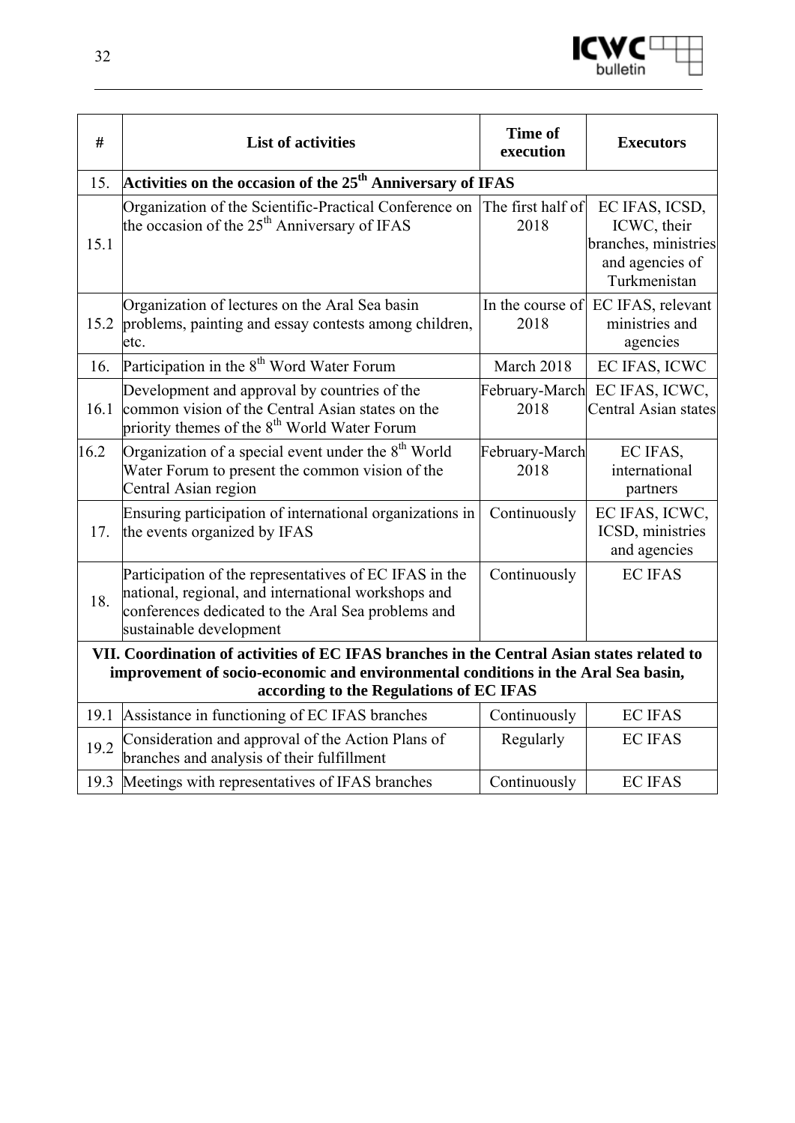

| #                                                                                                                                                                                                                          | <b>List of activities</b>                                                                                                                                                                      | <b>Time of</b><br>execution | <b>Executors</b>                                                                         |
|----------------------------------------------------------------------------------------------------------------------------------------------------------------------------------------------------------------------------|------------------------------------------------------------------------------------------------------------------------------------------------------------------------------------------------|-----------------------------|------------------------------------------------------------------------------------------|
| 15.                                                                                                                                                                                                                        | Activities on the occasion of the $25th$ Anniversary of IFAS                                                                                                                                   |                             |                                                                                          |
| 15.1                                                                                                                                                                                                                       | Organization of the Scientific-Practical Conference on The first half of<br>the occasion of the $25th$ Anniversary of IFAS                                                                     | 2018                        | EC IFAS, ICSD,<br>ICWC, their<br>branches, ministries<br>and agencies of<br>Turkmenistan |
| 15.2                                                                                                                                                                                                                       | Organization of lectures on the Aral Sea basin<br>problems, painting and essay contests among children,<br>etc.                                                                                | 2018                        | In the course of EC IFAS, relevant<br>ministries and<br>agencies                         |
| 16.                                                                                                                                                                                                                        | Participation in the 8 <sup>th</sup> Word Water Forum                                                                                                                                          | March 2018                  | EC IFAS, ICWC                                                                            |
| 16.1                                                                                                                                                                                                                       | Development and approval by countries of the<br>common vision of the Central Asian states on the<br>priority themes of the 8 <sup>th</sup> World Water Forum                                   | February-March<br>2018      | EC IFAS, ICWC,<br><b>Central Asian states</b>                                            |
| 16.2                                                                                                                                                                                                                       | Organization of a special event under the 8 <sup>th</sup> World<br>Water Forum to present the common vision of the<br>Central Asian region                                                     | February-March<br>2018      | EC IFAS,<br>international<br>partners                                                    |
| 17.                                                                                                                                                                                                                        | Ensuring participation of international organizations in<br>the events organized by IFAS                                                                                                       | Continuously                | EC IFAS, ICWC,<br>ICSD, ministries<br>and agencies                                       |
| 18.                                                                                                                                                                                                                        | Participation of the representatives of EC IFAS in the<br>national, regional, and international workshops and<br>conferences dedicated to the Aral Sea problems and<br>sustainable development | Continuously                | <b>EC IFAS</b>                                                                           |
| VII. Coordination of activities of EC IFAS branches in the Central Asian states related to<br>improvement of socio-economic and environmental conditions in the Aral Sea basin,<br>according to the Regulations of EC IFAS |                                                                                                                                                                                                |                             |                                                                                          |
| 19.1                                                                                                                                                                                                                       | Assistance in functioning of EC IFAS branches                                                                                                                                                  | Continuously                | <b>EC IFAS</b>                                                                           |
| 19.2                                                                                                                                                                                                                       | Consideration and approval of the Action Plans of<br>branches and analysis of their fulfillment                                                                                                | Regularly                   | <b>EC IFAS</b>                                                                           |
|                                                                                                                                                                                                                            | 19.3 Meetings with representatives of IFAS branches                                                                                                                                            | Continuously                | <b>EC IFAS</b>                                                                           |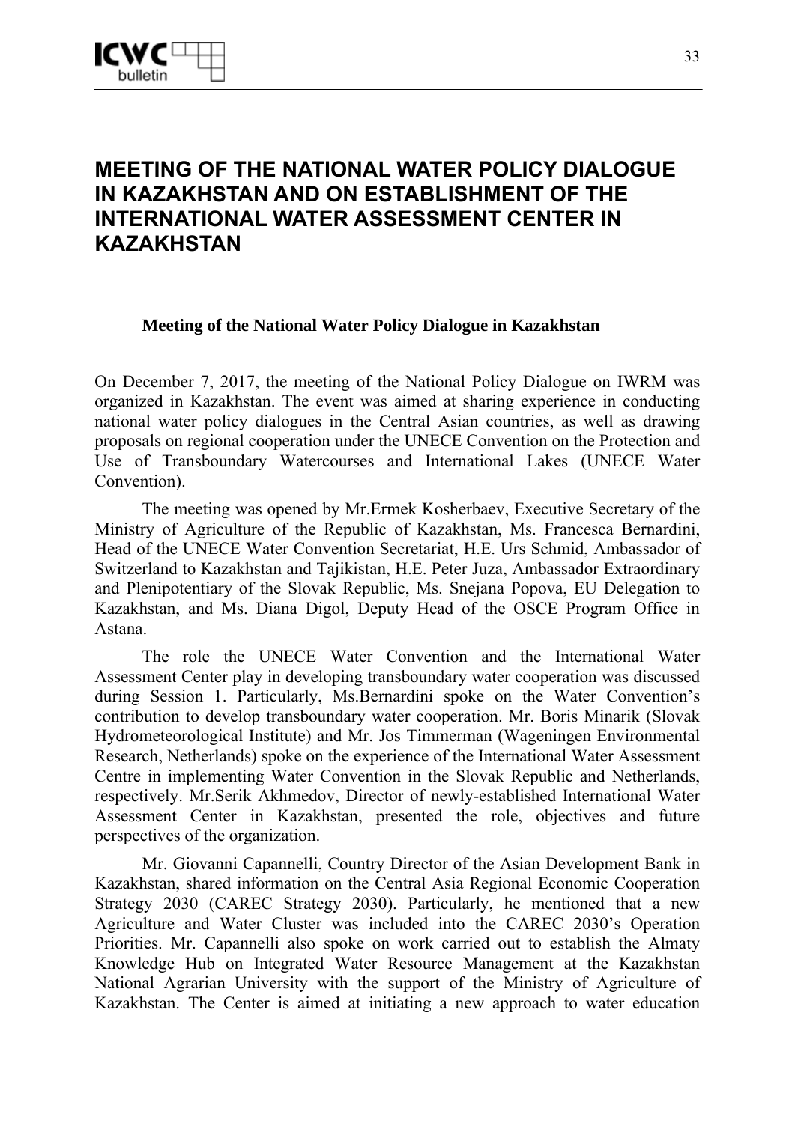### **MEETING OF THE NATIONAL WATER POLICY DIALOGUE IN KAZAKHSTAN AND ON ESTABLISHMENT OF THE INTERNATIONAL WATER ASSESSMENT CENTER IN KAZAKHSTAN**

#### **Meeting of the National Water Policy Dialogue in Kazakhstan**

On December 7, 2017, the meeting of the National Policy Dialogue on IWRM was organized in Kazakhstan. The event was aimed at sharing experience in conducting national water policy dialogues in the Central Asian countries, as well as drawing proposals on regional cooperation under the UNECE Convention on the Protection and Use of Transboundary Watercourses and International Lakes (UNECE Water Convention).

The meeting was opened by Mr.Ermek Kosherbaev, Executive Secretary of the Ministry of Agriculture of the Republic of Kazakhstan, Ms. Francesca Bernardini, Head of the UNECE Water Convention Secretariat, H.E. Urs Schmid, Ambassador of Switzerland to Kazakhstan and Tajikistan, H.E. Peter Juza, Ambassador Extraordinary and Plenipotentiary of the Slovak Republic, Ms. Snejana Popova, EU Delegation to Kazakhstan, and Ms. Diana Digol, Deputy Head of the OSCE Program Office in Astana.

The role the UNECE Water Convention and the International Water Assessment Center play in developing transboundary water cooperation was discussed during Session 1. Particularly, Ms.Bernardini spoke on the Water Convention's contribution to develop transboundary water cooperation. Mr. Boris Minarik (Slovak Hydrometeorological Institute) and Mr. Jos Timmerman (Wageningen Environmental Research, Netherlands) spoke on the experience of the International Water Assessment Centre in implementing Water Convention in the Slovak Republic and Netherlands, respectively. Mr.Serik Akhmedov, Director of newly-established International Water Assessment Center in Kazakhstan, presented the role, objectives and future perspectives of the organization.

Mr. Giovanni Capannelli, Country Director of the Asian Development Bank in Kazakhstan, shared information on the Central Asia Regional Economic Cooperation Strategy 2030 (CAREC Strategy 2030). Particularly, he mentioned that a new Agriculture and Water Cluster was included into the CAREC 2030's Operation Priorities. Mr. Capannelli also spoke on work carried out to establish the Almaty Knowledge Hub on Integrated Water Resource Management at the Kazakhstan National Agrarian University with the support of the Ministry of Agriculture of Kazakhstan. The Center is aimed at initiating a new approach to water education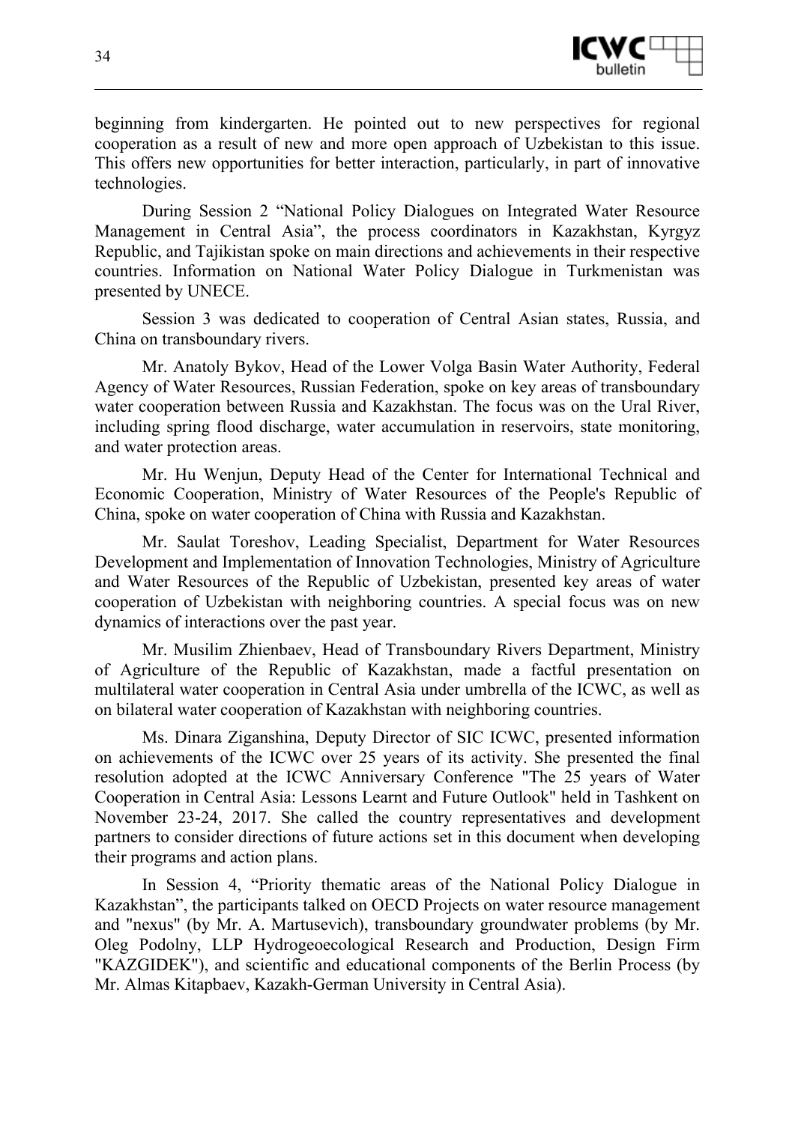

beginning from kindergarten. He pointed out to new perspectives for regional cooperation as a result of new and more open approach of Uzbekistan to this issue. This offers new opportunities for better interaction, particularly, in part of innovative technologies.

During Session 2 "National Policy Dialogues on Integrated Water Resource Management in Central Asia", the process coordinators in Kazakhstan, Kyrgyz Republic, and Tajikistan spoke on main directions and achievements in their respective countries. Information on National Water Policy Dialogue in Turkmenistan was presented by UNECE.

Session 3 was dedicated to cooperation of Central Asian states, Russia, and China on transboundary rivers.

Mr. Anatoly Bykov, Head of the Lower Volga Basin Water Authority, Federal Agency of Water Resources, Russian Federation, spoke on key areas of transboundary water cooperation between Russia and Kazakhstan. The focus was on the Ural River, including spring flood discharge, water accumulation in reservoirs, state monitoring, and water protection areas.

Mr. Hu Wenjun, Deputy Head of the Center for International Technical and Economic Cooperation, Ministry of Water Resources of the People's Republic of China, spoke on water cooperation of China with Russia and Kazakhstan.

Mr. Saulat Toreshov, Leading Specialist, Department for Water Resources Development and Implementation of Innovation Technologies, Ministry of Agriculture and Water Resources of the Republic of Uzbekistan, presented key areas of water cooperation of Uzbekistan with neighboring countries. A special focus was on new dynamics of interactions over the past year.

Mr. Musilim Zhienbaev, Head of Transboundary Rivers Department, Ministry of Agriculture of the Republic of Kazakhstan, made a factful presentation on multilateral water cooperation in Central Asia under umbrella of the ICWC, as well as on bilateral water cooperation of Kazakhstan with neighboring countries.

Ms. Dinara Ziganshina, Deputy Director of SIC ICWC, presented information on achievements of the ICWC over 25 years of its activity. She presented the final resolution adopted at the ICWC Anniversary Conference "The 25 years of Water Cooperation in Central Asia: Lessons Learnt and Future Outlook" held in Tashkent on November 23-24, 2017. She called the country representatives and development partners to consider directions of future actions set in this document when developing their programs and action plans.

In Session 4, "Priority thematic areas of the National Policy Dialogue in Kazakhstan", the participants talked on OECD Projects on water resource management and "nexus" (by Mr. A. Martusevich), transboundary groundwater problems (by Mr. Oleg Podolny, LLP Hydrogeoecological Research and Production, Design Firm "KAZGIDEK"), and scientific and educational components of the Berlin Process (by Mr. Almas Kitapbaev, Kazakh-German University in Central Asia).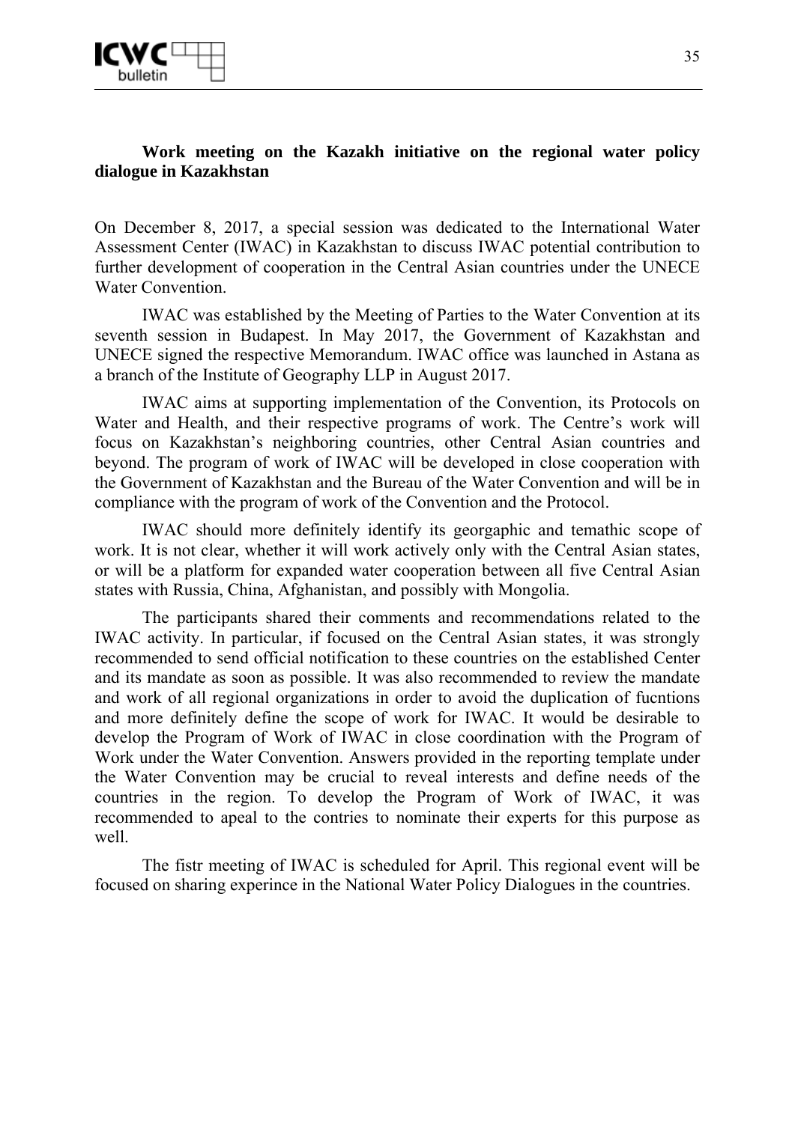

#### **Work meeting on the Kazakh initiative on the regional water policy dialogue in Kazakhstan**

On December 8, 2017, a special session was dedicated to the International Water Assessment Center (IWAC) in Kazakhstan to discuss IWAC potential contribution to further development of cooperation in the Central Asian countries under the UNECE Water Convention.

IWAC was established by the Meeting of Parties to the Water Convention at its seventh session in Budapest. In May 2017, the Government of Kazakhstan and UNECE signed the respective Memorandum. IWAC office was launched in Astana as a branch of the Institute of Geography LLP in August 2017.

IWAC aims at supporting implementation of the Convention, its Protocols on Water and Health, and their respective programs of work. The Centre's work will focus on Kazakhstan's neighboring countries, other Central Asian countries and beyond. The program of work of IWAC will be developed in close cooperation with the Government of Kazakhstan and the Bureau of the Water Convention and will be in compliance with the program of work of the Convention and the Protocol.

IWAC should more definitely identify its georgaphic and temathic scope of work. It is not clear, whether it will work actively only with the Central Asian states, or will be a platform for expanded water cooperation between all five Central Asian states with Russia, China, Afghanistan, and possibly with Mongolia.

The participants shared their comments and recommendations related to the IWAC activity. In particular, if focused on the Central Asian states, it was strongly recommended to send official notification to these countries on the established Center and its mandate as soon as possible. It was also recommended to review the mandate and work of all regional organizations in order to avoid the duplication of fucntions and more definitely define the scope of work for IWAC. It would be desirable to develop the Program of Work of IWAC in close coordination with the Program of Work under the Water Convention. Answers provided in the reporting template under the Water Convention may be crucial to reveal interests and define needs of the countries in the region. To develop the Program of Work of IWAC, it was recommended to apeal to the contries to nominate their experts for this purpose as well.

The fistr meeting of IWAC is scheduled for April. This regional event will be focused on sharing experince in the National Water Policy Dialogues in the countries.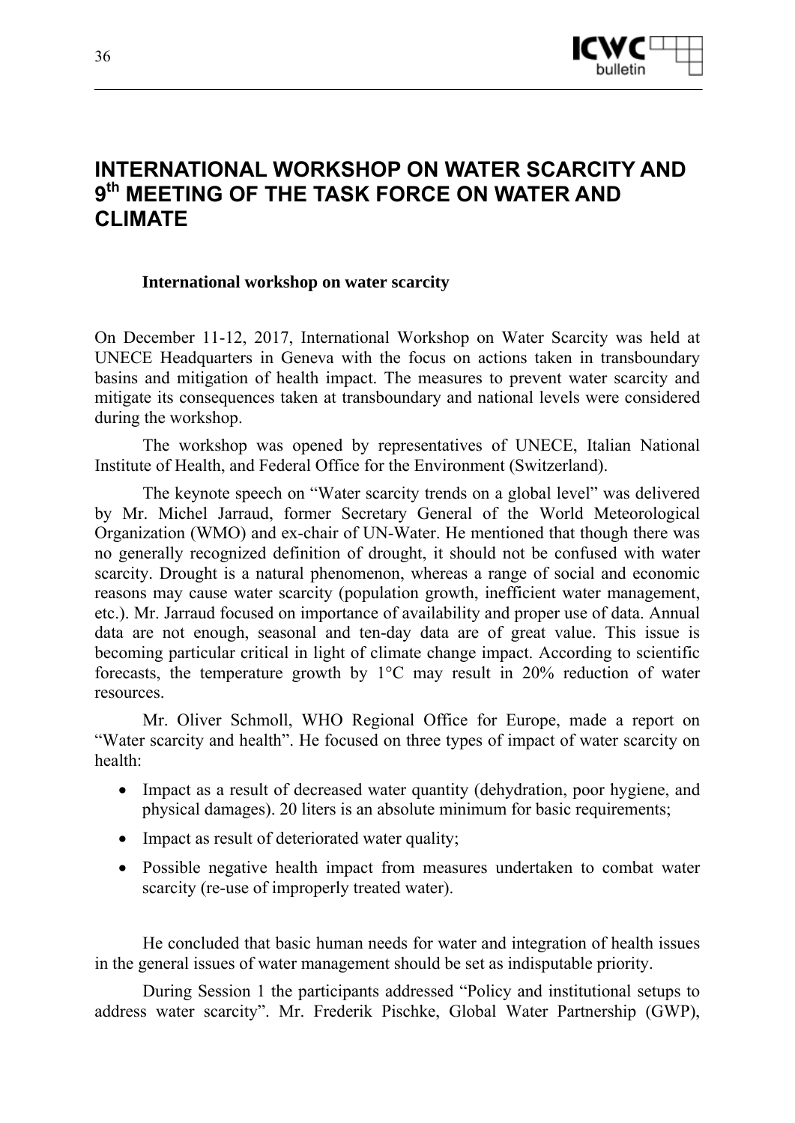

### **INTERNATIONAL WORKSHOP ON WATER SCARCITY AND 9th MEETING OF THE TASK FORCE ON WATER AND CLIMATE**

#### **International workshop on water scarcity**

On December 11-12, 2017, International Workshop on Water Scarcity was held at UNECE Headquarters in Geneva with the focus on actions taken in transboundary basins and mitigation of health impact. The measures to prevent water scarcity and mitigate its consequences taken at transboundary and national levels were considered during the workshop.

The workshop was opened by representatives of UNECE, Italian National Institute of Health, and Federal Office for the Environment (Switzerland).

The keynote speech on "Water scarcity trends on a global level" was delivered by Mr. Michel Jarraud, former Secretary General of the World Meteorological Organization (WMO) and ex-chair of UN-Water. He mentioned that though there was no generally recognized definition of drought, it should not be confused with water scarcity. Drought is a natural phenomenon, whereas a range of social and economic reasons may cause water scarcity (population growth, inefficient water management, etc.). Mr. Jarraud focused on importance of availability and proper use of data. Annual data are not enough, seasonal and ten-day data are of great value. This issue is becoming particular critical in light of climate change impact. According to scientific forecasts, the temperature growth by 1°C may result in 20% reduction of water resources.

Mr. Oliver Schmoll, WHO Regional Office for Europe, made a report on "Water scarcity and health". He focused on three types of impact of water scarcity on health:

- Impact as a result of decreased water quantity (dehydration, poor hygiene, and physical damages). 20 liters is an absolute minimum for basic requirements;
- Impact as result of deteriorated water quality:
- Possible negative health impact from measures undertaken to combat water scarcity (re-use of improperly treated water).

He concluded that basic human needs for water and integration of health issues in the general issues of water management should be set as indisputable priority.

During Session 1 the participants addressed "Policy and institutional setups to address water scarcity". Mr. Frederik Pischke, Global Water Partnership (GWP),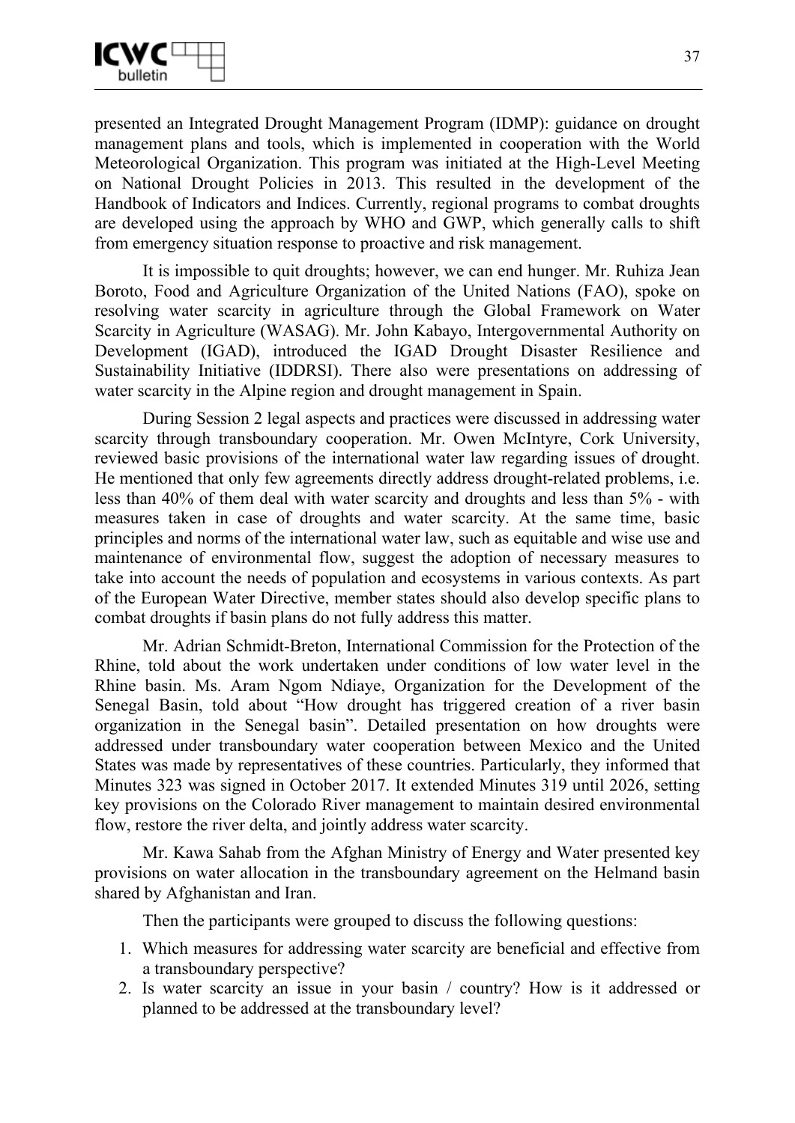

presented an Integrated Drought Management Program (IDMP): guidance on drought management plans and tools, which is implemented in cooperation with the World Meteorological Organization. This program was initiated at the High-Level Meeting on National Drought Policies in 2013. This resulted in the development of the Handbook of Indicators and Indices. Currently, regional programs to combat droughts are developed using the approach by WHO and GWP, which generally calls to shift from emergency situation response to proactive and risk management.

It is impossible to quit droughts; however, we can end hunger. Mr. Ruhiza Jean Boroto, Food and Agriculture Organization of the United Nations (FAO), spoke on resolving water scarcity in agriculture through the Global Framework on Water Scarcity in Agriculture (WASAG). Mr. John Kabayo, Intergovernmental Authority on Development (IGAD), introduced the IGAD Drought Disaster Resilience and Sustainability Initiative (IDDRSI). There also were presentations on addressing of water scarcity in the Alpine region and drought management in Spain.

During Session 2 legal aspects and practices were discussed in addressing water scarcity through transboundary cooperation. Mr. Owen McIntyre, Cork University, reviewed basic provisions of the international water law regarding issues of drought. He mentioned that only few agreements directly address drought-related problems, i.e. less than 40% of them deal with water scarcity and droughts and less than 5% - with measures taken in case of droughts and water scarcity. At the same time, basic principles and norms of the international water law, such as equitable and wise use and maintenance of environmental flow, suggest the adoption of necessary measures to take into account the needs of population and ecosystems in various contexts. As part of the European Water Directive, member states should also develop specific plans to combat droughts if basin plans do not fully address this matter.

Mr. Adrian Schmidt-Breton, International Commission for the Protection of the Rhine, told about the work undertaken under conditions of low water level in the Rhine basin. Ms. Aram Ngom Ndiaye, Organization for the Development of the Senegal Basin, told about "How drought has triggered creation of a river basin organization in the Senegal basin". Detailed presentation on how droughts were addressed under transboundary water cooperation between Mexico and the United States was made by representatives of these countries. Particularly, they informed that Minutes 323 was signed in October 2017. It extended Minutes 319 until 2026, setting key provisions on the Colorado River management to maintain desired environmental flow, restore the river delta, and jointly address water scarcity.

Mr. Kawa Sahab from the Afghan Ministry of Energy and Water presented key provisions on water allocation in the transboundary agreement on the Helmand basin shared by Afghanistan and Iran.

Then the participants were grouped to discuss the following questions:

- 1. Which measures for addressing water scarcity are beneficial and effective from a transboundary perspective?
- 2. Is water scarcity an issue in your basin / country? How is it addressed or planned to be addressed at the transboundary level?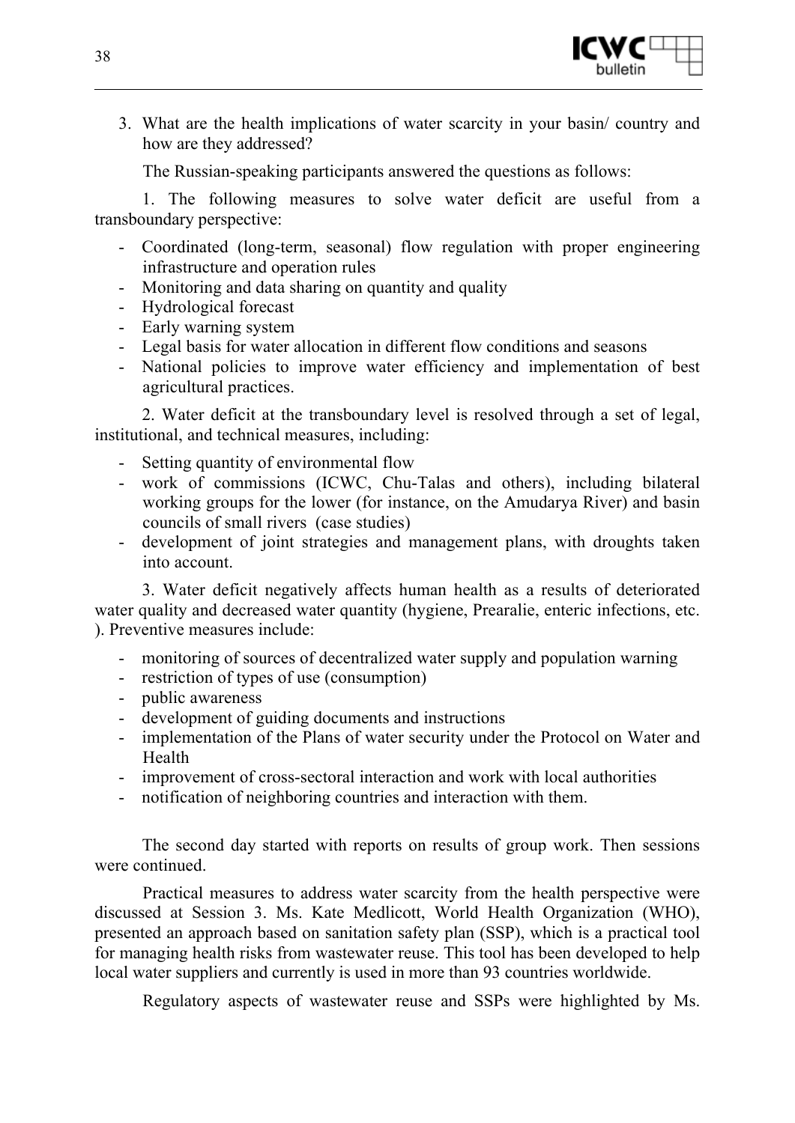

3. What are the health implications of water scarcity in your basin/ country and how are they addressed?

The Russian-speaking participants answered the questions as follows:

1. The following measures to solve water deficit are useful from a transboundary perspective:

- Coordinated (long-term, seasonal) flow regulation with proper engineering infrastructure and operation rules
- Monitoring and data sharing on quantity and quality
- Hydrological forecast
- Early warning system
- Legal basis for water allocation in different flow conditions and seasons
- National policies to improve water efficiency and implementation of best agricultural practices.

2. Water deficit at the transboundary level is resolved through a set of legal, institutional, and technical measures, including:

- Setting quantity of environmental flow
- work of commissions (ICWC, Chu-Talas and others), including bilateral working groups for the lower (for instance, on the Amudarya River) and basin councils of small rivers (case studies)
- development of joint strategies and management plans, with droughts taken into account.

3. Water deficit negatively affects human health as a results of deteriorated water quality and decreased water quantity (hygiene, Prearalie, enteric infections, etc. ). Preventive measures include:

- monitoring of sources of decentralized water supply and population warning
- restriction of types of use (consumption)
- public awareness
- development of guiding documents and instructions
- implementation of the Plans of water security under the Protocol on Water and Health
- improvement of cross-sectoral interaction and work with local authorities
- notification of neighboring countries and interaction with them.

The second day started with reports on results of group work. Then sessions were continued.

Practical measures to address water scarcity from the health perspective were discussed at Session 3. Ms. Kate Medlicott, World Health Organization (WHO), presented an approach based on sanitation safety plan (SSP), which is a practical tool for managing health risks from wastewater reuse. This tool has been developed to help local water suppliers and currently is used in more than 93 countries worldwide.

Regulatory aspects of wastewater reuse and SSPs were highlighted by Ms.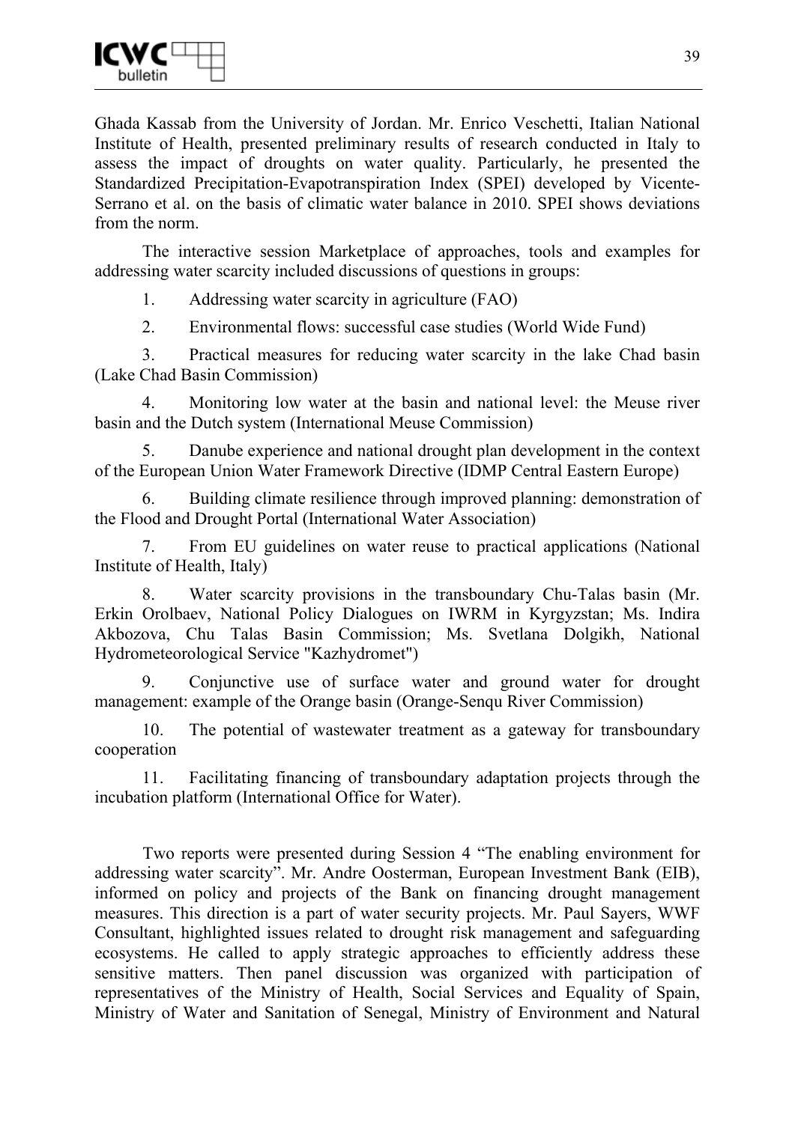Ghada Kassab from the University of Jordan. Mr. Enrico Veschetti, Italian National Institute of Health, presented preliminary results of research conducted in Italy to assess the impact of droughts on water quality. Particularly, he presented the Standardized Precipitation-Evapotranspiration Index (SPEI) developed by Vicente-Serrano et al. on the basis of climatic water balance in 2010. SPEI shows deviations from the norm.

The interactive session Marketplace of approaches, tools and examples for addressing water scarcity included discussions of questions in groups:

1. Addressing water scarcity in agriculture (FAO)

2. Environmental flows: successful case studies (World Wide Fund)

3. Practical measures for reducing water scarcity in the lake Chad basin (Lake Chad Basin Commission)

4. Monitoring low water at the basin and national level: the Meuse river basin and the Dutch system (International Meuse Commission)

5. Danube experience and national drought plan development in the context of the European Union Water Framework Directive (IDMP Central Eastern Europe)

6. Building climate resilience through improved planning: demonstration of the Flood and Drought Portal (International Water Association)

7. From EU guidelines on water reuse to practical applications (National Institute of Health, Italy)

8. Water scarcity provisions in the transboundary Chu-Talas basin (Mr. Erkin Orolbaev, National Policy Dialogues on IWRM in Kyrgyzstan; Ms. Indira Akbozova, Chu Talas Basin Commission; Ms. Svetlana Dolgikh, National Hydrometeorological Service "Kazhydromet")

9. Conjunctive use of surface water and ground water for drought management: example of the Orange basin (Orange-Senqu River Commission)

10. The potential of wastewater treatment as a gateway for transboundary cooperation

11. Facilitating financing of transboundary adaptation projects through the incubation platform (International Office for Water).

Two reports were presented during Session 4 "The enabling environment for addressing water scarcity". Mr. Andre Oosterman, European Investment Bank (EIB), informed on policy and projects of the Bank on financing drought management measures. This direction is a part of water security projects. Mr. Paul Sayers, WWF Consultant, highlighted issues related to drought risk management and safeguarding ecosystems. He called to apply strategic approaches to efficiently address these sensitive matters. Then panel discussion was organized with participation of representatives of the Ministry of Health, Social Services and Equality of Spain, Ministry of Water and Sanitation of Senegal, Ministry of Environment and Natural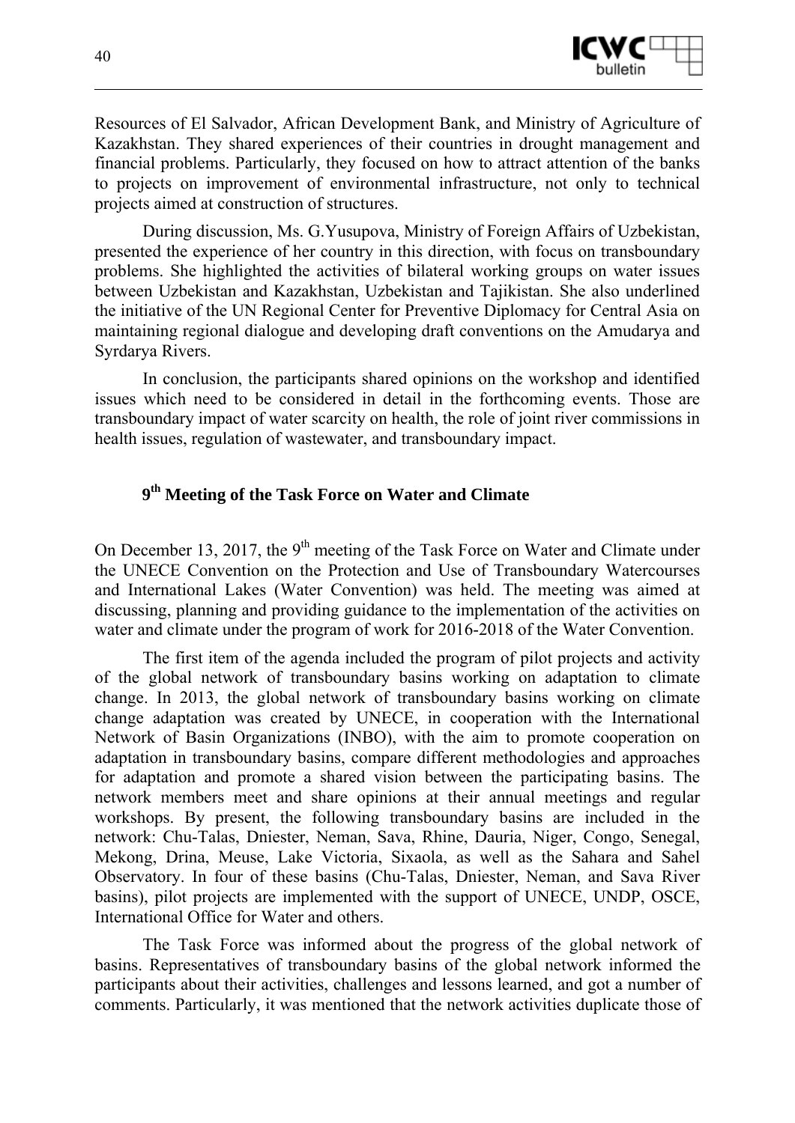

Resources of El Salvador, African Development Bank, and Ministry of Agriculture of Kazakhstan. They shared experiences of their countries in drought management and financial problems. Particularly, they focused on how to attract attention of the banks to projects on improvement of environmental infrastructure, not only to technical projects aimed at construction of structures.

During discussion, Ms. G.Yusupova, Ministry of Foreign Affairs of Uzbekistan, presented the experience of her country in this direction, with focus on transboundary problems. She highlighted the activities of bilateral working groups on water issues between Uzbekistan and Kazakhstan, Uzbekistan and Tajikistan. She also underlined the initiative of the UN Regional Center for Preventive Diplomacy for Central Asia on maintaining regional dialogue and developing draft conventions on the Amudarya and Syrdarya Rivers.

In conclusion, the participants shared opinions on the workshop and identified issues which need to be considered in detail in the forthcoming events. Those are transboundary impact of water scarcity on health, the role of joint river commissions in health issues, regulation of wastewater, and transboundary impact.

#### **9th Meeting of the Task Force on Water and Climate**

On December 13, 2017, the 9<sup>th</sup> meeting of the Task Force on Water and Climate under the UNECE Convention on the Protection and Use of Transboundary Watercourses and International Lakes (Water Convention) was held. The meeting was aimed at discussing, planning and providing guidance to the implementation of the activities on water and climate under the program of work for 2016-2018 of the Water Convention.

The first item of the agenda included the program of pilot projects and activity of the global network of transboundary basins working on adaptation to climate change. In 2013, the global network of transboundary basins working on climate change adaptation was created by UNECE, in cooperation with the International Network of Basin Organizations (INBO), with the aim to promote cooperation on adaptation in transboundary basins, compare different methodologies and approaches for adaptation and promote a shared vision between the participating basins. The network members meet and share opinions at their annual meetings and regular workshops. By present, the following transboundary basins are included in the network: Chu-Talas, Dniester, Neman, Sava, Rhine, Dauria, Niger, Congo, Senegal, Mekong, Drina, Meuse, Lake Victoria, Sixaola, as well as the Sahara and Sahel Observatory. In four of these basins (Chu-Talas, Dniester, Neman, and Sava River basins), pilot projects are implemented with the support of UNECE, UNDP, OSCE, International Office for Water and others.

The Task Force was informed about the progress of the global network of basins. Representatives of transboundary basins of the global network informed the participants about their activities, challenges and lessons learned, and got a number of comments. Particularly, it was mentioned that the network activities duplicate those of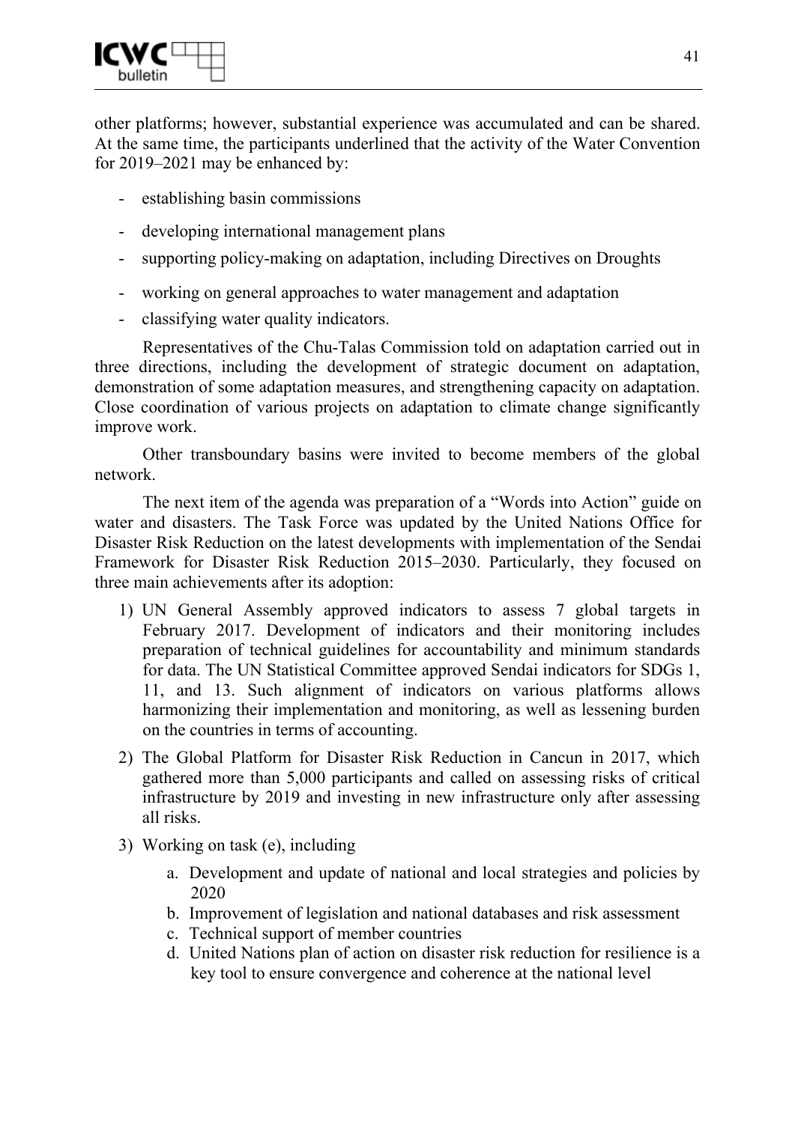

other platforms; however, substantial experience was accumulated and can be shared. At the same time, the participants underlined that the activity of the Water Convention for 2019–2021 may be enhanced by:

- establishing basin commissions
- developing international management plans
- supporting policy-making on adaptation, including Directives on Droughts
- working on general approaches to water management and adaptation
- classifying water quality indicators.

Representatives of the Chu-Talas Commission told on adaptation carried out in three directions, including the development of strategic document on adaptation, demonstration of some adaptation measures, and strengthening capacity on adaptation. Close coordination of various projects on adaptation to climate change significantly improve work.

Other transboundary basins were invited to become members of the global network.

The next item of the agenda was preparation of a "Words into Action" guide on water and disasters. The Task Force was updated by the United Nations Office for Disaster Risk Reduction on the latest developments with implementation of the Sendai Framework for Disaster Risk Reduction 2015–2030. Particularly, they focused on three main achievements after its adoption:

- 1) UN General Assembly approved indicators to assess 7 global targets in February 2017. Development of indicators and their monitoring includes preparation of technical guidelines for accountability and minimum standards for data. The UN Statistical Committee approved Sendai indicators for SDGs 1, 11, and 13. Such alignment of indicators on various platforms allows harmonizing their implementation and monitoring, as well as lessening burden on the countries in terms of accounting.
- 2) The Global Platform for Disaster Risk Reduction in Cancun in 2017, which gathered more than 5,000 participants and called on assessing risks of critical infrastructure by 2019 and investing in new infrastructure only after assessing all risks.
- 3) Working on task (e), including
	- a. Development and update of national and local strategies and policies by 2020
	- b. Improvement of legislation and national databases and risk assessment
	- c. Technical support of member countries
	- d. United Nations plan of action on disaster risk reduction for resilience is a key tool to ensure convergence and coherence at the national level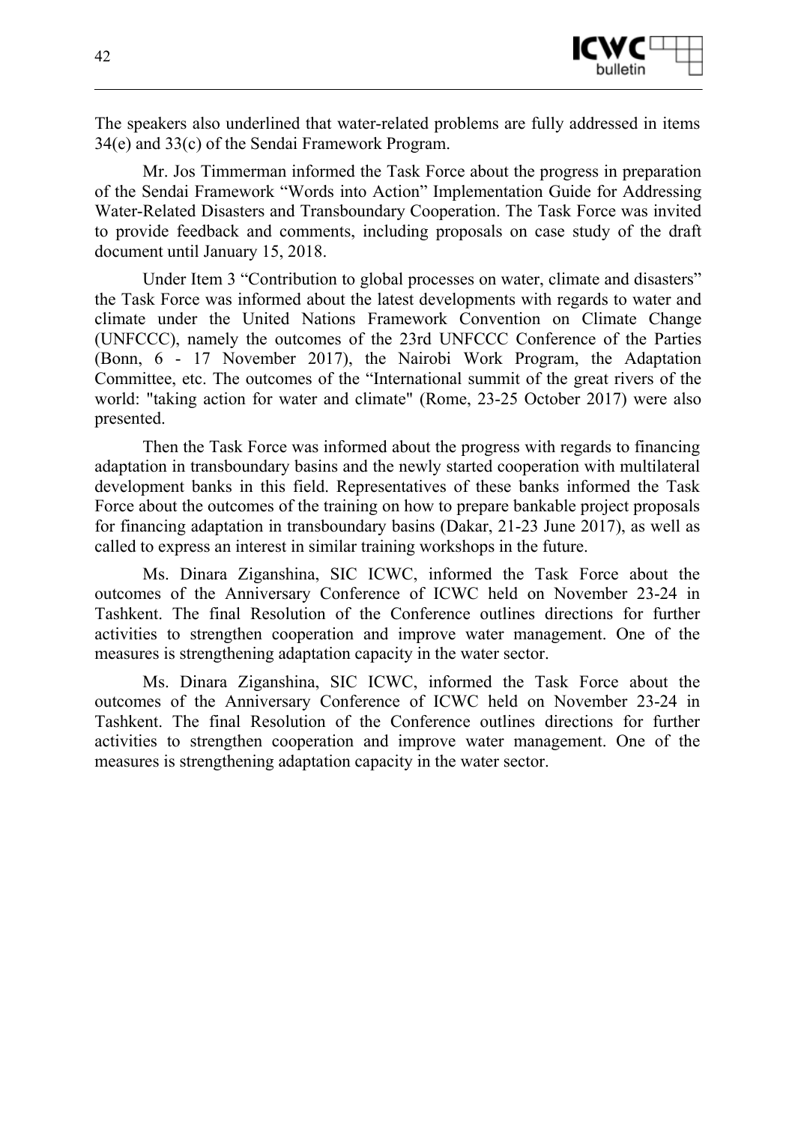

The speakers also underlined that water-related problems are fully addressed in items 34(e) and 33(c) of the Sendai Framework Program.

Mr. Jos Timmerman informed the Task Force about the progress in preparation of the Sendai Framework "Words into Action" Implementation Guide for Addressing Water-Related Disasters and Transboundary Cooperation. The Task Force was invited to provide feedback and comments, including proposals on case study of the draft document until January 15, 2018.

Under Item 3 "Contribution to global processes on water, climate and disasters" the Task Force was informed about the latest developments with regards to water and climate under the United Nations Framework Convention on Climate Change (UNFCCC), namely the outcomes of the 23rd UNFCCC Conference of the Parties (Bonn, 6 - 17 November 2017), the Nairobi Work Program, the Adaptation Committee, etc. The outcomes of the "International summit of the great rivers of the world: "taking action for water and climate" (Rome, 23-25 October 2017) were also presented.

Then the Task Force was informed about the progress with regards to financing adaptation in transboundary basins and the newly started cooperation with multilateral development banks in this field. Representatives of these banks informed the Task Force about the outcomes of the training on how to prepare bankable project proposals for financing adaptation in transboundary basins (Dakar, 21-23 June 2017), as well as called to express an interest in similar training workshops in the future.

Ms. Dinara Ziganshina, SIC ICWC, informed the Task Force about the outcomes of the Anniversary Conference of ICWC held on November 23-24 in Tashkent. The final Resolution of the Conference outlines directions for further activities to strengthen cooperation and improve water management. One of the measures is strengthening adaptation capacity in the water sector.

Ms. Dinara Ziganshina, SIC ICWC, informed the Task Force about the outcomes of the Anniversary Conference of ICWC held on November 23-24 in Tashkent. The final Resolution of the Conference outlines directions for further activities to strengthen cooperation and improve water management. One of the measures is strengthening adaptation capacity in the water sector.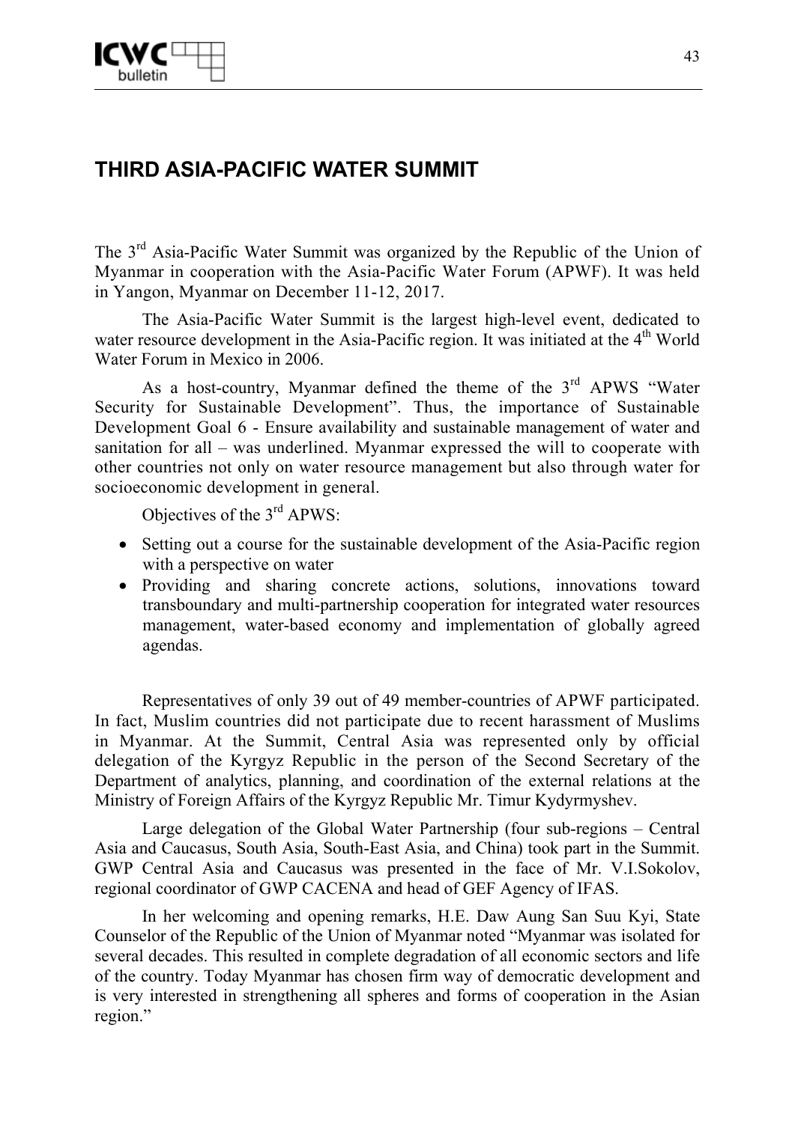

# **THIRD ASIA-PACIFIC WATER SUMMIT**

The 3rd Asia-Pacific Water Summit was organized by the Republic of the Union of Myanmar in cooperation with the Asia-Pacific Water Forum (APWF). It was held in Yangon, Myanmar on December 11-12, 2017.

The Asia-Pacific Water Summit is the largest high-level event, dedicated to water resource development in the Asia-Pacific region. It was initiated at the  $4<sup>th</sup>$  World Water Forum in Mexico in 2006.

As a host-country, Myanmar defined the theme of the 3<sup>rd</sup> APWS "Water Security for Sustainable Development". Thus, the importance of Sustainable Development Goal 6 - Ensure availability and sustainable management of water and sanitation for all – was underlined. Myanmar expressed the will to cooperate with other countries not only on water resource management but also through water for socioeconomic development in general.

Objectives of the 3rd APWS:

- Setting out a course for the sustainable development of the Asia-Pacific region with a perspective on water
- Providing and sharing concrete actions, solutions, innovations toward transboundary and multi-partnership cooperation for integrated water resources management, water-based economy and implementation of globally agreed agendas.

Representatives of only 39 out of 49 member-countries of APWF participated. In fact, Muslim countries did not participate due to recent harassment of Muslims in Myanmar. At the Summit, Central Asia was represented only by official delegation of the Kyrgyz Republic in the person of the Second Secretary of the Department of analytics, planning, and coordination of the external relations at the Ministry of Foreign Affairs of the Kyrgyz Republic Mr. Timur Kydyrmyshev.

Large delegation of the Global Water Partnership (four sub-regions – Central Asia and Caucasus, South Asia, South-East Asia, and China) took part in the Summit. GWP Central Asia and Caucasus was presented in the face of Mr. V.I.Sokolov, regional coordinator of GWP CACENA and head of GEF Agency of IFAS.

In her welcoming and opening remarks, H.E. Daw Aung San Suu Kyi, State Counselor of the Republic of the Union of Myanmar noted "Myanmar was isolated for several decades. This resulted in complete degradation of all economic sectors and life of the country. Today Myanmar has chosen firm way of democratic development and is very interested in strengthening all spheres and forms of cooperation in the Asian region."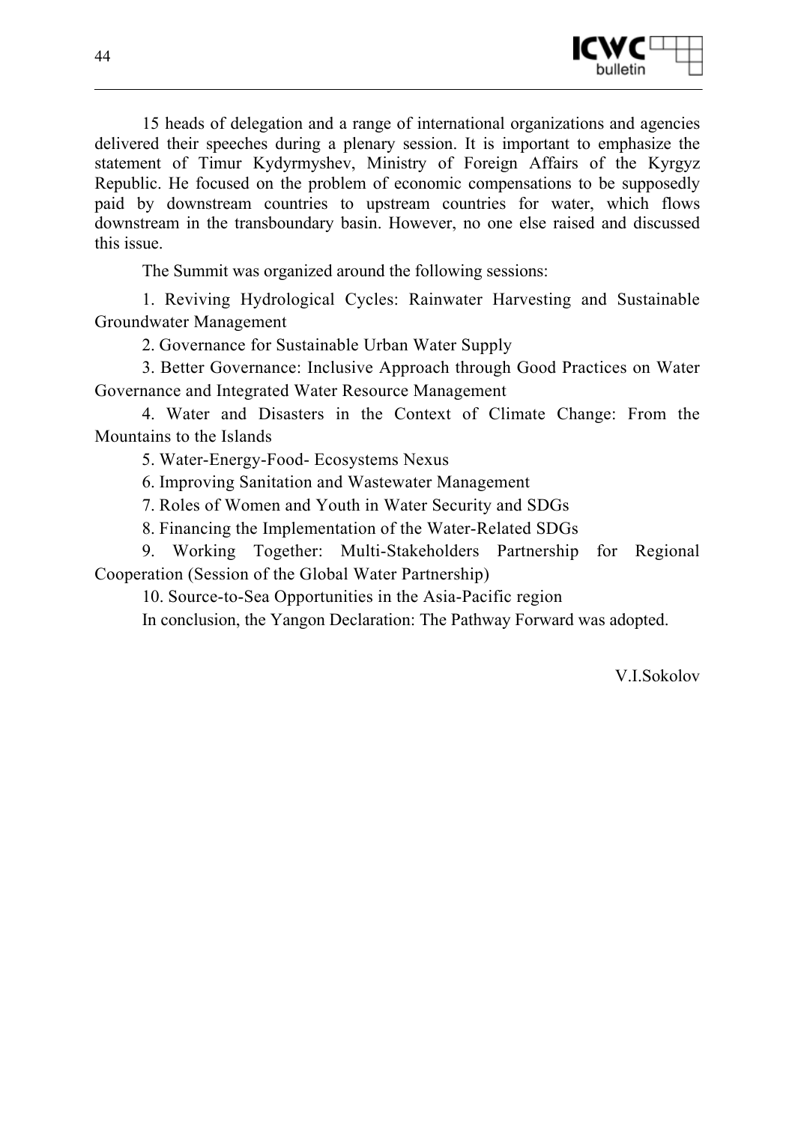

15 heads of delegation and a range of international organizations and agencies delivered their speeches during a plenary session. It is important to emphasize the statement of Timur Kydyrmyshev, Ministry of Foreign Affairs of the Kyrgyz Republic. He focused on the problem of economic compensations to be supposedly paid by downstream countries to upstream countries for water, which flows downstream in the transboundary basin. However, no one else raised and discussed this issue.

The Summit was organized around the following sessions:

1. Reviving Hydrological Cycles: Rainwater Harvesting and Sustainable Groundwater Management

2. Governance for Sustainable Urban Water Supply

3. Better Governance: Inclusive Approach through Good Practices on Water Governance and Integrated Water Resource Management

4. Water and Disasters in the Context of Climate Change: From the Mountains to the Islands

5. Water-Energy-Food- Ecosystems Nexus

6. Improving Sanitation and Wastewater Management

7. Roles of Women and Youth in Water Security and SDGs

8. Financing the Implementation of the Water-Related SDGs

9. Working Together: Multi-Stakeholders Partnership for Regional Cooperation (Session of the Global Water Partnership)

10. Source-to-Sea Opportunities in the Asia-Pacific region

In conclusion, the Yangon Declaration: The Pathway Forward was adopted.

V.I.Sokolov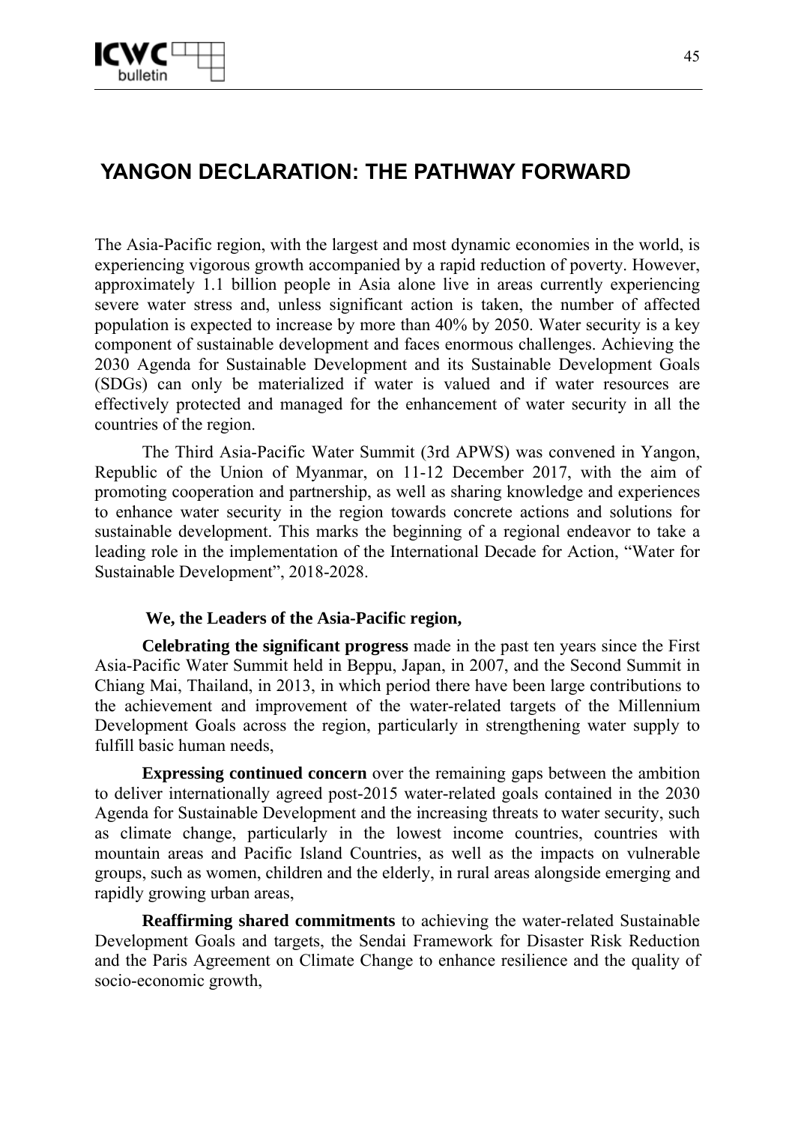# **YANGON DECLARATION: THE PATHWAY FORWARD**

The Asia-Pacific region, with the largest and most dynamic economies in the world, is experiencing vigorous growth accompanied by a rapid reduction of poverty. However, approximately 1.1 billion people in Asia alone live in areas currently experiencing severe water stress and, unless significant action is taken, the number of affected population is expected to increase by more than 40% by 2050. Water security is a key component of sustainable development and faces enormous challenges. Achieving the 2030 Agenda for Sustainable Development and its Sustainable Development Goals (SDGs) can only be materialized if water is valued and if water resources are effectively protected and managed for the enhancement of water security in all the countries of the region.

The Third Asia-Pacific Water Summit (3rd APWS) was convened in Yangon, Republic of the Union of Myanmar, on 11-12 December 2017, with the aim of promoting cooperation and partnership, as well as sharing knowledge and experiences to enhance water security in the region towards concrete actions and solutions for sustainable development. This marks the beginning of a regional endeavor to take a leading role in the implementation of the International Decade for Action, "Water for Sustainable Development", 2018-2028.

#### **We, the Leaders of the Asia-Pacific region,**

**Celebrating the significant progress** made in the past ten years since the First Asia-Pacific Water Summit held in Beppu, Japan, in 2007, and the Second Summit in Chiang Mai, Thailand, in 2013, in which period there have been large contributions to the achievement and improvement of the water-related targets of the Millennium Development Goals across the region, particularly in strengthening water supply to fulfill basic human needs,

**Expressing continued concern** over the remaining gaps between the ambition to deliver internationally agreed post-2015 water-related goals contained in the 2030 Agenda for Sustainable Development and the increasing threats to water security, such as climate change, particularly in the lowest income countries, countries with mountain areas and Pacific Island Countries, as well as the impacts on vulnerable groups, such as women, children and the elderly, in rural areas alongside emerging and rapidly growing urban areas,

**Reaffirming shared commitments** to achieving the water-related Sustainable Development Goals and targets, the Sendai Framework for Disaster Risk Reduction and the Paris Agreement on Climate Change to enhance resilience and the quality of socio-economic growth,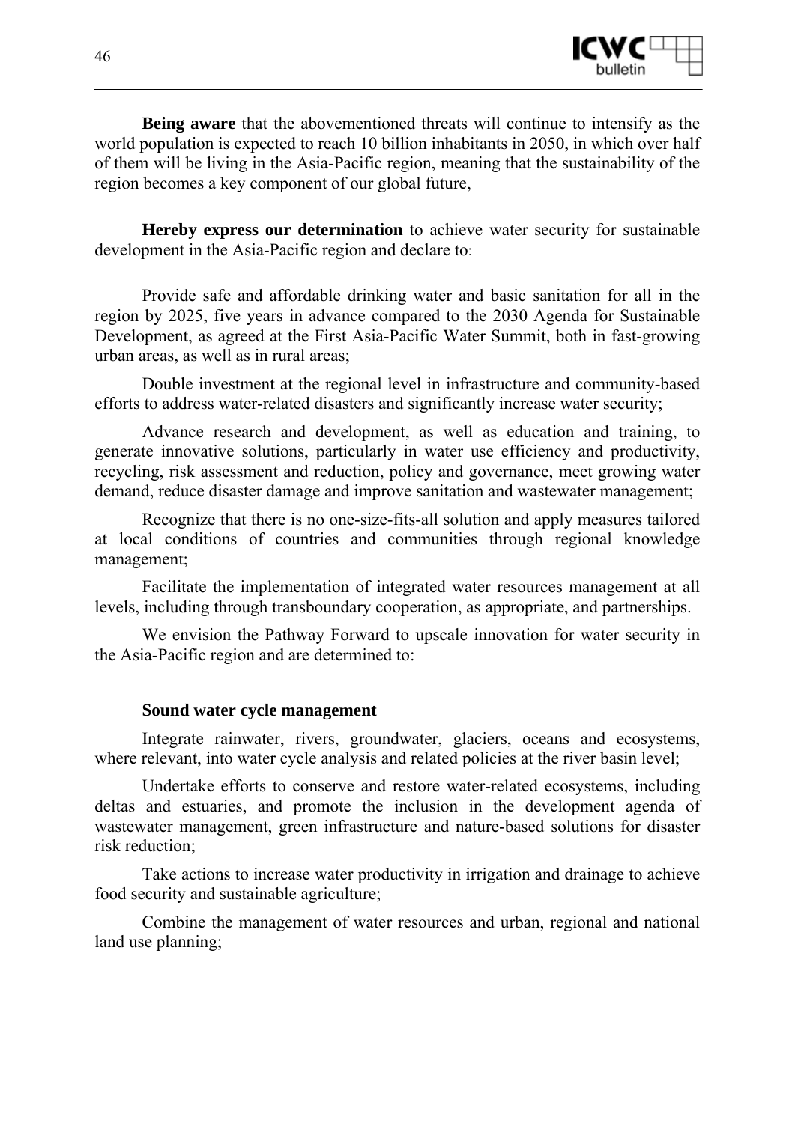

**Being aware** that the abovementioned threats will continue to intensify as the world population is expected to reach 10 billion inhabitants in 2050, in which over half of them will be living in the Asia-Pacific region, meaning that the sustainability of the region becomes a key component of our global future,

**Hereby express our determination** to achieve water security for sustainable development in the Asia-Pacific region and declare to:

Provide safe and affordable drinking water and basic sanitation for all in the region by 2025, five years in advance compared to the 2030 Agenda for Sustainable Development, as agreed at the First Asia-Pacific Water Summit, both in fast-growing urban areas, as well as in rural areas;

Double investment at the regional level in infrastructure and community-based efforts to address water-related disasters and significantly increase water security;

Advance research and development, as well as education and training, to generate innovative solutions, particularly in water use efficiency and productivity, recycling, risk assessment and reduction, policy and governance, meet growing water demand, reduce disaster damage and improve sanitation and wastewater management;

Recognize that there is no one-size-fits-all solution and apply measures tailored at local conditions of countries and communities through regional knowledge management;

Facilitate the implementation of integrated water resources management at all levels, including through transboundary cooperation, as appropriate, and partnerships.

We envision the Pathway Forward to upscale innovation for water security in the Asia-Pacific region and are determined to:

#### **Sound water cycle management**

Integrate rainwater, rivers, groundwater, glaciers, oceans and ecosystems, where relevant, into water cycle analysis and related policies at the river basin level;

Undertake efforts to conserve and restore water-related ecosystems, including deltas and estuaries, and promote the inclusion in the development agenda of wastewater management, green infrastructure and nature-based solutions for disaster risk reduction;

Take actions to increase water productivity in irrigation and drainage to achieve food security and sustainable agriculture;

Combine the management of water resources and urban, regional and national land use planning;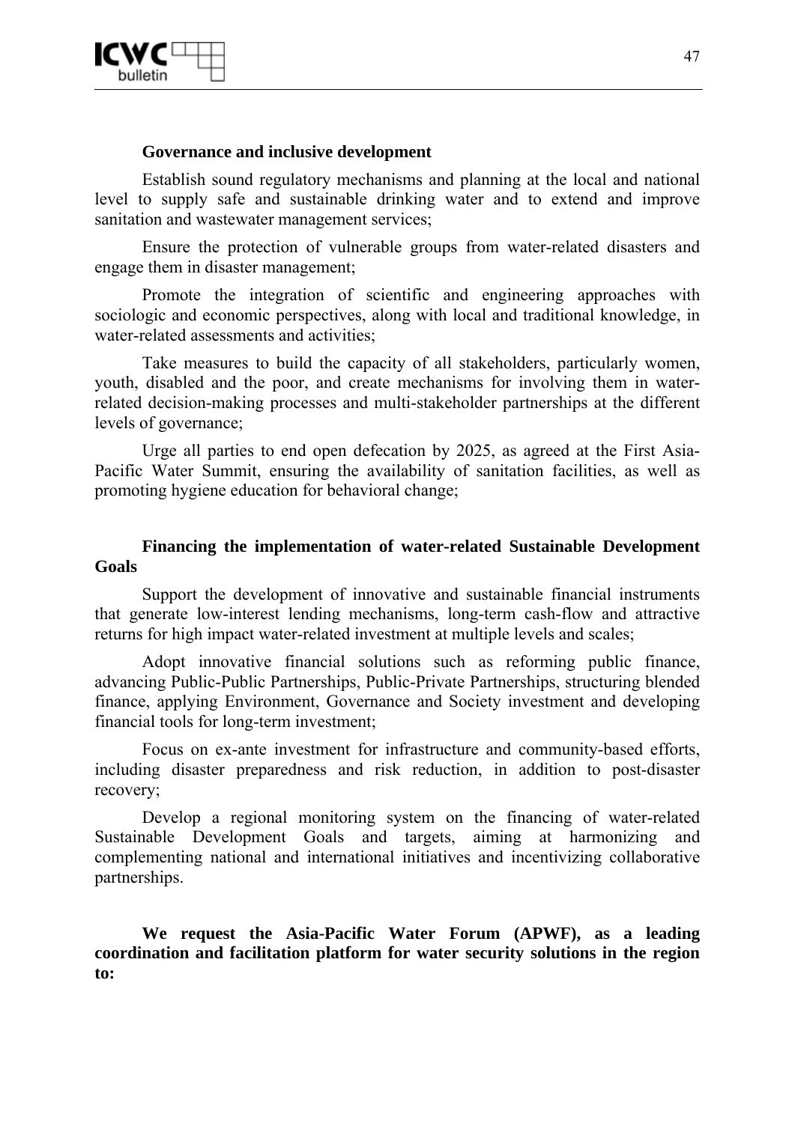

#### **Governance and inclusive development**

Establish sound regulatory mechanisms and planning at the local and national level to supply safe and sustainable drinking water and to extend and improve sanitation and wastewater management services;

Ensure the protection of vulnerable groups from water-related disasters and engage them in disaster management;

Promote the integration of scientific and engineering approaches with sociologic and economic perspectives, along with local and traditional knowledge, in water-related assessments and activities;

Take measures to build the capacity of all stakeholders, particularly women, youth, disabled and the poor, and create mechanisms for involving them in waterrelated decision-making processes and multi-stakeholder partnerships at the different levels of governance;

Urge all parties to end open defecation by 2025, as agreed at the First Asia-Pacific Water Summit, ensuring the availability of sanitation facilities, as well as promoting hygiene education for behavioral change;

#### **Financing the implementation of water-related Sustainable Development Goals**

Support the development of innovative and sustainable financial instruments that generate low-interest lending mechanisms, long-term cash-flow and attractive returns for high impact water-related investment at multiple levels and scales;

Adopt innovative financial solutions such as reforming public finance, advancing Public-Public Partnerships, Public-Private Partnerships, structuring blended finance, applying Environment, Governance and Society investment and developing financial tools for long-term investment;

Focus on ex-ante investment for infrastructure and community-based efforts, including disaster preparedness and risk reduction, in addition to post-disaster recovery;

Develop a regional monitoring system on the financing of water-related Sustainable Development Goals and targets, aiming at harmonizing and complementing national and international initiatives and incentivizing collaborative partnerships.

**We request the Asia-Pacific Water Forum (APWF), as a leading coordination and facilitation platform for water security solutions in the region to:**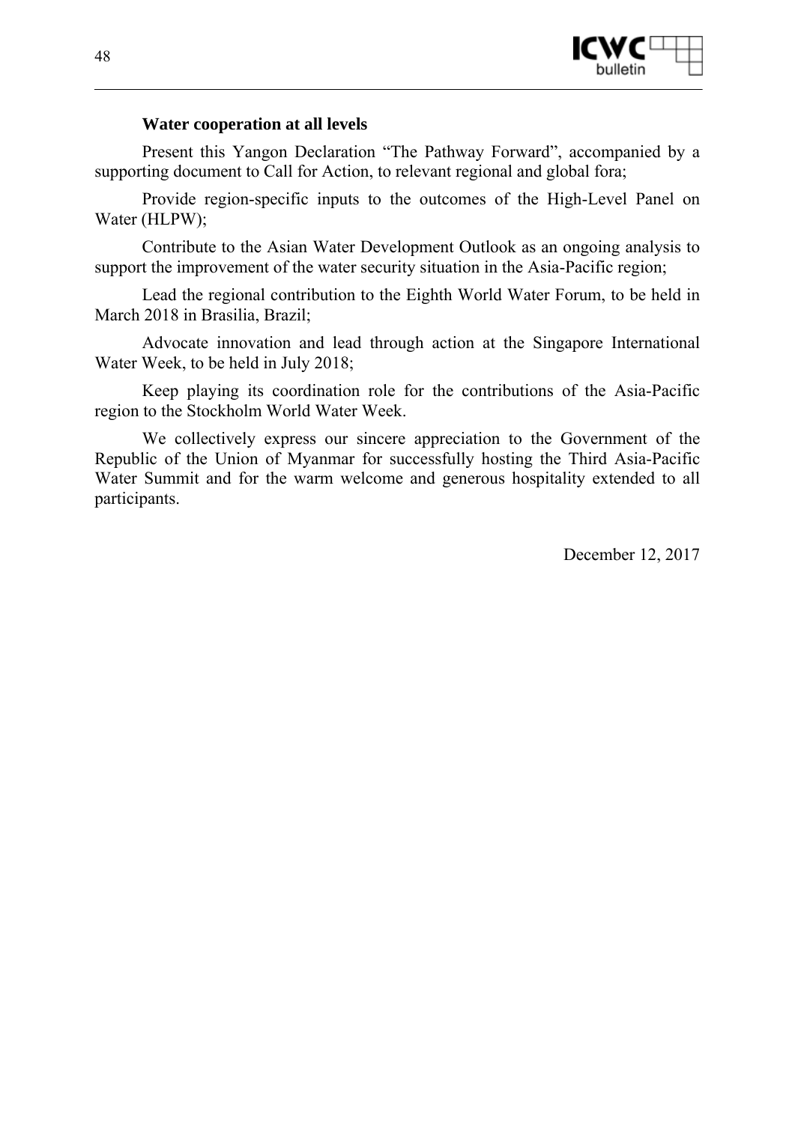

#### **Water cooperation at all levels**

Present this Yangon Declaration "The Pathway Forward", accompanied by a supporting document to Call for Action, to relevant regional and global fora;

Provide region-specific inputs to the outcomes of the High-Level Panel on Water (HLPW);

Contribute to the Asian Water Development Outlook as an ongoing analysis to support the improvement of the water security situation in the Asia-Pacific region;

Lead the regional contribution to the Eighth World Water Forum, to be held in March 2018 in Brasilia, Brazil;

Advocate innovation and lead through action at the Singapore International Water Week, to be held in July 2018;

Keep playing its coordination role for the contributions of the Asia-Pacific region to the Stockholm World Water Week.

We collectively express our sincere appreciation to the Government of the Republic of the Union of Myanmar for successfully hosting the Third Asia-Pacific Water Summit and for the warm welcome and generous hospitality extended to all participants.

December 12, 2017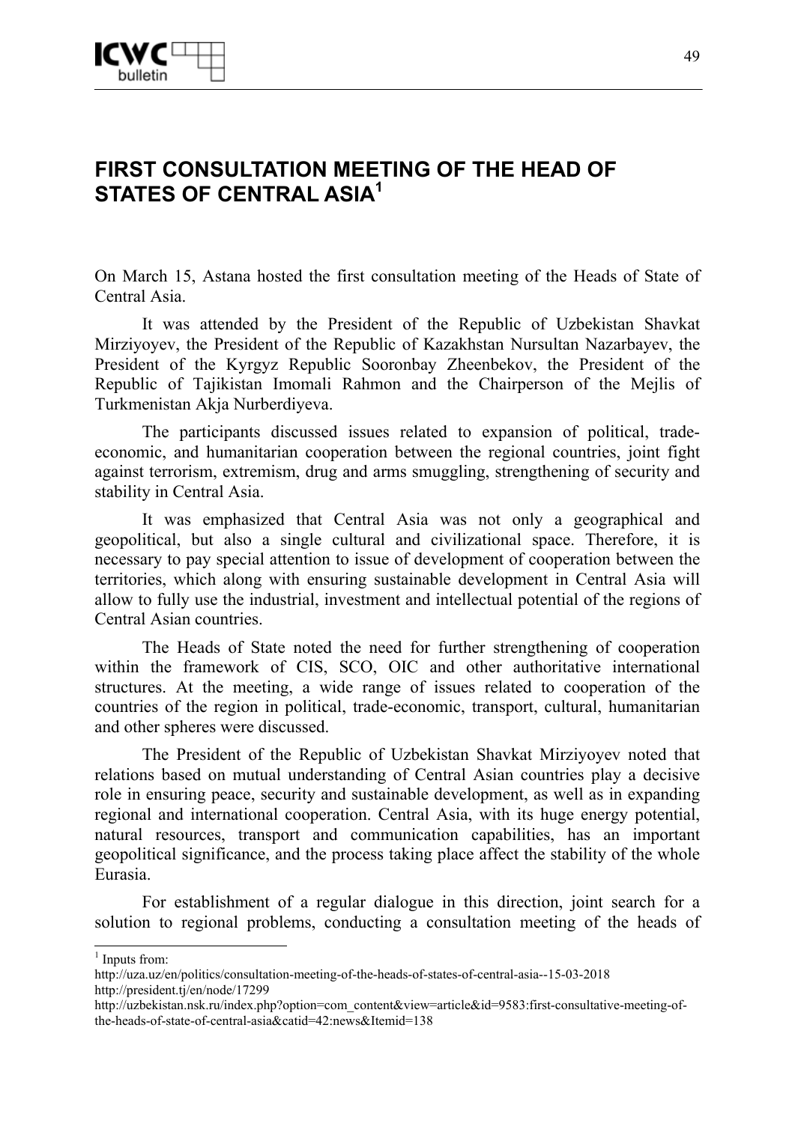

### **FIRST CONSULTATION MEETING OF THE HEAD OF STATES OF CENTRAL ASIA1**

On March 15, Astana hosted the first consultation meeting of the Heads of State of Central Asia.

It was attended by the President of the Republic of Uzbekistan Shavkat Mirziyoyev, the President of the Republic of Kazakhstan Nursultan Nazarbayev, the President of the Kyrgyz Republic Sooronbay Zheenbekov, the President of the Republic of Tajikistan Imomali Rahmon and the Chairperson of the Mejlis of Turkmenistan Akja Nurberdiyeva.

The participants discussed issues related to expansion of political, tradeeconomic, and humanitarian cooperation between the regional countries, joint fight against terrorism, extremism, drug and arms smuggling, strengthening of security and stability in Central Asia.

It was emphasized that Central Asia was not only a geographical and geopolitical, but also a single cultural and civilizational space. Therefore, it is necessary to pay special attention to issue of development of cooperation between the territories, which along with ensuring sustainable development in Central Asia will allow to fully use the industrial, investment and intellectual potential of the regions of Central Asian countries.

The Heads of State noted the need for further strengthening of cooperation within the framework of CIS, SCO, OIC and other authoritative international structures. At the meeting, a wide range of issues related to cooperation of the countries of the region in political, trade-economic, transport, cultural, humanitarian and other spheres were discussed.

The President of the Republic of Uzbekistan Shavkat Mirziyoyev noted that relations based on mutual understanding of Central Asian countries play a decisive role in ensuring peace, security and sustainable development, as well as in expanding regional and international cooperation. Central Asia, with its huge energy potential, natural resources, transport and communication capabilities, has an important geopolitical significance, and the process taking place affect the stability of the whole Eurasia.

For establishment of a regular dialogue in this direction, joint search for a solution to regional problems, conducting a consultation meeting of the heads of

1

<sup>&</sup>lt;sup>1</sup> Inputs from:

http://uza.uz/en/politics/consultation-meeting-of-the-heads-of-states-of-central-asia--15-03-2018 http://president.tj/en/node/17299

http://uzbekistan.nsk.ru/index.php?option=com\_content&view=article&id=9583:first-consultative-meeting-ofthe-heads-of-state-of-central-asia&catid=42:news&Itemid=138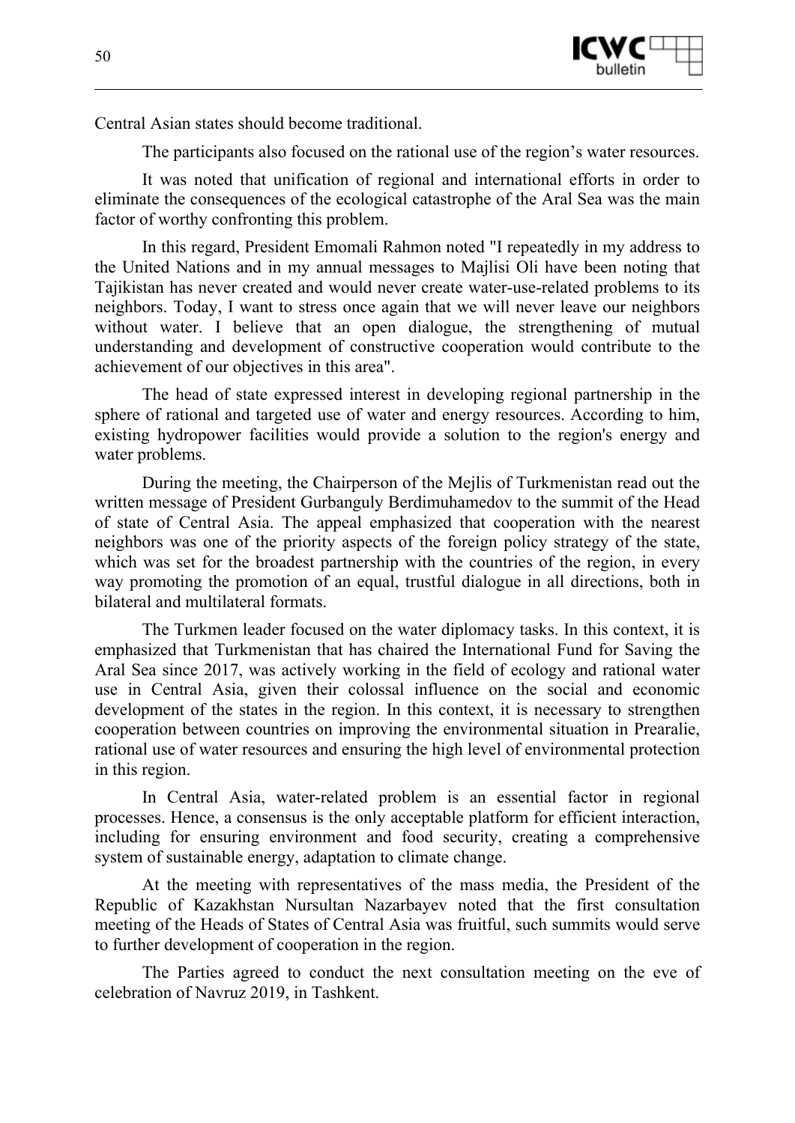

Central Asian states should become traditional.

The participants also focused on the rational use of the region's water resources.

It was noted that unification of regional and international efforts in order to eliminate the consequences of the ecological catastrophe of the Aral Sea was the main factor of worthy confronting this problem.

In this regard, President Emomali Rahmon noted "I repeatedly in my address to the United Nations and in my annual messages to Majlisi Oli have been noting that Tajikistan has never created and would never create water-use-related problems to its neighbors. Today, I want to stress once again that we will never leave our neighbors without water. I believe that an open dialogue, the strengthening of mutual understanding and development of constructive cooperation would contribute to the achievement of our objectives in this area".

The head of state expressed interest in developing regional partnership in the sphere of rational and targeted use of water and energy resources. According to him, existing hydropower facilities would provide a solution to the region's energy and water problems.

During the meeting, the Chairperson of the Mejlis of Turkmenistan read out the written message of President Gurbanguly Berdimuhamedov to the summit of the Head of state of Central Asia. The appeal emphasized that cooperation with the nearest neighbors was one of the priority aspects of the foreign policy strategy of the state, which was set for the broadest partnership with the countries of the region, in every way promoting the promotion of an equal, trustful dialogue in all directions, both in bilateral and multilateral formats.

The Turkmen leader focused on the water diplomacy tasks. In this context, it is emphasized that Turkmenistan that has chaired the International Fund for Saving the Aral Sea since 2017, was actively working in the field of ecology and rational water use in Central Asia, given their colossal influence on the social and economic development of the states in the region. In this context, it is necessary to strengthen cooperation between countries on improving the environmental situation in Prearalie, rational use of water resources and ensuring the high level of environmental protection in this region.

In Central Asia, water-related problem is an essential factor in regional processes. Hence, a consensus is the only acceptable platform for efficient interaction, including for ensuring environment and food security, creating a comprehensive system of sustainable energy, adaptation to climate change.

At the meeting with representatives of the mass media, the President of the Republic of Kazakhstan Nursultan Nazarbayev noted that the first consultation meeting of the Heads of States of Central Asia was fruitful, such summits would serve to further development of cooperation in the region.

The Parties agreed to conduct the next consultation meeting on the eve of celebration of Navruz 2019, in Tashkent.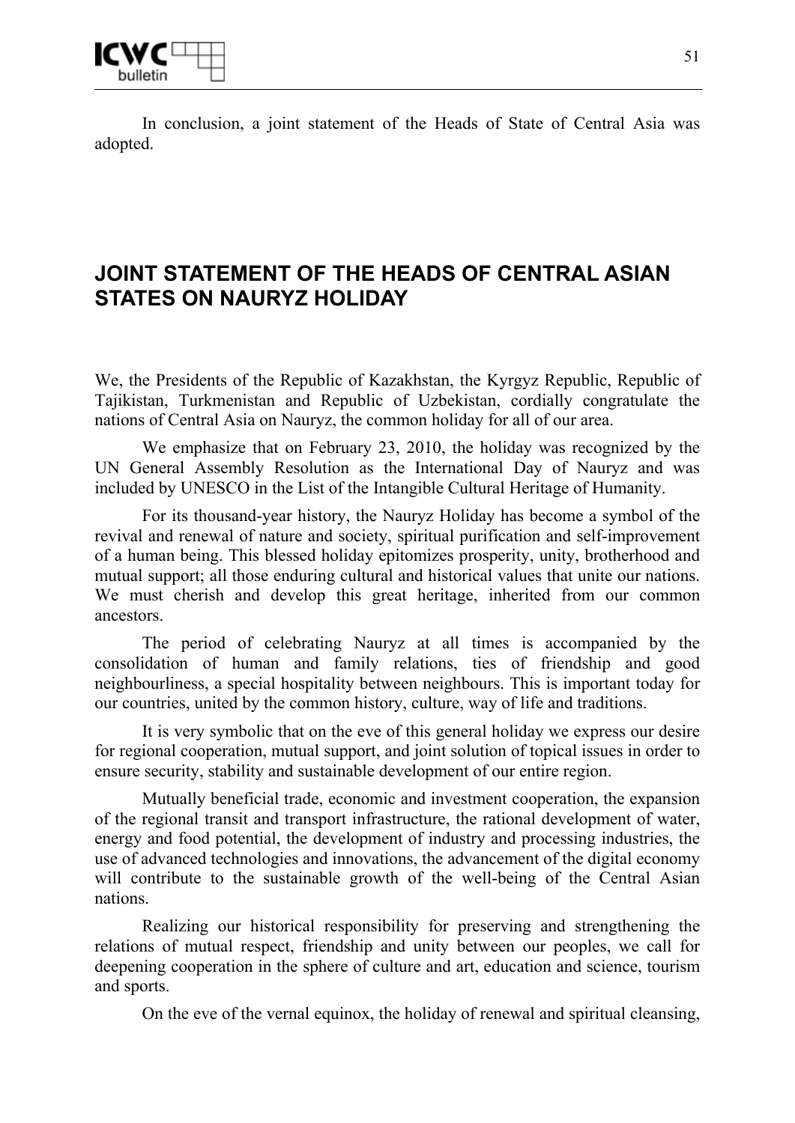

In conclusion, a joint statement of the Heads of State of Central Asia was adopted.

### **JOINT STATEMENT OF THE HEADS OF CENTRAL ASIAN STATES ON NAURYZ HOLIDAY**

We, the Presidents of the Republic of Kazakhstan, the Kyrgyz Republic, Republic of Tajikistan, Turkmenistan and Republic of Uzbekistan, cordially congratulate the nations of Central Asia on Nauryz, the common holiday for all of our area.

We emphasize that on February 23, 2010, the holiday was recognized by the UN General Assembly Resolution as the International Day of Nauryz and was included by UNESCO in the List of the Intangible Cultural Heritage of Humanity.

For its thousand-year history, the Nauryz Holiday has become a symbol of the revival and renewal of nature and society, spiritual purification and self-improvement of a human being. This blessed holiday epitomizes prosperity, unity, brotherhood and mutual support; all those enduring cultural and historical values that unite our nations. We must cherish and develop this great heritage, inherited from our common ancestors.

The period of celebrating Nauryz at all times is accompanied by the consolidation of human and family relations, ties of friendship and good neighbourliness, a special hospitality between neighbours. This is important today for our countries, united by the common history, culture, way of life and traditions.

It is very symbolic that on the eve of this general holiday we express our desire for regional cooperation, mutual support, and joint solution of topical issues in order to ensure security, stability and sustainable development of our entire region.

Mutually beneficial trade, economic and investment cooperation, the expansion of the regional transit and transport infrastructure, the rational development of water, energy and food potential, the development of industry and processing industries, the use of advanced technologies and innovations, the advancement of the digital economy will contribute to the sustainable growth of the well-being of the Central Asian nations.

Realizing our historical responsibility for preserving and strengthening the relations of mutual respect, friendship and unity between our peoples, we call for deepening cooperation in the sphere of culture and art, education and science, tourism and sports.

On the eve of the vernal equinox, the holiday of renewal and spiritual cleansing,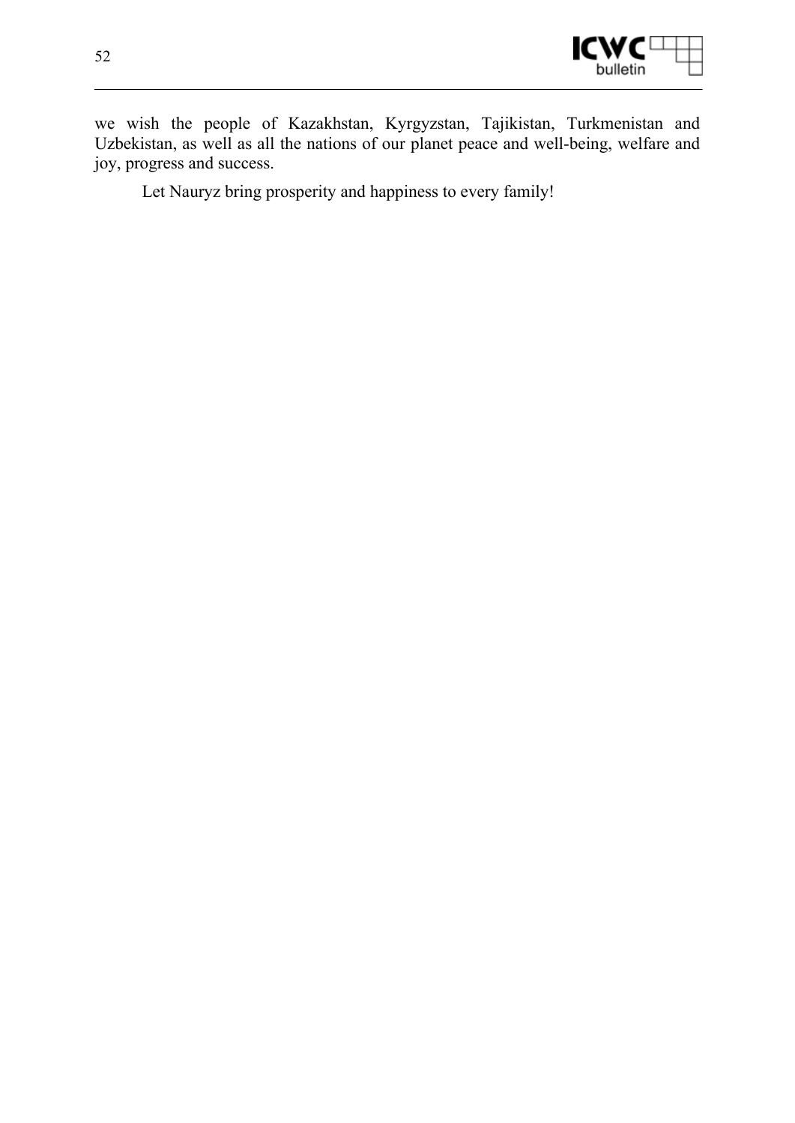

we wish the people of Kazakhstan, Kyrgyzstan, Tajikistan, Turkmenistan and Uzbekistan, as well as all the nations of our planet peace and well-being, welfare and joy, progress and success.

Let Nauryz bring prosperity and happiness to every family!